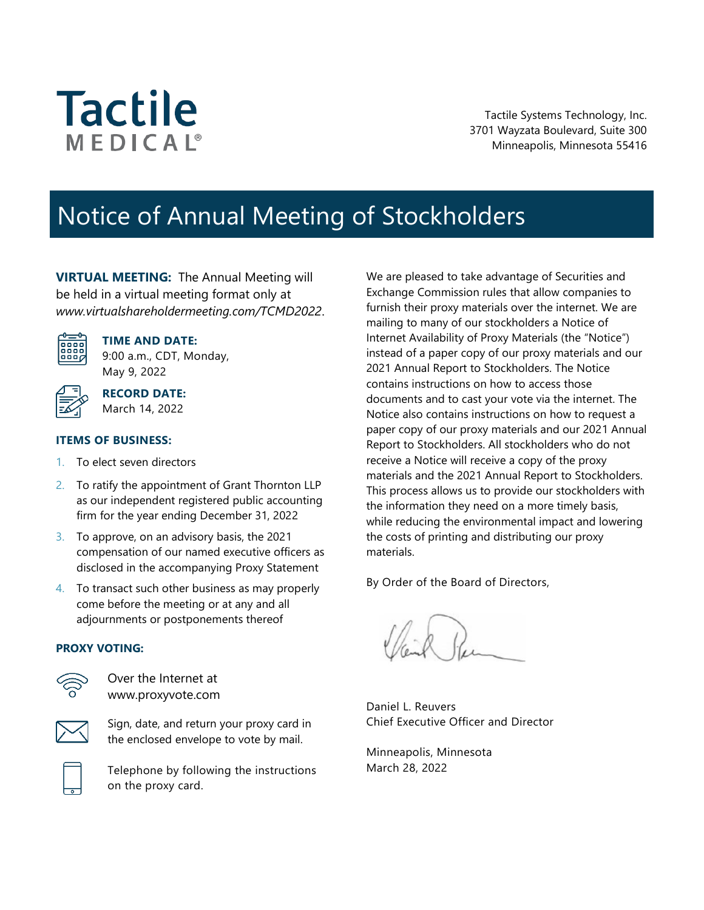# **Tactile** MEDICAL<sup>®</sup>

Tactile Systems Technology, Inc. 3701 Wayzata Boulevard, Suite 300 Minneapolis, Minnesota 55416

# Notice of Annual Meeting of Stockholders

**VIRTUAL MEETING:** The Annual Meeting will be held in a virtual meeting format only at *www.virtualshareholdermeeting.com/TCMD2022*.



**TIME AND DATE:**

9:00 a.m., CDT, Monday, May 9, 2022

March 14, 2022

**RECORD DATE:**

## **ITEMS OF BUSINESS:**

- 1. To elect seven directors
- 2. To ratify the appointment of Grant Thornton LLP as our independent registered public accounting firm for the year ending December 31, 2022
- 3. To approve, on an advisory basis, the 2021 compensation of our named executive officers as disclosed in the accompanying Proxy Statement
- 4. To transact such other business as may properly come before the meeting or at any and all adjournments or postponements thereof

## **PROXY VOTING:**



Over the Internet at www.proxyvote.com



Sign, date, and return your proxy card in the enclosed envelope to vote by mail.

Telephone by following the instructions on the proxy card.

We are pleased to take advantage of Securities and Exchange Commission rules that allow companies to furnish their proxy materials over the internet. We are mailing to many of our stockholders a Notice of Internet Availability of Proxy Materials (the "Notice") instead of a paper copy of our proxy materials and our 2021 Annual Report to Stockholders. The Notice contains instructions on how to access those documents and to cast your vote via the internet. The Notice also contains instructions on how to request a paper copy of our proxy materials and our 2021 Annual Report to Stockholders. All stockholders who do not receive a Notice will receive a copy of the proxy materials and the 2021 Annual Report to Stockholders. This process allows us to provide our stockholders with the information they need on a more timely basis, while reducing the environmental impact and lowering the costs of printing and distributing our proxy materials.

By Order of the Board of Directors,

Daniel L. Reuvers Chief Executive Officer and Director

Minneapolis, Minnesota March 28, 2022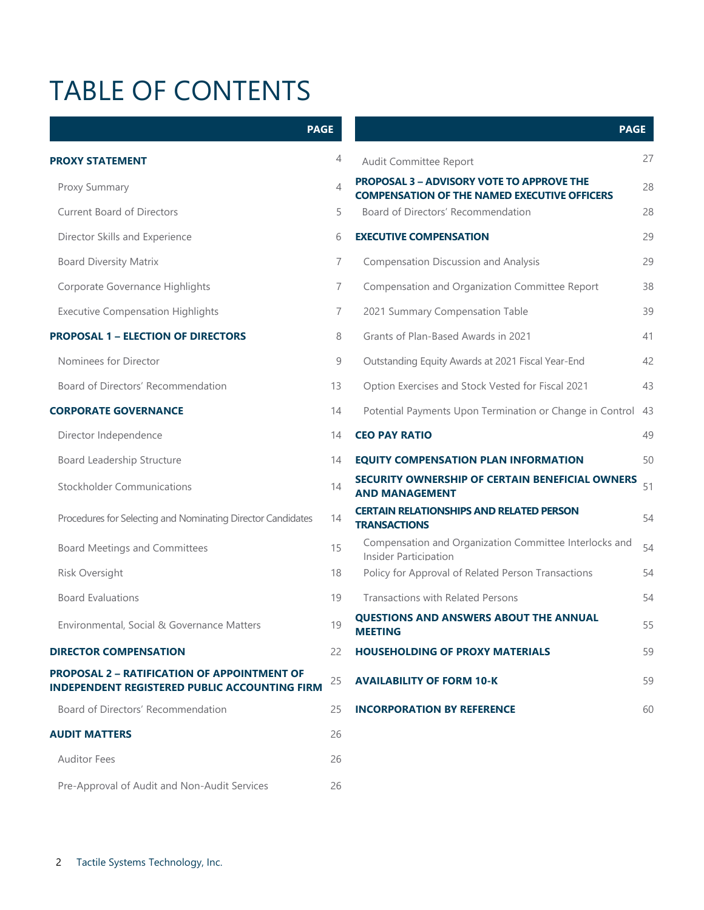# TABLE OF CONTENTS

| <b>PAGE</b>                                                                                                |                          |                                                                                                         | <b>PAGE</b> |
|------------------------------------------------------------------------------------------------------------|--------------------------|---------------------------------------------------------------------------------------------------------|-------------|
| <b>PROXY STATEMENT</b>                                                                                     | 4                        | Audit Committee Report                                                                                  | 27          |
| Proxy Summary                                                                                              | $\overline{\mathcal{A}}$ | <b>PROPOSAL 3 - ADVISORY VOTE TO APPROVE THE</b><br><b>COMPENSATION OF THE NAMED EXECUTIVE OFFICERS</b> | 28          |
| <b>Current Board of Directors</b>                                                                          | 5                        | Board of Directors' Recommendation                                                                      | 28          |
| Director Skills and Experience                                                                             | 6                        | <b>EXECUTIVE COMPENSATION</b>                                                                           | 29          |
| <b>Board Diversity Matrix</b>                                                                              | 7                        | <b>Compensation Discussion and Analysis</b>                                                             | 29          |
| Corporate Governance Highlights                                                                            | 7                        | Compensation and Organization Committee Report                                                          | 38          |
| <b>Executive Compensation Highlights</b>                                                                   | 7                        | 2021 Summary Compensation Table                                                                         | 39          |
| <b>PROPOSAL 1 - ELECTION OF DIRECTORS</b>                                                                  | 8                        | Grants of Plan-Based Awards in 2021                                                                     | 41          |
| Nominees for Director                                                                                      | 9                        | Outstanding Equity Awards at 2021 Fiscal Year-End                                                       | 42          |
| Board of Directors' Recommendation                                                                         | 13                       | Option Exercises and Stock Vested for Fiscal 2021                                                       | 43          |
| <b>CORPORATE GOVERNANCE</b>                                                                                | 14                       | Potential Payments Upon Termination or Change in Control 43                                             |             |
| Director Independence                                                                                      | 14                       | <b>CEO PAY RATIO</b>                                                                                    | 49          |
| Board Leadership Structure                                                                                 | 14                       | <b>EQUITY COMPENSATION PLAN INFORMATION</b>                                                             | 50          |
| <b>Stockholder Communications</b>                                                                          | 14                       | SECURITY OWNERSHIP OF CERTAIN BENEFICIAL OWNERS<br><b>AND MANAGEMENT</b>                                | 51          |
| Procedures for Selecting and Nominating Director Candidates                                                | 14                       | <b>CERTAIN RELATIONSHIPS AND RELATED PERSON</b><br><b>TRANSACTIONS</b>                                  | 54          |
| <b>Board Meetings and Committees</b>                                                                       | 15                       | Compensation and Organization Committee Interlocks and<br>Insider Participation                         | 54          |
| Risk Oversight                                                                                             | 18                       | Policy for Approval of Related Person Transactions                                                      | 54          |
| <b>Board Evaluations</b>                                                                                   | 19                       | <b>Transactions with Related Persons</b>                                                                | 54          |
| Environmental, Social & Governance Matters                                                                 | 19                       | <b>QUESTIONS AND ANSWERS ABOUT THE ANNUAL</b><br><b>MEETING</b>                                         | 55          |
| <b>DIRECTOR COMPENSATION</b>                                                                               | 22                       | <b>HOUSEHOLDING OF PROXY MATERIALS</b>                                                                  | 59          |
| <b>PROPOSAL 2 - RATIFICATION OF APPOINTMENT OF</b><br><b>INDEPENDENT REGISTERED PUBLIC ACCOUNTING FIRM</b> | 25                       | <b>AVAILABILITY OF FORM 10-K</b>                                                                        | 59          |
| Board of Directors' Recommendation                                                                         | 25                       | <b>INCORPORATION BY REFERENCE</b>                                                                       | 60          |
| <b>AUDIT MATTERS</b>                                                                                       | 26                       |                                                                                                         |             |
| <b>Auditor Fees</b>                                                                                        | 26                       |                                                                                                         |             |
| Pre-Approval of Audit and Non-Audit Services                                                               | 26                       |                                                                                                         |             |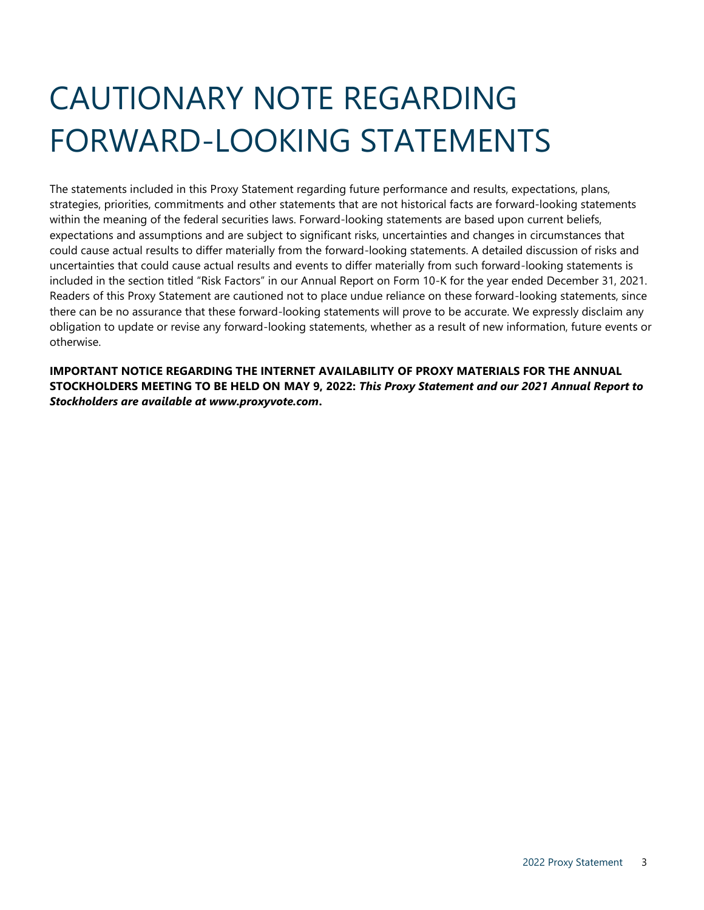# CAUTIONARY NOTE REGARDING FORWARD-LOOKING STATEMENTS

The statements included in this Proxy Statement regarding future performance and results, expectations, plans, strategies, priorities, commitments and other statements that are not historical facts are forward-looking statements within the meaning of the federal securities laws. Forward-looking statements are based upon current beliefs, expectations and assumptions and are subject to significant risks, uncertainties and changes in circumstances that could cause actual results to differ materially from the forward-looking statements. A detailed discussion of risks and uncertainties that could cause actual results and events to differ materially from such forward-looking statements is included in the section titled "Risk Factors" in our Annual Report on Form 10-K for the year ended December 31, 2021. Readers of this Proxy Statement are cautioned not to place undue reliance on these forward-looking statements, since there can be no assurance that these forward-looking statements will prove to be accurate. We expressly disclaim any obligation to update or revise any forward-looking statements, whether as a result of new information, future events or otherwise.

**IMPORTANT NOTICE REGARDING THE INTERNET AVAILABILITY OF PROXY MATERIALS FOR THE ANNUAL STOCKHOLDERS MEETING TO BE HELD ON MAY 9, 2022:** *This Proxy Statement and our 2021 Annual Report to Stockholders are available at www.proxyvote.com***.**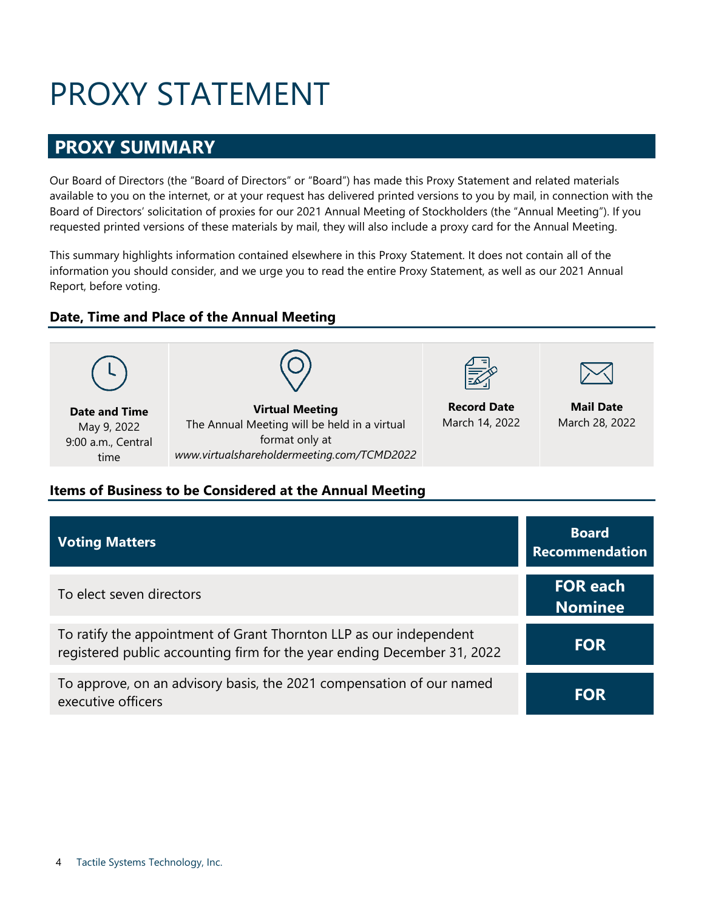# PROXY STATEMENT

# <span id="page-3-1"></span><span id="page-3-0"></span>**PROXY SUMMARY**

Our Board of Directors (the "Board of Directors" or "Board") has made this Proxy Statement and related materials available to you on the internet, or at your request has delivered printed versions to you by mail, in connection with the Board of Directors' solicitation of proxies for our 2021 Annual Meeting of Stockholders (the "Annual Meeting"). If you requested printed versions of these materials by mail, they will also include a proxy card for the Annual Meeting.

This summary highlights information contained elsewhere in this Proxy Statement. It does not contain all of the information you should consider, and we urge you to read the entire Proxy Statement, as well as our 2021 Annual Report, before voting.

# **Date, Time and Place of the Annual Meeting**



# **Items of Business to be Considered at the Annual Meeting**

| <b>Voting Matters</b>                                                                                                                         | <b>Board</b><br><b>Recommendation</b> |
|-----------------------------------------------------------------------------------------------------------------------------------------------|---------------------------------------|
| To elect seven directors                                                                                                                      | <b>FOR each</b><br><b>Nominee</b>     |
| To ratify the appointment of Grant Thornton LLP as our independent<br>registered public accounting firm for the year ending December 31, 2022 | <b>FOR</b>                            |
| To approve, on an advisory basis, the 2021 compensation of our named<br>executive officers                                                    | <b>FOR</b>                            |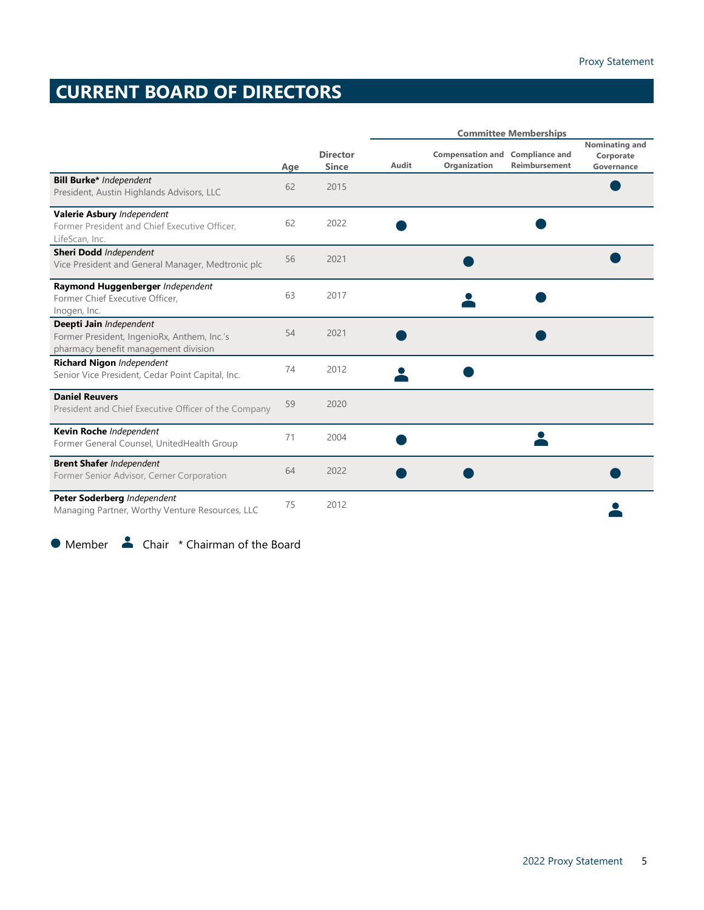# <span id="page-4-0"></span>**CURRENT BOARD OF DIRECTORS**

|                                                                                                                |     |                                 |       |                                         | <b>Committee Memberships</b>           |                                           |
|----------------------------------------------------------------------------------------------------------------|-----|---------------------------------|-------|-----------------------------------------|----------------------------------------|-------------------------------------------|
|                                                                                                                | Age | <b>Director</b><br><b>Since</b> | Audit | <b>Compensation and</b><br>Organization | <b>Compliance and</b><br>Reimbursement | Nominating and<br>Corporate<br>Governance |
| <b>Bill Burke*</b> Independent<br>President, Austin Highlands Advisors, LLC                                    | 62  | 2015                            |       |                                         |                                        |                                           |
| Valerie Asbury Independent<br>Former President and Chief Executive Officer,<br>LifeScan, Inc.                  | 62  | 2022                            |       |                                         |                                        |                                           |
| <b>Sheri Dodd</b> Independent<br>Vice President and General Manager, Medtronic plc                             | 56  | 2021                            |       |                                         |                                        |                                           |
| Raymond Huggenberger Independent<br>Former Chief Executive Officer,<br>Inogen, Inc.                            | 63  | 2017                            |       |                                         |                                        |                                           |
| Deepti Jain Independent<br>Former President, IngenioRx, Anthem, Inc.'s<br>pharmacy benefit management division | 54  | 2021                            |       |                                         |                                        |                                           |
| Richard Nigon Independent<br>Senior Vice President, Cedar Point Capital, Inc.                                  | 74  | 2012                            |       |                                         |                                        |                                           |
| <b>Daniel Reuvers</b><br>President and Chief Executive Officer of the Company                                  | 59  | 2020                            |       |                                         |                                        |                                           |
| Kevin Roche Independent<br>Former General Counsel, UnitedHealth Group                                          | 71  | 2004                            |       |                                         |                                        |                                           |
| <b>Brent Shafer Independent</b><br>Former Senior Advisor, Cerner Corporation                                   | 64  | 2022                            |       |                                         |                                        |                                           |
| Peter Soderberg Independent<br>Managing Partner, Worthy Venture Resources, LLC                                 | 75  | 2012                            |       |                                         |                                        |                                           |

<span id="page-4-1"></span>● Member ▲ Chair \* Chairman of the Board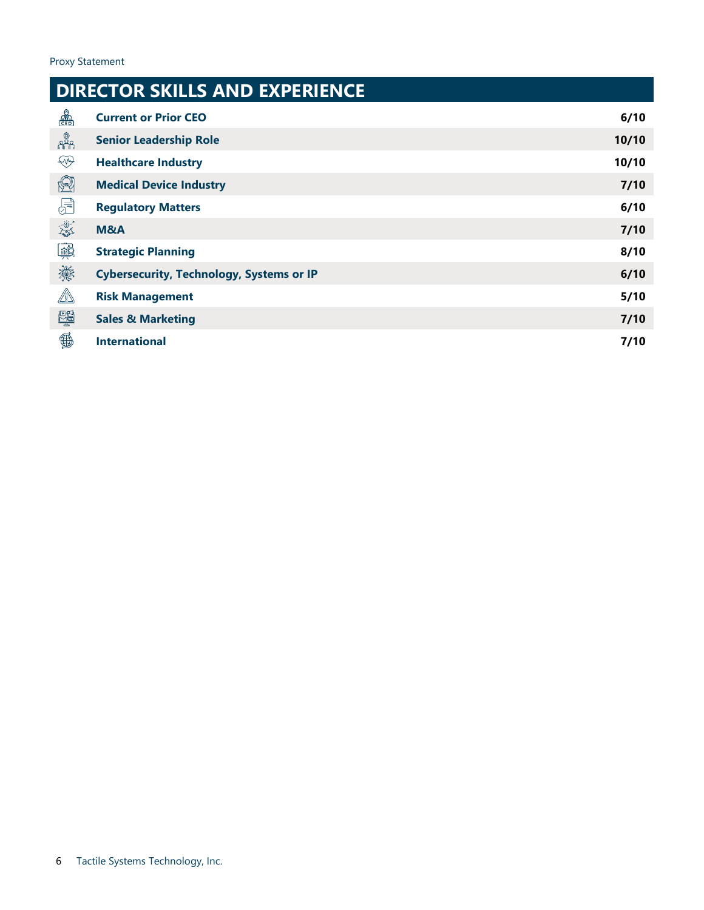#### **DIRECTOR SKILLS AND EXPERIENCE**  $\frac{1}{\sqrt{\frac{1}{1+\frac{1}{1+\frac{1}{1+\frac{1}{1+\frac{1}{1+\frac{1}{1+\frac{1}{1+\frac{1}{1+\frac{1}{1+\frac{1}{1+\frac{1}{1+\frac{1}{1+\frac{1}{1+\frac{1}{1+\frac{1}{1+\frac{1}{1+\frac{1}{1+\frac{1}{1+\frac{1}{1+\frac{1}{1+\frac{1}{1+\frac{1}{1+\frac{1}{1+\frac{1}{1+\frac{1}{1+\frac{1}{1+\frac{1}{1+\frac{1}{1+\frac{1}{1+\frac{1}{1+\frac{1}{1+\frac{1}{1+\frac{1}{1+\frac{1}{1+\frac{1}{1+\frac{$ **Current or Prior CEO 6/10** ្ត្រឹះ<br>កំណី **Senior Leadership Role 10/10**  $\circledast$ **Healthcare Industry 10/10**  $\circledR$ **Medical Device Industry 7/10**  $\bigoplus$ **Regulatory Matters 6/10 Lest M&A 7/10** 學 **Strategic Planning 8/10** 灤 **Cybersecurity, Technology, Systems or IP 6/10**  $\mathbb{A}$ **Risk Management 5/10** 闡 **Sales & Marketing 7/10**  $\mathbf{\mathfrak{B}}$ **International 7/10**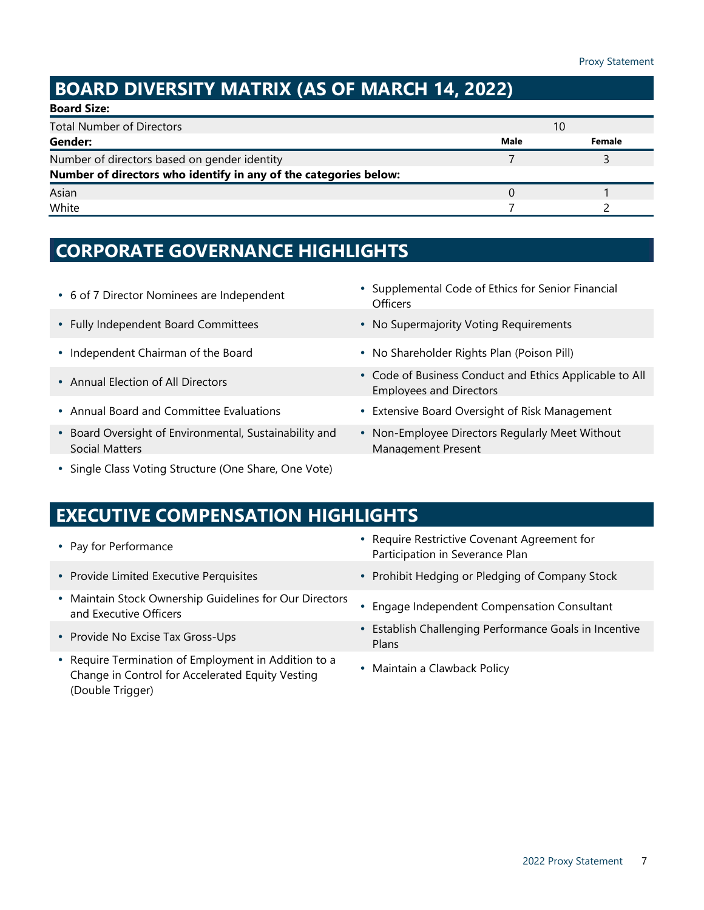# <span id="page-6-1"></span><span id="page-6-0"></span>**BOARD DIVERSITY MATRIX (AS OF MARCH 14, 2022)**

| <b>Board Size:</b>                                               |      |        |  |
|------------------------------------------------------------------|------|--------|--|
| <b>Total Number of Directors</b>                                 | 10   |        |  |
| Gender:                                                          | Male | Female |  |
| Number of directors based on gender identity                     |      |        |  |
| Number of directors who identify in any of the categories below: |      |        |  |
| Asian                                                            |      |        |  |
| White                                                            |      |        |  |

# **CORPORATE GOVERNANCE HIGHLIGHTS**

- 
- 
- 
- 
- 
- Board Oversight of Environmental, Sustainability and Social Matters
- Single Class Voting Structure (One Share, One Vote)
- <sup>6</sup> of 7 Director Nominees are Independent Supplemental Code of Ethics for Senior Financial **Officers**
- Fully Independent Board Committees **Access 1998** No Supermajority Voting Requirements
- Independent Chairman of the Board **No Shareholder Rights Plan (Poison Pill) No Shareholder Rights Plan (Poison Pill)**
- Annual Election of All Directors **Collection Conduct and Ethics Applicable to All** Employees and Directors
- Annual Board and Committee Evaluations Extensive Board Oversight of Risk Management
	- Non-Employee Directors Regularly Meet Without Management Present

# **EXECUTIVE COMPENSATION HIGHLIGHTS**

- 
- 
- Maintain Stock Ownership Guidelines for Our Directors and Executive Officers **Executive Officers** Guidemnes for Our Directors **Constance Independent Compensation Consultant**
- Provide No Excise Tax Gross-Ups
- Require Termination of Employment in Addition to a Change in Control for Accelerated Equity Vesting (Double Trigger)
- <span id="page-6-2"></span>• Pay for Performance **Require Restrictive Covenant Agreement for** Participation in Severance Plan
- Provide Limited Executive Perquisites **Access 1999** Prohibit Hedging or Pledging of Company Stock
	-
	- Establish Challenging Performance Goals in Incentive Plans
	- Maintain a Clawback Policy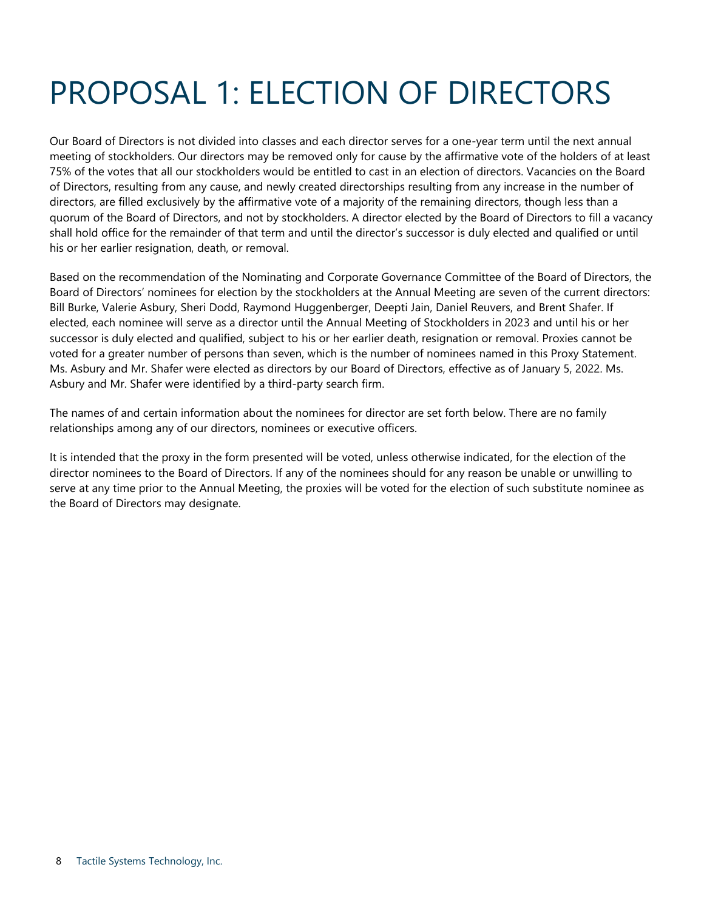# <span id="page-7-0"></span>PROPOSAL 1: ELECTION OF DIRECTORS

Our Board of Directors is not divided into classes and each director serves for a one-year term until the next annual meeting of stockholders. Our directors may be removed only for cause by the affirmative vote of the holders of at least 75% of the votes that all our stockholders would be entitled to cast in an election of directors. Vacancies on the Board of Directors, resulting from any cause, and newly created directorships resulting from any increase in the number of directors, are filled exclusively by the affirmative vote of a majority of the remaining directors, though less than a quorum of the Board of Directors, and not by stockholders. A director elected by the Board of Directors to fill a vacancy shall hold office for the remainder of that term and until the director's successor is duly elected and qualified or until his or her earlier resignation, death, or removal.

Based on the recommendation of the Nominating and Corporate Governance Committee of the Board of Directors, the Board of Directors' nominees for election by the stockholders at the Annual Meeting are seven of the current directors: Bill Burke, Valerie Asbury, Sheri Dodd, Raymond Huggenberger, Deepti Jain, Daniel Reuvers, and Brent Shafer. If elected, each nominee will serve as a director until the Annual Meeting of Stockholders in 2023 and until his or her successor is duly elected and qualified, subject to his or her earlier death, resignation or removal. Proxies cannot be voted for a greater number of persons than seven, which is the number of nominees named in this Proxy Statement. Ms. Asbury and Mr. Shafer were elected as directors by our Board of Directors, effective as of January 5, 2022. Ms. Asbury and Mr. Shafer were identified by a third-party search firm.

The names of and certain information about the nominees for director are set forth below. There are no family relationships among any of our directors, nominees or executive officers.

It is intended that the proxy in the form presented will be voted, unless otherwise indicated, for the election of the director nominees to the Board of Directors. If any of the nominees should for any reason be unable or unwilling to serve at any time prior to the Annual Meeting, the proxies will be voted for the election of such substitute nominee as the Board of Directors may designate.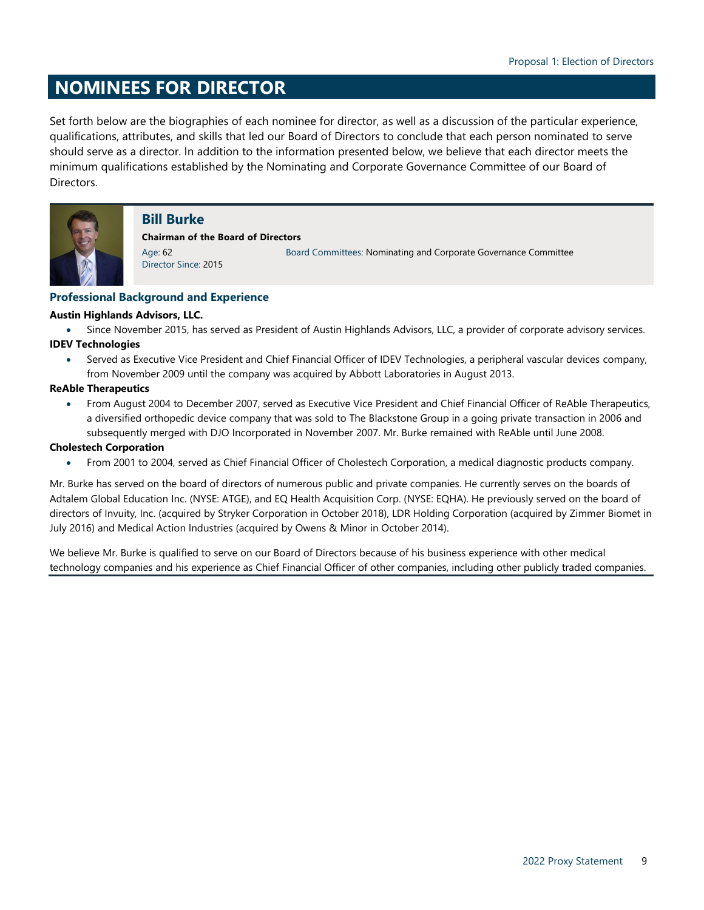# **NOMINEES FOR DIRECTOR**

Set forth below are the biographies of each nominee for director, as well as a discussion of the particular experience, qualifications, attributes, and skills that led our Board of Directors to conclude that each person nominated to serve should serve as a director. In addition to the information presented below, we believe that each director meets the minimum qualifications established by the Nominating and Corporate Governance Committee of our Board of Directors.



## **Bill Burke**

**Chairman of the Board of Directors**

Age: 62 Director Since: 2015 <span id="page-8-0"></span>Board Committees: Nominating and Corporate Governance Committee

## **Professional Background and Experience**

### **Austin Highlands Advisors, LLC.**

• Since November 2015, has served as President of Austin Highlands Advisors, LLC, a provider of corporate advisory services. **IDEV Technologies**

• Served as Executive Vice President and Chief Financial Officer of IDEV Technologies, a peripheral vascular devices company, from November 2009 until the company was acquired by Abbott Laboratories in August 2013.

## **ReAble Therapeutics**

• From August 2004 to December 2007, served as Executive Vice President and Chief Financial Officer of ReAble Therapeutics, a diversified orthopedic device company that was sold to The Blackstone Group in a going private transaction in 2006 and subsequently merged with DJO Incorporated in November 2007. Mr. Burke remained with ReAble until June 2008.

## **Cholestech Corporation**

• From 2001 to 2004, served as Chief Financial Officer of Cholestech Corporation, a medical diagnostic products company.

Mr. Burke has served on the board of directors of numerous public and private companies. He currently serves on the boards of Adtalem Global Education Inc. (NYSE: ATGE), and EQ Health Acquisition Corp. (NYSE: EQHA). He previously served on the board of directors of Invuity, Inc. (acquired by Stryker Corporation in October 2018), LDR Holding Corporation (acquired by Zimmer Biomet in July 2016) and Medical Action Industries (acquired by Owens & Minor in October 2014).

We believe Mr. Burke is qualified to serve on our Board of Directors because of his business experience with other medical technology companies and his experience as Chief Financial Officer of other companies, including other publicly traded companies.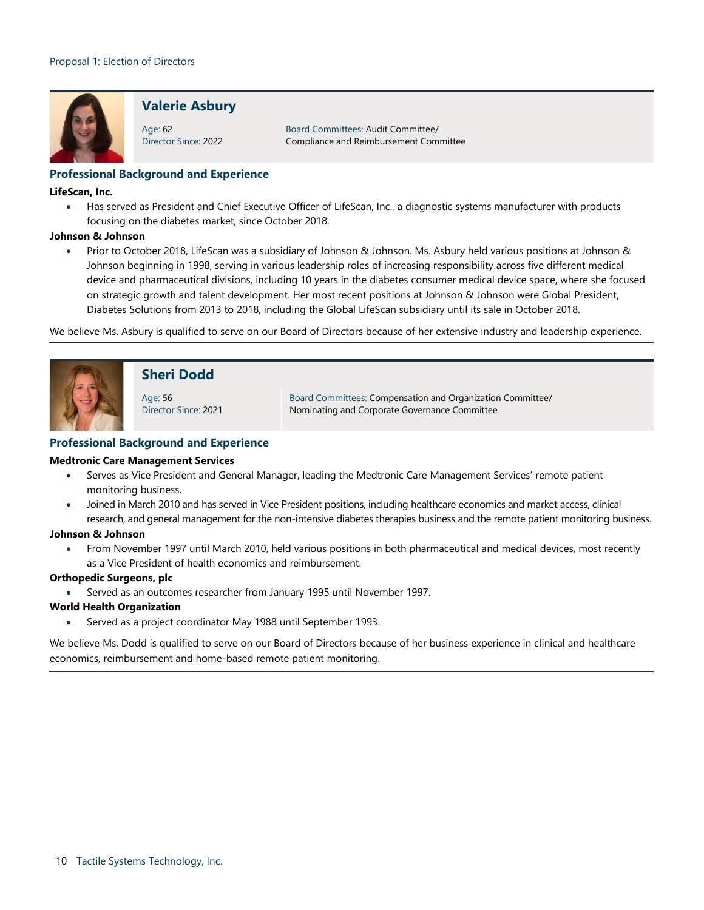

## **Valerie Asbury**

Age: 62 Director Since: 2022

Board Committees: Audit Committee/ Compliance and Reimbursement Committee

## **Professional Background and Experience**

#### **LifeScan, Inc.**

• Has served as President and Chief Executive Officer of LifeScan, Inc., a diagnostic systems manufacturer with products focusing on the diabetes market, since October 2018.

#### **Johnson & Johnson**

• Prior to October 2018, LifeScan was a subsidiary of Johnson & Johnson. Ms. Asbury held various positions at Johnson & Johnson beginning in 1998, serving in various leadership roles of increasing responsibility across five different medical device and pharmaceutical divisions, including 10 years in the diabetes consumer medical device space, where she focused on strategic growth and talent development. Her most recent positions at Johnson & Johnson were Global President, Diabetes Solutions from 2013 to 2018, including the Global LifeScan subsidiary until its sale in October 2018.

We believe Ms. Asbury is qualified to serve on our Board of Directors because of her extensive industry and leadership experience.



## **Sheri Dodd**

Age: 56 Director Since: 2021 Board Committees: Compensation and Organization Committee/ Nominating and Corporate Governance Committee

### **Professional Background and Experience**

### **Medtronic Care Management Services**

- Serves as Vice President and General Manager, leading the Medtronic Care Management Services' remote patient monitoring business.
- Joined in March 2010 and has served in Vice President positions, including healthcare economics and market access, clinical research, and general management for the non-intensive diabetes therapies business and the remote patient monitoring business.

#### **Johnson & Johnson**

• From November 1997 until March 2010, held various positions in both pharmaceutical and medical devices, most recently as a Vice President of health economics and reimbursement.

### **Orthopedic Surgeons, plc**

• Served as an outcomes researcher from January 1995 until November 1997.

#### **World Health Organization**

• Served as a project coordinator May 1988 until September 1993.

We believe Ms. Dodd is qualified to serve on our Board of Directors because of her business experience in clinical and healthcare economics, reimbursement and home-based remote patient monitoring.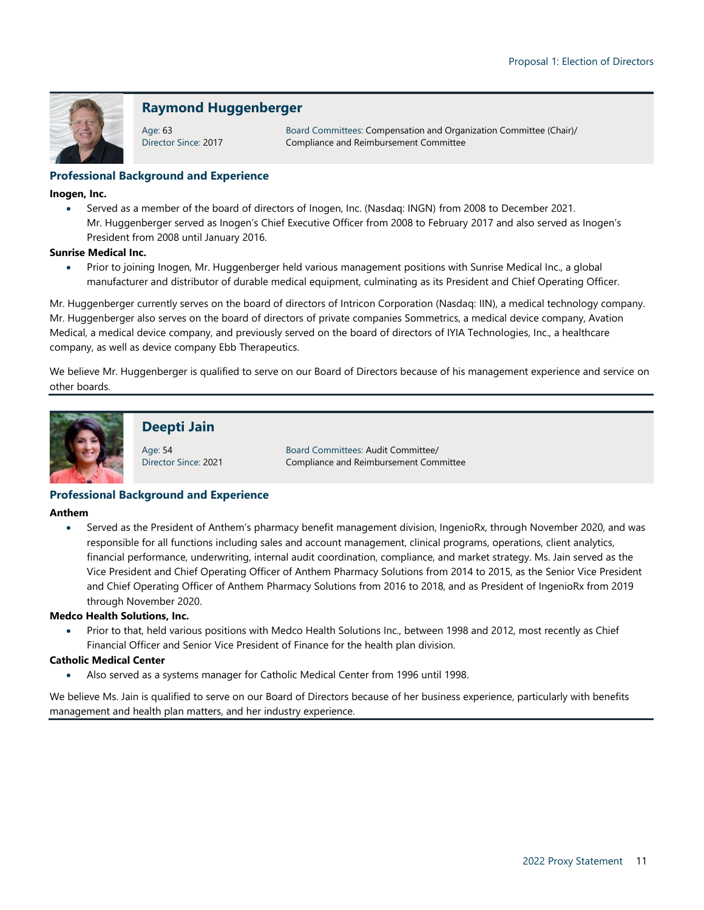

## **Raymond Huggenberger**

Age: 63 Director Since: 2017

Board Committees: Compensation and Organization Committee (Chair)/ Compliance and Reimbursement Committee

## **Professional Background and Experience**

### **Inogen, Inc.**

• Served as a member of the board of directors of Inogen, Inc. (Nasdaq: INGN) from 2008 to December 2021. Mr. Huggenberger served as Inogen's Chief Executive Officer from 2008 to February 2017 and also served as Inogen's President from 2008 until January 2016.

### **Sunrise Medical Inc.**

• Prior to joining Inogen, Mr. Huggenberger held various management positions with Sunrise Medical Inc., a global manufacturer and distributor of durable medical equipment, culminating as its President and Chief Operating Officer.

Mr. Huggenberger currently serves on the board of directors of Intricon Corporation (Nasdaq: IIN), a medical technology company. Mr. Huggenberger also serves on the board of directors of private companies Sommetrics, a medical device company, Avation Medical, a medical device company, and previously served on the board of directors of IYIA Technologies, Inc., a healthcare company, as well as device company Ebb Therapeutics.

We believe Mr. Huggenberger is qualified to serve on our Board of Directors because of his management experience and service on other boards.



## **Deepti Jain**

Age: 54 Director Since: 2021

Board Committees: Audit Committee/ Compliance and Reimbursement Committee

### **Professional Background and Experience**

#### **Anthem**

• Served as the President of Anthem's pharmacy benefit management division, IngenioRx, through November 2020, and was responsible for all functions including sales and account management, clinical programs, operations, client analytics, financial performance, underwriting, internal audit coordination, compliance, and market strategy. Ms. Jain served as the Vice President and Chief Operating Officer of Anthem Pharmacy Solutions from 2014 to 2015, as the Senior Vice President and Chief Operating Officer of Anthem Pharmacy Solutions from 2016 to 2018, and as President of IngenioRx from 2019 through November 2020.

### **Medco Health Solutions, Inc.**

Prior to that, held various positions with Medco Health Solutions Inc., between 1998 and 2012, most recently as Chief Financial Officer and Senior Vice President of Finance for the health plan division.

### **Catholic Medical Center**

• Also served as a systems manager for Catholic Medical Center from 1996 until 1998.

We believe Ms. Jain is qualified to serve on our Board of Directors because of her business experience, particularly with benefits management and health plan matters, and her industry experience.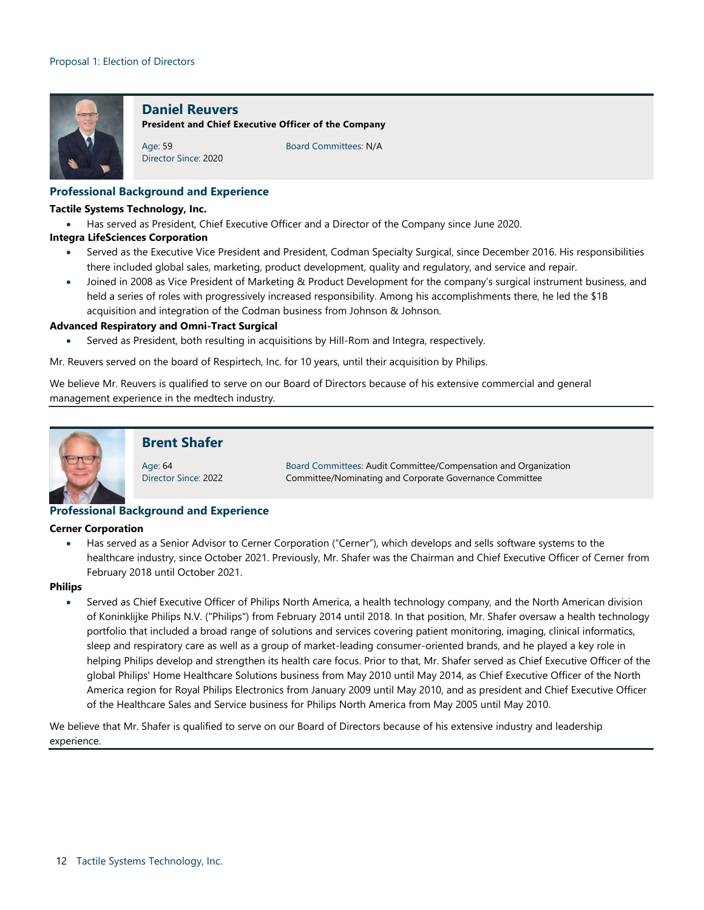

### **Daniel Reuvers**

**President and Chief Executive Officer of the Company**

Age: 59 Director Since: 2020 Board Committees: N/A

### **Professional Background and Experience**

#### **Tactile Systems Technology, Inc.**

• Has served as President, Chief Executive Officer and a Director of the Company since June 2020.

#### **Integra LifeSciences Corporation**

- Served as the Executive Vice President and President, Codman Specialty Surgical, since December 2016. His responsibilities there included global sales, marketing, product development, quality and regulatory, and service and repair.
- Joined in 2008 as Vice President of Marketing & Product Development for the company's surgical instrument business, and held a series of roles with progressively increased responsibility. Among his accomplishments there, he led the \$1B acquisition and integration of the Codman business from Johnson & Johnson.

#### **Advanced Respiratory and Omni-Tract Surgical**

Served as President, both resulting in acquisitions by Hill-Rom and Integra, respectively.

Mr. Reuvers served on the board of Respirtech, Inc. for 10 years, until their acquisition by Philips.

We believe Mr. Reuvers is qualified to serve on our Board of Directors because of his extensive commercial and general management experience in the medtech industry.



## **Brent Shafer**

Age: 64 Director Since: 2022

Board Committees: Audit Committee/Compensation and Organization Committee/Nominating and Corporate Governance Committee

### **Professional Background and Experience**

#### **Cerner Corporation**

• Has served as a Senior Advisor to Cerner Corporation ("Cerner"), which develops and sells software systems to the healthcare industry, since October 2021. Previously, Mr. Shafer was the Chairman and Chief Executive Officer of Cerner from February 2018 until October 2021.

#### **Philips**

• Served as Chief Executive Officer of Philips North America, a health technology company, and the North American division of Koninklijke Philips N.V. ("Philips") from February 2014 until 2018. In that position, Mr. Shafer oversaw a health technology portfolio that included a broad range of solutions and services covering patient monitoring, imaging, clinical informatics, sleep and respiratory care as well as a group of market-leading consumer-oriented brands, and he played a key role in helping Philips develop and strengthen its health care focus. Prior to that, Mr. Shafer served as Chief Executive Officer of the global Philips' Home Healthcare Solutions business from May 2010 until May 2014, as Chief Executive Officer of the North America region for Royal Philips Electronics from January 2009 until May 2010, and as president and Chief Executive Officer of the Healthcare Sales and Service business for Philips North America from May 2005 until May 2010.

We believe that Mr. Shafer is qualified to serve on our Board of Directors because of his extensive industry and leadership experience.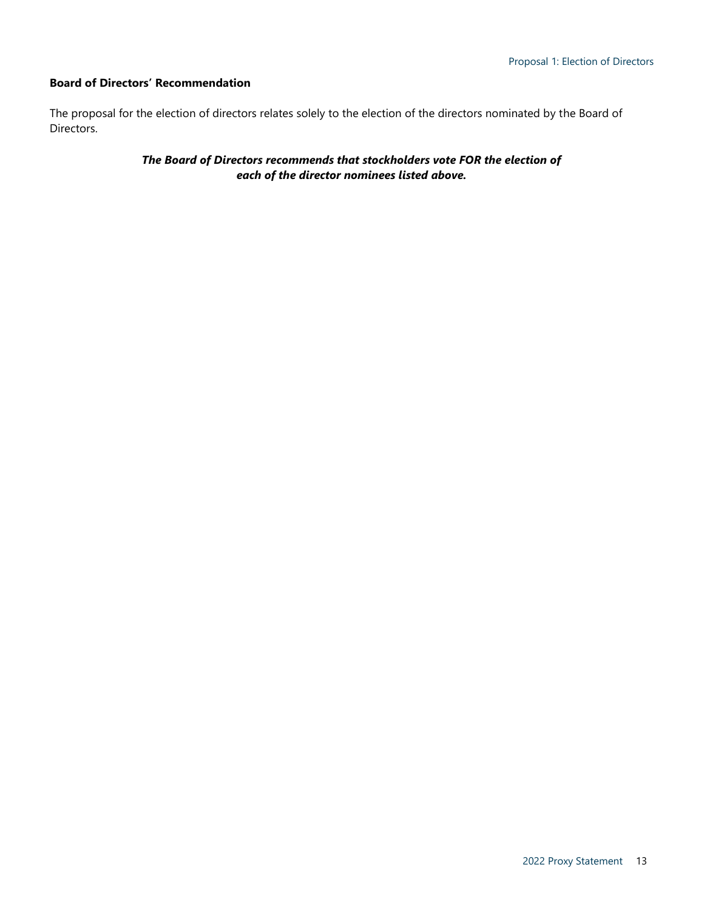## **Board of Directors' Recommendation**

The proposal for the election of directors relates solely to the election of the directors nominated by the Board of Directors.

> <span id="page-12-0"></span>*The Board of Directors recommends that stockholders vote FOR the election of each of the director nominees listed above.*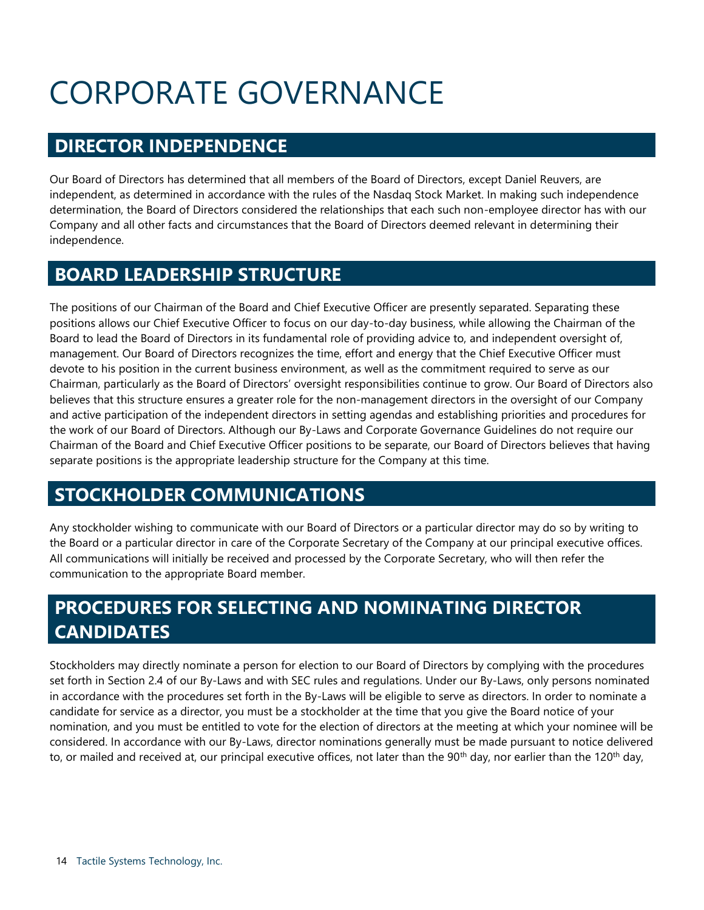# <span id="page-13-0"></span>CORPORATE GOVERNANCE

# <span id="page-13-1"></span>**DIRECTOR INDEPENDENCE**

Our Board of Directors has determined that all members of the Board of Directors, except Daniel Reuvers, are independent, as determined in accordance with the rules of the Nasdaq Stock Market. In making such independence determination, the Board of Directors considered the relationships that each such non-employee director has with our Company and all other facts and circumstances that the Board of Directors deemed relevant in determining their independence.

# <span id="page-13-2"></span>**BOARD LEADERSHIP STRUCTURE**

The positions of our Chairman of the Board and Chief Executive Officer are presently separated. Separating these positions allows our Chief Executive Officer to focus on our day-to-day business, while allowing the Chairman of the Board to lead the Board of Directors in its fundamental role of providing advice to, and independent oversight of, management. Our Board of Directors recognizes the time, effort and energy that the Chief Executive Officer must devote to his position in the current business environment, as well as the commitment required to serve as our Chairman, particularly as the Board of Directors' oversight responsibilities continue to grow. Our Board of Directors also believes that this structure ensures a greater role for the non-management directors in the oversight of our Company and active participation of the independent directors in setting agendas and establishing priorities and procedures for the work of our Board of Directors. Although our By-Laws and Corporate Governance Guidelines do not require our Chairman of the Board and Chief Executive Officer positions to be separate, our Board of Directors believes that having separate positions is the appropriate leadership structure for the Company at this time.

# <span id="page-13-3"></span>**STOCKHOLDER COMMUNICATIONS**

Any stockholder wishing to communicate with our Board of Directors or a particular director may do so by writing to the Board or a particular director in care of the Corporate Secretary of the Company at our principal executive offices. All communications will initially be received and processed by the Corporate Secretary, who will then refer the communication to the appropriate Board member.

# <span id="page-13-4"></span>**PROCEDURES FOR SELECTING AND NOMINATING DIRECTOR CANDIDATES**

Stockholders may directly nominate a person for election to our Board of Directors by complying with the procedures set forth in Section 2.4 of our By-Laws and with SEC rules and regulations. Under our By-Laws, only persons nominated in accordance with the procedures set forth in the By-Laws will be eligible to serve as directors. In order to nominate a candidate for service as a director, you must be a stockholder at the time that you give the Board notice of your nomination, and you must be entitled to vote for the election of directors at the meeting at which your nominee will be considered. In accordance with our By-Laws, director nominations generally must be made pursuant to notice delivered to, or mailed and received at, our principal executive offices, not later than the 90<sup>th</sup> day, nor earlier than the 120<sup>th</sup> day,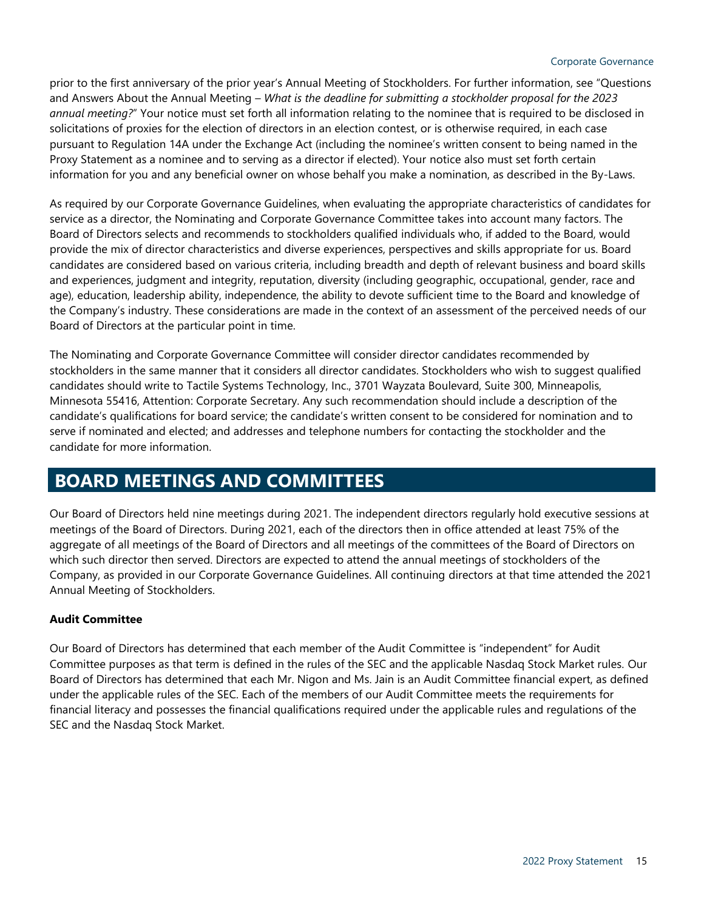prior to the first anniversary of the prior year's Annual Meeting of Stockholders. For further information, see "Questions and Answers About the Annual Meeting – *What is the deadline for submitting a stockholder proposal for the 2023 annual meeting?*" Your notice must set forth all information relating to the nominee that is required to be disclosed in solicitations of proxies for the election of directors in an election contest, or is otherwise required, in each case pursuant to Regulation 14A under the Exchange Act (including the nominee's written consent to being named in the Proxy Statement as a nominee and to serving as a director if elected). Your notice also must set forth certain information for you and any beneficial owner on whose behalf you make a nomination, as described in the By-Laws.

As required by our Corporate Governance Guidelines, when evaluating the appropriate characteristics of candidates for service as a director, the Nominating and Corporate Governance Committee takes into account many factors. The Board of Directors selects and recommends to stockholders qualified individuals who, if added to the Board, would provide the mix of director characteristics and diverse experiences, perspectives and skills appropriate for us. Board candidates are considered based on various criteria, including breadth and depth of relevant business and board skills and experiences, judgment and integrity, reputation, diversity (including geographic, occupational, gender, race and age), education, leadership ability, independence, the ability to devote sufficient time to the Board and knowledge of the Company's industry. These considerations are made in the context of an assessment of the perceived needs of our Board of Directors at the particular point in time.

The Nominating and Corporate Governance Committee will consider director candidates recommended by stockholders in the same manner that it considers all director candidates. Stockholders who wish to suggest qualified candidates should write to Tactile Systems Technology, Inc., 3701 Wayzata Boulevard, Suite 300, Minneapolis, Minnesota 55416, Attention: Corporate Secretary. Any such recommendation should include a description of the candidate's qualifications for board service; the candidate's written consent to be considered for nomination and to serve if nominated and elected; and addresses and telephone numbers for contacting the stockholder and the candidate for more information.

# <span id="page-14-0"></span>**BOARD MEETINGS AND COMMITTEES**

Our Board of Directors held nine meetings during 2021. The independent directors regularly hold executive sessions at meetings of the Board of Directors. During 2021, each of the directors then in office attended at least 75% of the aggregate of all meetings of the Board of Directors and all meetings of the committees of the Board of Directors on which such director then served. Directors are expected to attend the annual meetings of stockholders of the Company, as provided in our Corporate Governance Guidelines. All continuing directors at that time attended the 2021 Annual Meeting of Stockholders.

## **Audit Committee**

Our Board of Directors has determined that each member of the Audit Committee is "independent" for Audit Committee purposes as that term is defined in the rules of the SEC and the applicable Nasdaq Stock Market rules. Our Board of Directors has determined that each Mr. Nigon and Ms. Jain is an Audit Committee financial expert, as defined under the applicable rules of the SEC. Each of the members of our Audit Committee meets the requirements for financial literacy and possesses the financial qualifications required under the applicable rules and regulations of the SEC and the Nasdaq Stock Market.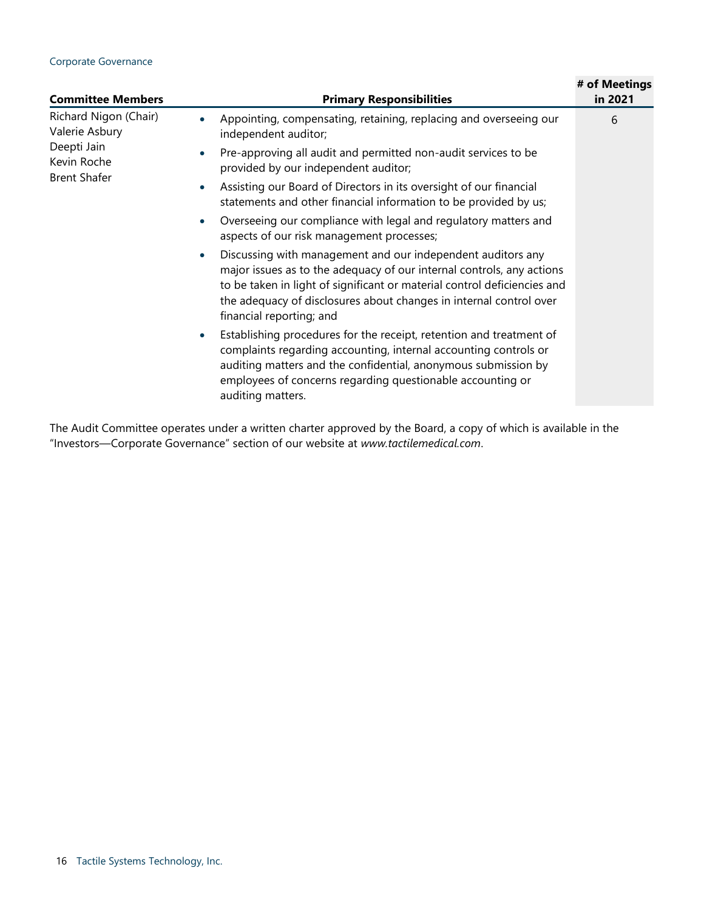### Corporate Governance

| <b>Committee Members</b>                                                                                                                         | <b>Primary Responsibilities</b>                                                                                                                                                                                                                                                                                                                                                                                                                                                                                                                                                                                                                                                                                                                                                                                                                                                                                                                                                                                                                                                     | # of Meetings<br>in 2021 |
|--------------------------------------------------------------------------------------------------------------------------------------------------|-------------------------------------------------------------------------------------------------------------------------------------------------------------------------------------------------------------------------------------------------------------------------------------------------------------------------------------------------------------------------------------------------------------------------------------------------------------------------------------------------------------------------------------------------------------------------------------------------------------------------------------------------------------------------------------------------------------------------------------------------------------------------------------------------------------------------------------------------------------------------------------------------------------------------------------------------------------------------------------------------------------------------------------------------------------------------------------|--------------------------|
| Richard Nigon (Chair)<br>Valerie Asbury<br>Deepti Jain<br>$\bullet$<br>Kevin Roche<br><b>Brent Shafer</b><br>$\bullet$<br>$\bullet$<br>$\bullet$ | Appointing, compensating, retaining, replacing and overseeing our<br>independent auditor;<br>Pre-approving all audit and permitted non-audit services to be<br>provided by our independent auditor;<br>Assisting our Board of Directors in its oversight of our financial<br>statements and other financial information to be provided by us;<br>Overseeing our compliance with legal and regulatory matters and<br>aspects of our risk management processes;<br>Discussing with management and our independent auditors any<br>major issues as to the adequacy of our internal controls, any actions<br>to be taken in light of significant or material control deficiencies and<br>the adequacy of disclosures about changes in internal control over<br>financial reporting; and<br>Establishing procedures for the receipt, retention and treatment of<br>complaints regarding accounting, internal accounting controls or<br>auditing matters and the confidential, anonymous submission by<br>employees of concerns regarding questionable accounting or<br>auditing matters. | 6                        |

The Audit Committee operates under a written charter approved by the Board, a copy of which is available in the "Investors—Corporate Governance" section of our website at *www.tactilemedical.com*.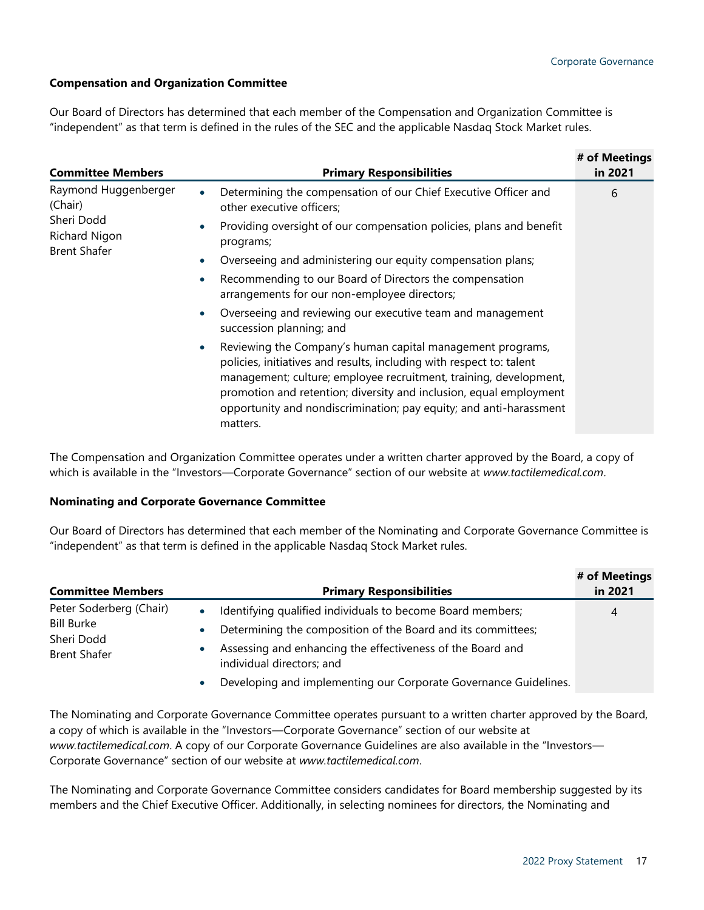## **Compensation and Organization Committee**

Our Board of Directors has determined that each member of the Compensation and Organization Committee is "independent" as that term is defined in the rules of the SEC and the applicable Nasdaq Stock Market rules.

| <b>Committee Members</b>    | <b>Primary Responsibilities</b>                                                                                                                                                                                                                                                                                                                                 | # of Meetings<br>in 2021 |
|-----------------------------|-----------------------------------------------------------------------------------------------------------------------------------------------------------------------------------------------------------------------------------------------------------------------------------------------------------------------------------------------------------------|--------------------------|
| Raymond Huggenberger        | Determining the compensation of our Chief Executive Officer and                                                                                                                                                                                                                                                                                                 | 6                        |
| (Chair)                     | other executive officers;                                                                                                                                                                                                                                                                                                                                       |                          |
| Sheri Dodd<br>Richard Nigon | Providing oversight of our compensation policies, plans and benefit<br>programs;                                                                                                                                                                                                                                                                                |                          |
| <b>Brent Shafer</b>         | Overseeing and administering our equity compensation plans;                                                                                                                                                                                                                                                                                                     |                          |
|                             | Recommending to our Board of Directors the compensation<br>arrangements for our non-employee directors;                                                                                                                                                                                                                                                         |                          |
|                             | Overseeing and reviewing our executive team and management<br>succession planning; and                                                                                                                                                                                                                                                                          |                          |
|                             | Reviewing the Company's human capital management programs,<br>policies, initiatives and results, including with respect to: talent<br>management; culture; employee recruitment, training, development,<br>promotion and retention; diversity and inclusion, equal employment<br>opportunity and nondiscrimination; pay equity; and anti-harassment<br>matters. |                          |

The Compensation and Organization Committee operates under a written charter approved by the Board, a copy of which is available in the "Investors—Corporate Governance" section of our website at *www.tactilemedical.com*.

### **Nominating and Corporate Governance Committee**

Our Board of Directors has determined that each member of the Nominating and Corporate Governance Committee is "independent" as that term is defined in the applicable Nasdaq Stock Market rules.

|                                                        |                                                                                         | # of Meetings |
|--------------------------------------------------------|-----------------------------------------------------------------------------------------|---------------|
| <b>Committee Members</b>                               | <b>Primary Responsibilities</b>                                                         | in 2021       |
| Peter Soderberg (Chair)                                | Identifying qualified individuals to become Board members;                              | 4             |
| <b>Bill Burke</b><br>Sheri Dodd<br><b>Brent Shafer</b> | Determining the composition of the Board and its committees;                            |               |
|                                                        | Assessing and enhancing the effectiveness of the Board and<br>individual directors; and |               |
|                                                        | Developing and implementing our Corporate Governance Guidelines.                        |               |

The Nominating and Corporate Governance Committee operates pursuant to a written charter approved by the Board, a copy of which is available in the "Investors—Corporate Governance" section of our website at *www.tactilemedical.com*. A copy of our Corporate Governance Guidelines are also available in the "Investors— Corporate Governance" section of our website at *www.tactilemedical.com*.

The Nominating and Corporate Governance Committee considers candidates for Board membership suggested by its members and the Chief Executive Officer. Additionally, in selecting nominees for directors, the Nominating and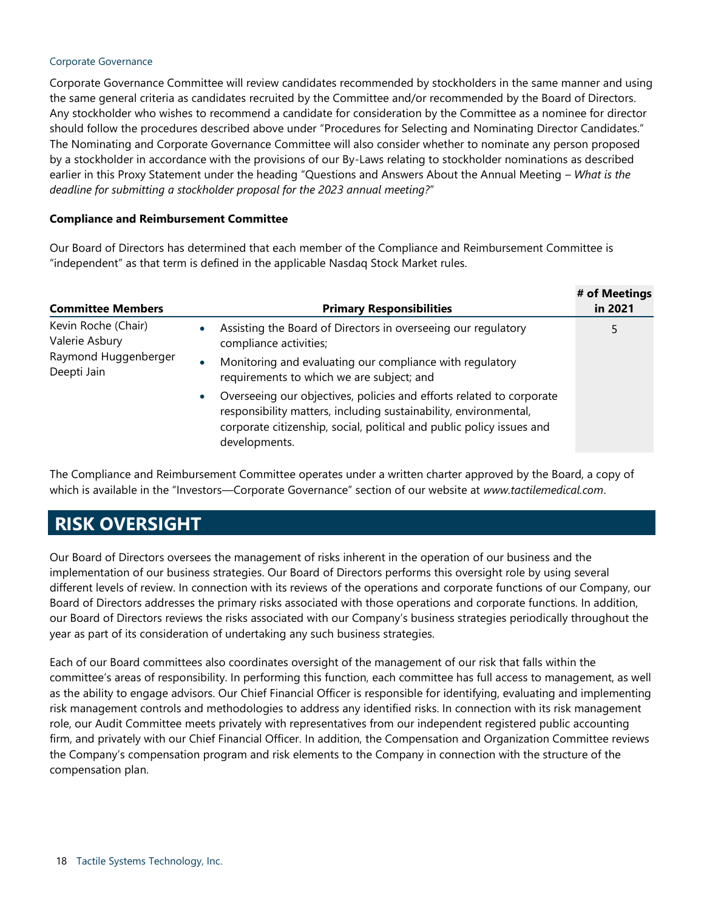### Corporate Governance

Corporate Governance Committee will review candidates recommended by stockholders in the same manner and using the same general criteria as candidates recruited by the Committee and/or recommended by the Board of Directors. Any stockholder who wishes to recommend a candidate for consideration by the Committee as a nominee for director should follow the procedures described above under "Procedures for Selecting and Nominating Director Candidates." The Nominating and Corporate Governance Committee will also consider whether to nominate any person proposed by a stockholder in accordance with the provisions of our By-Laws relating to stockholder nominations as described earlier in this Proxy Statement under the heading "Questions and Answers About the Annual Meeting – *What is the deadline for submitting a stockholder proposal for the 2023 annual meeting?*"

## **Compliance and Reimbursement Committee**

Our Board of Directors has determined that each member of the Compliance and Reimbursement Committee is "independent" as that term is defined in the applicable Nasdaq Stock Market rules.

| <b>Committee Members</b>                                                     |           | <b>Primary Responsibilities</b>                                                                                                                                                                                                    | # of Meetings<br>in 2021 |
|------------------------------------------------------------------------------|-----------|------------------------------------------------------------------------------------------------------------------------------------------------------------------------------------------------------------------------------------|--------------------------|
| Kevin Roche (Chair)<br>Valerie Asbury<br>Raymond Huggenberger<br>Deepti Jain |           | Assisting the Board of Directors in overseeing our regulatory<br>compliance activities;                                                                                                                                            | 5                        |
|                                                                              |           | Monitoring and evaluating our compliance with regulatory<br>requirements to which we are subject; and                                                                                                                              |                          |
|                                                                              | $\bullet$ | Overseeing our objectives, policies and efforts related to corporate<br>responsibility matters, including sustainability, environmental,<br>corporate citizenship, social, political and public policy issues and<br>developments. |                          |

The Compliance and Reimbursement Committee operates under a written charter approved by the Board, a copy of which is available in the "Investors—Corporate Governance" section of our website at *www.tactilemedical.com*.

# <span id="page-17-0"></span>**RISK OVERSIGHT**

Our Board of Directors oversees the management of risks inherent in the operation of our business and the implementation of our business strategies. Our Board of Directors performs this oversight role by using several different levels of review. In connection with its reviews of the operations and corporate functions of our Company, our Board of Directors addresses the primary risks associated with those operations and corporate functions. In addition, our Board of Directors reviews the risks associated with our Company's business strategies periodically throughout the year as part of its consideration of undertaking any such business strategies.

Each of our Board committees also coordinates oversight of the management of our risk that falls within the committee's areas of responsibility. In performing this function, each committee has full access to management, as well as the ability to engage advisors. Our Chief Financial Officer is responsible for identifying, evaluating and implementing risk management controls and methodologies to address any identified risks. In connection with its risk management role, our Audit Committee meets privately with representatives from our independent registered public accounting firm, and privately with our Chief Financial Officer. In addition, the Compensation and Organization Committee reviews the Company's compensation program and risk elements to the Company in connection with the structure of the compensation plan.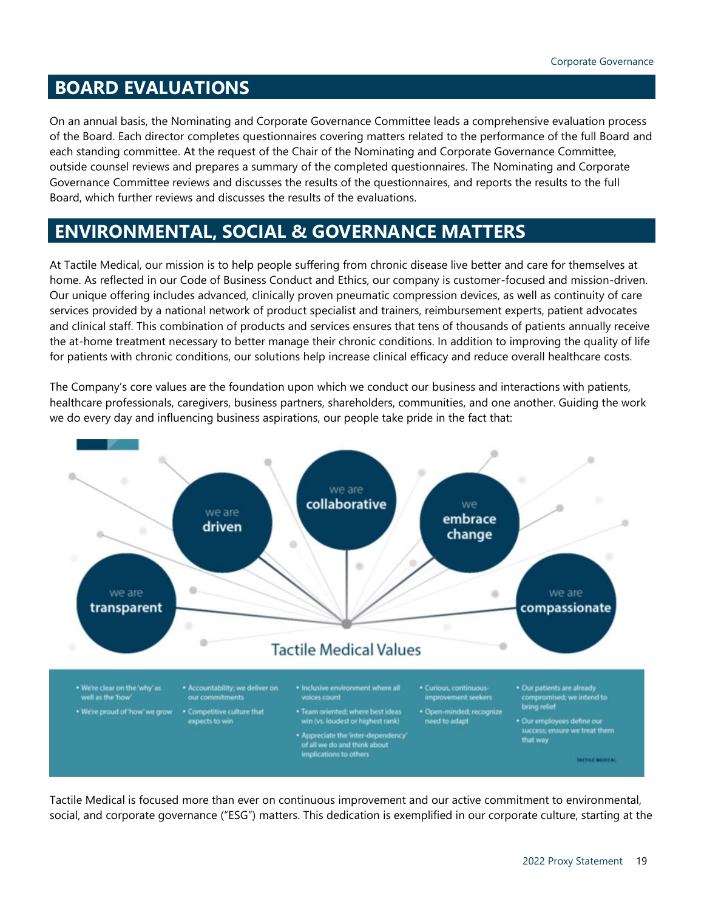# <span id="page-18-0"></span>**BOARD EVALUATIONS**

On an annual basis, the Nominating and Corporate Governance Committee leads a comprehensive evaluation process of the Board. Each director completes questionnaires covering matters related to the performance of the full Board and each standing committee. At the request of the Chair of the Nominating and Corporate Governance Committee, outside counsel reviews and prepares a summary of the completed questionnaires. The Nominating and Corporate Governance Committee reviews and discusses the results of the questionnaires, and reports the results to the full Board, which further reviews and discusses the results of the evaluations.

# <span id="page-18-1"></span>**ENVIRONMENTAL, SOCIAL & GOVERNANCE MATTERS**

At Tactile Medical, our mission is to help people suffering from chronic disease live better and care for themselves at home. As reflected in our Code of Business Conduct and Ethics, our company is customer-focused and mission-driven. Our unique offering includes advanced, clinically proven pneumatic compression devices, as well as continuity of care services provided by a national network of product specialist and trainers, reimbursement experts, patient advocates and clinical staff. This combination of products and services ensures that tens of thousands of patients annually receive the at-home treatment necessary to better manage their chronic conditions. In addition to improving the quality of life for patients with chronic conditions, our solutions help increase clinical efficacy and reduce overall healthcare costs.

The Company's core values are the foundation upon which we conduct our business and interactions with patients, healthcare professionals, caregivers, business partners, shareholders, communities, and one another. Guiding the work we do every day and influencing business aspirations, our people take pride in the fact that:



Tactile Medical is focused more than ever on continuous improvement and our active commitment to environmental, social, and corporate governance ("ESG") matters. This dedication is exemplified in our corporate culture, starting at the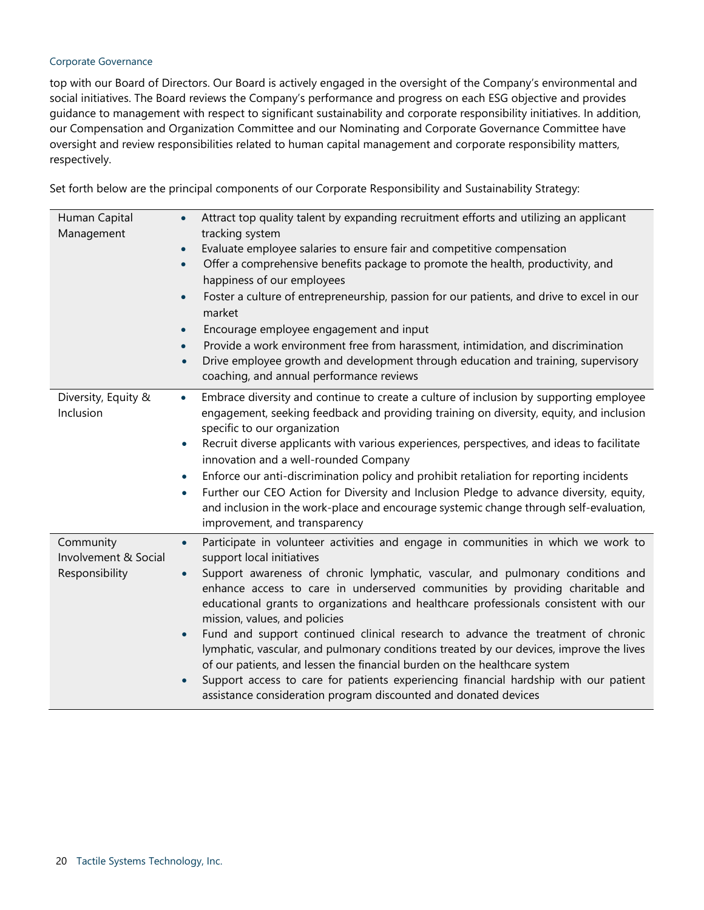### Corporate Governance

top with our Board of Directors. Our Board is actively engaged in the oversight of the Company's environmental and social initiatives. The Board reviews the Company's performance and progress on each ESG objective and provides guidance to management with respect to significant sustainability and corporate responsibility initiatives. In addition, our Compensation and Organization Committee and our Nominating and Corporate Governance Committee have oversight and review responsibilities related to human capital management and corporate responsibility matters, respectively.

Set forth below are the principal components of our Corporate Responsibility and Sustainability Strategy:

| Human Capital<br>Management                         | Attract top quality talent by expanding recruitment efforts and utilizing an applicant<br>$\bullet$<br>tracking system<br>Evaluate employee salaries to ensure fair and competitive compensation<br>Offer a comprehensive benefits package to promote the health, productivity, and<br>$\bullet$<br>happiness of our employees<br>Foster a culture of entrepreneurship, passion for our patients, and drive to excel in our<br>market<br>Encourage employee engagement and input<br>Provide a work environment free from harassment, intimidation, and discrimination<br>$\bullet$<br>Drive employee growth and development through education and training, supervisory<br>coaching, and annual performance reviews                                                                                                                                                                   |
|-----------------------------------------------------|---------------------------------------------------------------------------------------------------------------------------------------------------------------------------------------------------------------------------------------------------------------------------------------------------------------------------------------------------------------------------------------------------------------------------------------------------------------------------------------------------------------------------------------------------------------------------------------------------------------------------------------------------------------------------------------------------------------------------------------------------------------------------------------------------------------------------------------------------------------------------------------|
| Diversity, Equity &<br>Inclusion                    | Embrace diversity and continue to create a culture of inclusion by supporting employee<br>$\bullet$<br>engagement, seeking feedback and providing training on diversity, equity, and inclusion<br>specific to our organization<br>Recruit diverse applicants with various experiences, perspectives, and ideas to facilitate<br>$\bullet$<br>innovation and a well-rounded Company<br>Enforce our anti-discrimination policy and prohibit retaliation for reporting incidents<br>Further our CEO Action for Diversity and Inclusion Pledge to advance diversity, equity,<br>$\bullet$<br>and inclusion in the work-place and encourage systemic change through self-evaluation,<br>improvement, and transparency                                                                                                                                                                      |
| Community<br>Involvement & Social<br>Responsibility | Participate in volunteer activities and engage in communities in which we work to<br>$\bullet$<br>support local initiatives<br>Support awareness of chronic lymphatic, vascular, and pulmonary conditions and<br>$\bullet$<br>enhance access to care in underserved communities by providing charitable and<br>educational grants to organizations and healthcare professionals consistent with our<br>mission, values, and policies<br>Fund and support continued clinical research to advance the treatment of chronic<br>$\bullet$<br>lymphatic, vascular, and pulmonary conditions treated by our devices, improve the lives<br>of our patients, and lessen the financial burden on the healthcare system<br>Support access to care for patients experiencing financial hardship with our patient<br>$\bullet$<br>assistance consideration program discounted and donated devices |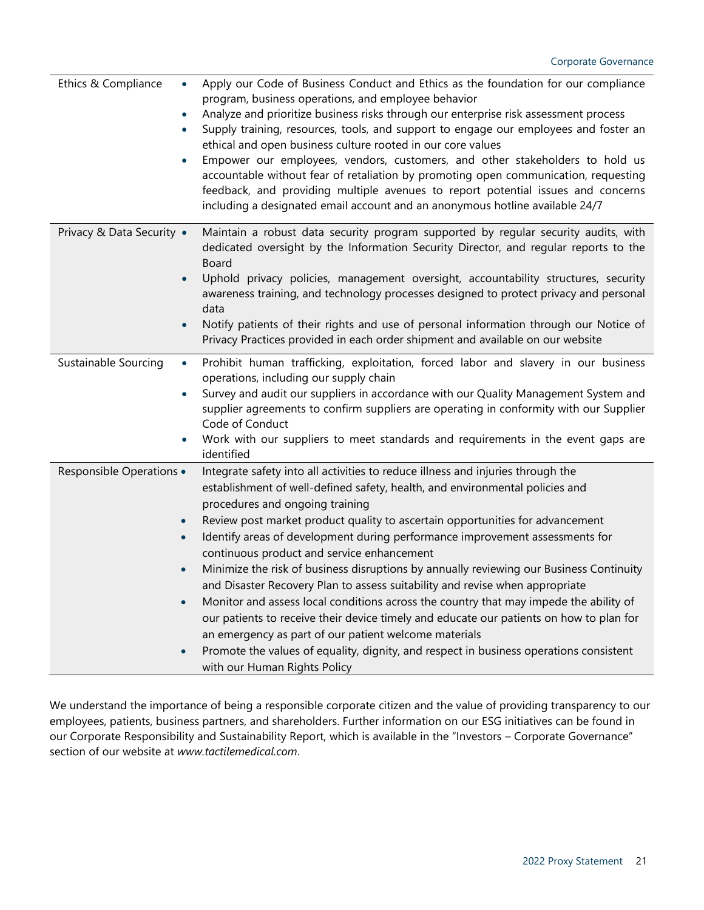| Ethics & Compliance<br>$\bullet$                   | Apply our Code of Business Conduct and Ethics as the foundation for our compliance<br>program, business operations, and employee behavior<br>Analyze and prioritize business risks through our enterprise risk assessment process<br>Supply training, resources, tools, and support to engage our employees and foster an<br>ethical and open business culture rooted in our core values<br>Empower our employees, vendors, customers, and other stakeholders to hold us<br>accountable without fear of retaliation by promoting open communication, requesting<br>feedback, and providing multiple avenues to report potential issues and concerns<br>including a designated email account and an anonymous hotline available 24/7                                                                                                                                                                                                                                 |
|----------------------------------------------------|---------------------------------------------------------------------------------------------------------------------------------------------------------------------------------------------------------------------------------------------------------------------------------------------------------------------------------------------------------------------------------------------------------------------------------------------------------------------------------------------------------------------------------------------------------------------------------------------------------------------------------------------------------------------------------------------------------------------------------------------------------------------------------------------------------------------------------------------------------------------------------------------------------------------------------------------------------------------|
| Privacy & Data Security .<br>$\bullet$             | Maintain a robust data security program supported by regular security audits, with<br>dedicated oversight by the Information Security Director, and regular reports to the<br>Board<br>Uphold privacy policies, management oversight, accountability structures, security<br>awareness training, and technology processes designed to protect privacy and personal<br>data<br>Notify patients of their rights and use of personal information through our Notice of<br>Privacy Practices provided in each order shipment and available on our website                                                                                                                                                                                                                                                                                                                                                                                                               |
| Sustainable Sourcing<br>$\bullet$                  | Prohibit human trafficking, exploitation, forced labor and slavery in our business<br>operations, including our supply chain<br>Survey and audit our suppliers in accordance with our Quality Management System and<br>supplier agreements to confirm suppliers are operating in conformity with our Supplier<br>Code of Conduct<br>Work with our suppliers to meet standards and requirements in the event gaps are<br>identified                                                                                                                                                                                                                                                                                                                                                                                                                                                                                                                                  |
| Responsible Operations .<br>$\bullet$<br>$\bullet$ | Integrate safety into all activities to reduce illness and injuries through the<br>establishment of well-defined safety, health, and environmental policies and<br>procedures and ongoing training<br>Review post market product quality to ascertain opportunities for advancement<br>Identify areas of development during performance improvement assessments for<br>continuous product and service enhancement<br>Minimize the risk of business disruptions by annually reviewing our Business Continuity<br>and Disaster Recovery Plan to assess suitability and revise when appropriate<br>Monitor and assess local conditions across the country that may impede the ability of<br>our patients to receive their device timely and educate our patients on how to plan for<br>an emergency as part of our patient welcome materials<br>Promote the values of equality, dignity, and respect in business operations consistent<br>with our Human Rights Policy |

We understand the importance of being a responsible corporate citizen and the value of providing transparency to our employees, patients, business partners, and shareholders. Further information on our ESG initiatives can be found in our Corporate Responsibility and Sustainability Report, which is available in the "Investors – Corporate Governance" section of our website at *www.tactilemedical.com*.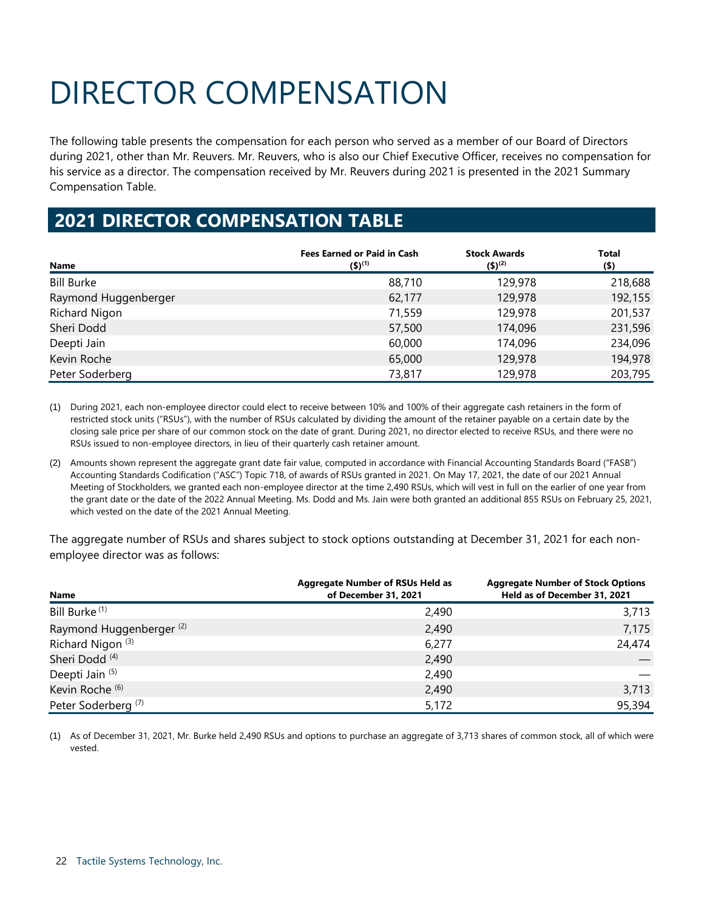# <span id="page-21-0"></span>DIRECTOR COMPENSATION

The following table presents the compensation for each person who served as a member of our Board of Directors during 2021, other than Mr. Reuvers. Mr. Reuvers, who is also our Chief Executive Officer, receives no compensation for his service as a director. The compensation received by Mr. Reuvers during 2021 is presented in the 2021 Summary Compensation Table.

# **2021 DIRECTOR COMPENSATION TABLE**

| Name                 | <b>Fees Earned or Paid in Cash</b><br>$(5)^{(1)}$ | <b>Stock Awards</b><br>$($ \$) <sup>(2)</sup> | <b>Total</b><br>$($ \$) |
|----------------------|---------------------------------------------------|-----------------------------------------------|-------------------------|
| <b>Bill Burke</b>    | 88,710                                            | 129,978                                       | 218,688                 |
| Raymond Huggenberger | 62,177                                            | 129,978                                       | 192,155                 |
| Richard Nigon        | 71,559                                            | 129,978                                       | 201,537                 |
| Sheri Dodd           | 57,500                                            | 174,096                                       | 231,596                 |
| Deepti Jain          | 60,000                                            | 174,096                                       | 234,096                 |
| Kevin Roche          | 65,000                                            | 129,978                                       | 194,978                 |
| Peter Soderberg      | 73,817                                            | 129,978                                       | 203,795                 |

(1) During 2021, each non-employee director could elect to receive between 10% and 100% of their aggregate cash retainers in the form of restricted stock units ("RSUs"), with the number of RSUs calculated by dividing the amount of the retainer payable on a certain date by the closing sale price per share of our common stock on the date of grant. During 2021, no director elected to receive RSUs, and there were no RSUs issued to non-employee directors, in lieu of their quarterly cash retainer amount.

(2) Amounts shown represent the aggregate grant date fair value, computed in accordance with Financial Accounting Standards Board ("FASB") Accounting Standards Codification ("ASC") Topic 718, of awards of RSUs granted in 2021. On May 17, 2021, the date of our 2021 Annual Meeting of Stockholders, we granted each non-employee director at the time 2,490 RSUs, which will vest in full on the earlier of one year from the grant date or the date of the 2022 Annual Meeting. Ms. Dodd and Ms. Jain were both granted an additional 855 RSUs on February 25, 2021, which vested on the date of the 2021 Annual Meeting.

The aggregate number of RSUs and shares subject to stock options outstanding at December 31, 2021 for each nonemployee director was as follows:

| Name                                | <b>Aggregate Number of RSUs Held as</b><br>of December 31, 2021 | <b>Aggregate Number of Stock Options</b><br>Held as of December 31, 2021 |
|-------------------------------------|-----------------------------------------------------------------|--------------------------------------------------------------------------|
| Bill Burke <sup>(1)</sup>           | 2,490                                                           | 3,713                                                                    |
| Raymond Huggenberger <sup>(2)</sup> | 2,490                                                           | 7,175                                                                    |
| Richard Nigon <sup>(3)</sup>        | 6,277                                                           | 24,474                                                                   |
| Sheri Dodd <sup>(4)</sup>           | 2,490                                                           |                                                                          |
| Deepti Jain (5)                     | 2,490                                                           |                                                                          |
| Kevin Roche <sup>(6)</sup>          | 2,490                                                           | 3,713                                                                    |
| Peter Soderberg <sup>(7)</sup>      | 5,172                                                           | 95,394                                                                   |

(1) As of December 31, 2021, Mr. Burke held 2,490 RSUs and options to purchase an aggregate of 3,713 shares of common stock, all of which were vested.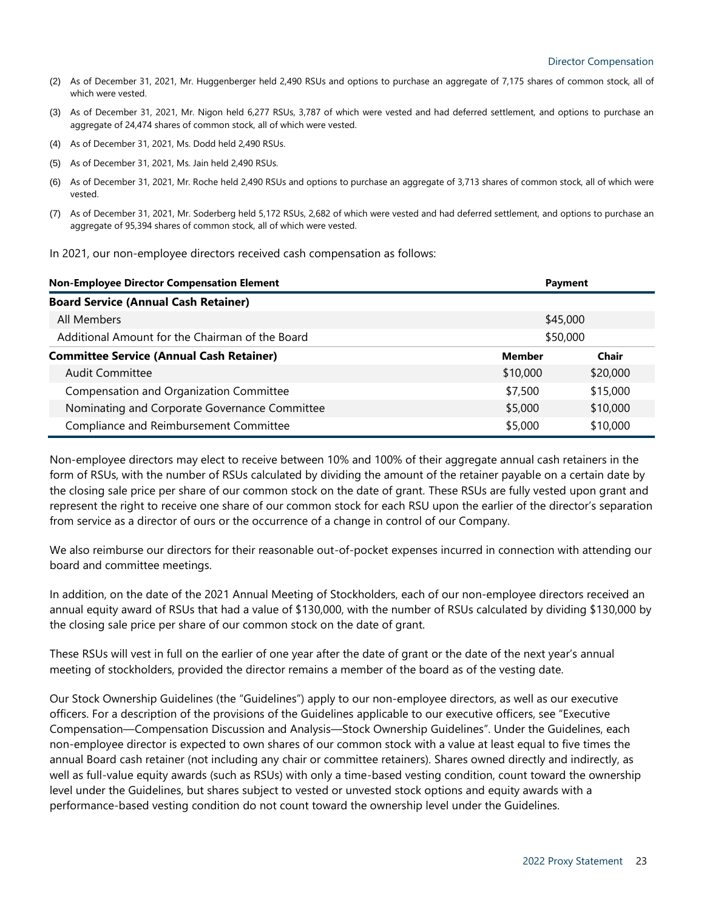- (2) As of December 31, 2021, Mr. Huggenberger held 2,490 RSUs and options to purchase an aggregate of 7,175 shares of common stock, all of which were vested.
- (3) As of December 31, 2021, Mr. Nigon held 6,277 RSUs, 3,787 of which were vested and had deferred settlement, and options to purchase an aggregate of 24,474 shares of common stock, all of which were vested.
- (4) As of December 31, 2021, Ms. Dodd held 2,490 RSUs.
- (5) As of December 31, 2021, Ms. Jain held 2,490 RSUs.
- (6) As of December 31, 2021, Mr. Roche held 2,490 RSUs and options to purchase an aggregate of 3,713 shares of common stock, all of which were vested.
- (7) As of December 31, 2021, Mr. Soderberg held 5,172 RSUs, 2,682 of which were vested and had deferred settlement, and options to purchase an aggregate of 95,394 shares of common stock, all of which were vested.

| In 2021, our non-employee directors received cash compensation as follows: |
|----------------------------------------------------------------------------|
|----------------------------------------------------------------------------|

| <b>Non-Employee Director Compensation Element</b>           |               | Payment  |  |  |  |
|-------------------------------------------------------------|---------------|----------|--|--|--|
| <b>Board Service (Annual Cash Retainer)</b>                 |               |          |  |  |  |
| All Members                                                 | \$45,000      |          |  |  |  |
| Additional Amount for the Chairman of the Board<br>\$50,000 |               |          |  |  |  |
| <b>Committee Service (Annual Cash Retainer)</b>             | <b>Member</b> | Chair    |  |  |  |
| <b>Audit Committee</b>                                      | \$10,000      | \$20,000 |  |  |  |
| Compensation and Organization Committee                     | \$7,500       | \$15,000 |  |  |  |
| Nominating and Corporate Governance Committee               | \$5,000       | \$10,000 |  |  |  |
| Compliance and Reimbursement Committee                      | \$5,000       | \$10,000 |  |  |  |

Non-employee directors may elect to receive between 10% and 100% of their aggregate annual cash retainers in the form of RSUs, with the number of RSUs calculated by dividing the amount of the retainer payable on a certain date by the closing sale price per share of our common stock on the date of grant. These RSUs are fully vested upon grant and represent the right to receive one share of our common stock for each RSU upon the earlier of the director's separation from service as a director of ours or the occurrence of a change in control of our Company.

We also reimburse our directors for their reasonable out-of-pocket expenses incurred in connection with attending our board and committee meetings.

In addition, on the date of the 2021 Annual Meeting of Stockholders, each of our non-employee directors received an annual equity award of RSUs that had a value of \$130,000, with the number of RSUs calculated by dividing \$130,000 by the closing sale price per share of our common stock on the date of grant.

These RSUs will vest in full on the earlier of one year after the date of grant or the date of the next year's annual meeting of stockholders, provided the director remains a member of the board as of the vesting date.

Our Stock Ownership Guidelines (the "Guidelines") apply to our non-employee directors, as well as our executive officers. For a description of the provisions of the Guidelines applicable to our executive officers, see "Executive Compensation—Compensation Discussion and Analysis—Stock Ownership Guidelines". Under the Guidelines, each non-employee director is expected to own shares of our common stock with a value at least equal to five times the annual Board cash retainer (not including any chair or committee retainers). Shares owned directly and indirectly, as well as full-value equity awards (such as RSUs) with only a time-based vesting condition, count toward the ownership level under the Guidelines, but shares subject to vested or unvested stock options and equity awards with a performance-based vesting condition do not count toward the ownership level under the Guidelines.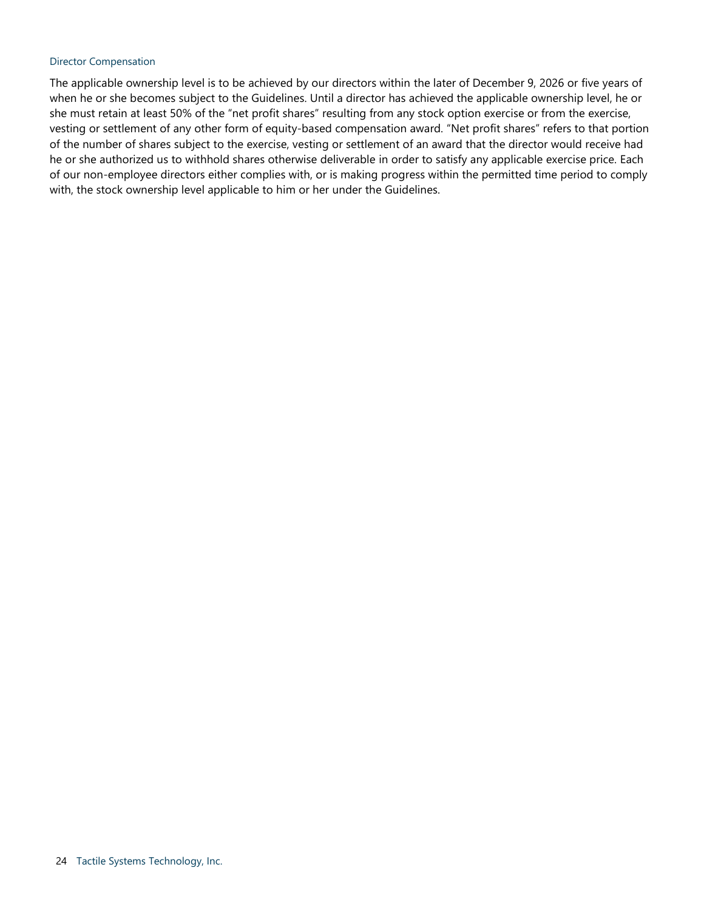### Director Compensation

The applicable ownership level is to be achieved by our directors within the later of December 9, 2026 or five years of when he or she becomes subject to the Guidelines. Until a director has achieved the applicable ownership level, he or she must retain at least 50% of the "net profit shares" resulting from any stock option exercise or from the exercise, vesting or settlement of any other form of equity-based compensation award. "Net profit shares" refers to that portion of the number of shares subject to the exercise, vesting or settlement of an award that the director would receive had he or she authorized us to withhold shares otherwise deliverable in order to satisfy any applicable exercise price. Each of our non-employee directors either complies with, or is making progress within the permitted time period to comply with, the stock ownership level applicable to him or her under the Guidelines.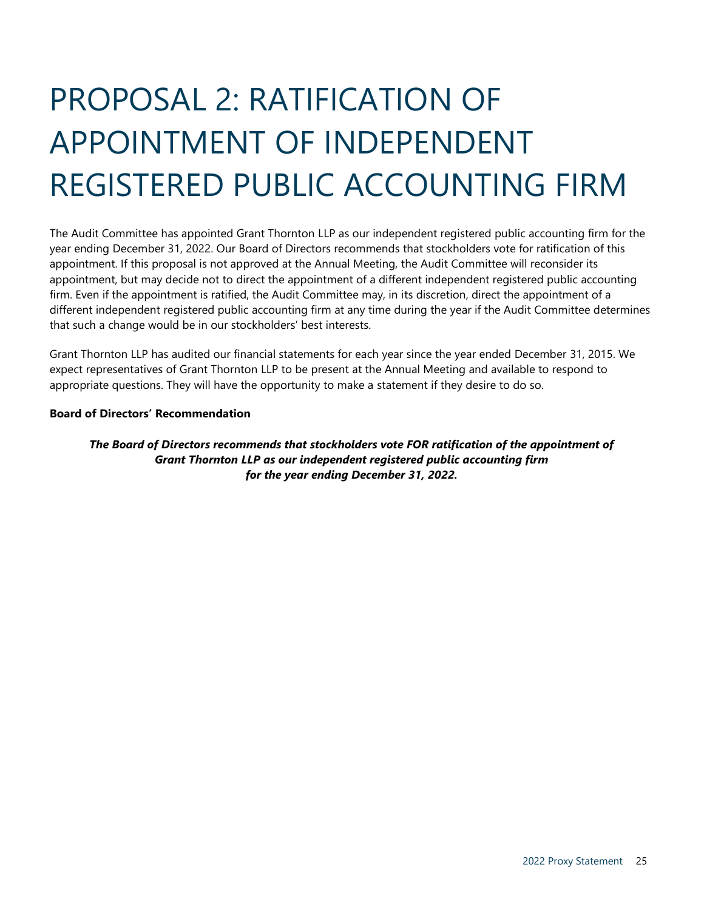# <span id="page-24-0"></span>PROPOSAL 2: RATIFICATION OF APPOINTMENT OF INDEPENDENT REGISTERED PUBLIC ACCOUNTING FIRM

The Audit Committee has appointed Grant Thornton LLP as our independent registered public accounting firm for the year ending December 31, 2022. Our Board of Directors recommends that stockholders vote for ratification of this appointment. If this proposal is not approved at the Annual Meeting, the Audit Committee will reconsider its appointment, but may decide not to direct the appointment of a different independent registered public accounting firm. Even if the appointment is ratified, the Audit Committee may, in its discretion, direct the appointment of a different independent registered public accounting firm at any time during the year if the Audit Committee determines that such a change would be in our stockholders' best interests.

Grant Thornton LLP has audited our financial statements for each year since the year ended December 31, 2015. We expect representatives of Grant Thornton LLP to be present at the Annual Meeting and available to respond to appropriate questions. They will have the opportunity to make a statement if they desire to do so.

## **Board of Directors' Recommendation**

<span id="page-24-1"></span>*The Board of Directors recommends that stockholders vote FOR ratification of the appointment of Grant Thornton LLP as our independent registered public accounting firm for the year ending December 31, 2022.*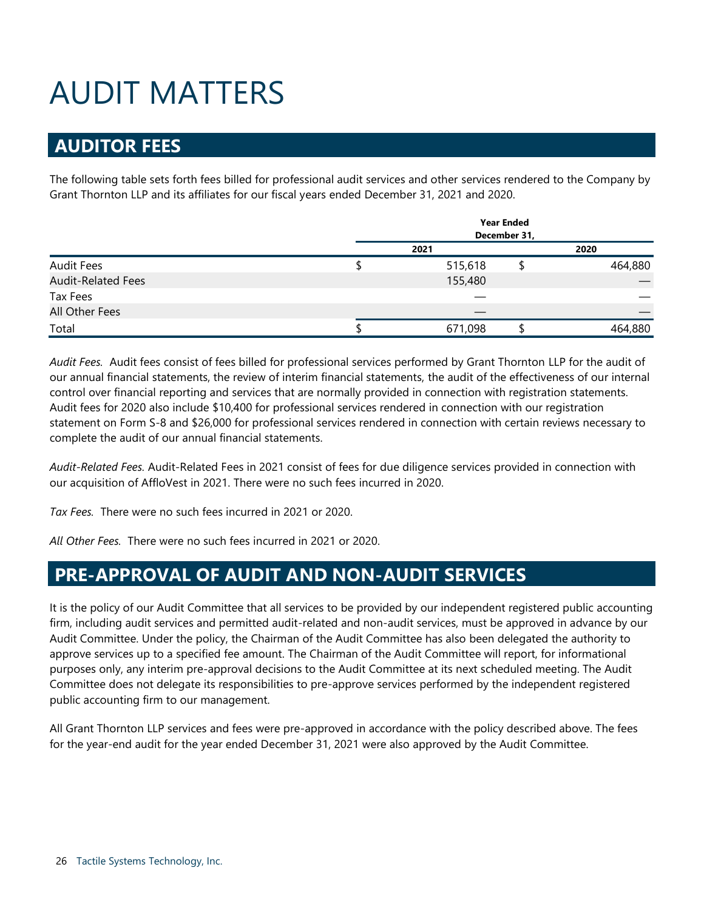# <span id="page-25-0"></span>AUDIT MATTERS

# <span id="page-25-1"></span>**AUDITOR FEES**

The following table sets forth fees billed for professional audit services and other services rendered to the Company by Grant Thornton LLP and its affiliates for our fiscal years ended December 31, 2021 and 2020.

|                           | <b>Year Ended</b><br>December 31, |         |  |         |  |  |  |
|---------------------------|-----------------------------------|---------|--|---------|--|--|--|
|                           |                                   | 2021    |  | 2020    |  |  |  |
| <b>Audit Fees</b>         |                                   | 515,618 |  | 464,880 |  |  |  |
| <b>Audit-Related Fees</b> |                                   | 155,480 |  |         |  |  |  |
| Tax Fees                  |                                   |         |  |         |  |  |  |
| All Other Fees            |                                   |         |  |         |  |  |  |
| Total                     |                                   | 671,098 |  | 464,880 |  |  |  |

*Audit Fees.* Audit fees consist of fees billed for professional services performed by Grant Thornton LLP for the audit of our annual financial statements, the review of interim financial statements, the audit of the effectiveness of our internal control over financial reporting and services that are normally provided in connection with registration statements. Audit fees for 2020 also include \$10,400 for professional services rendered in connection with our registration statement on Form S-8 and \$26,000 for professional services rendered in connection with certain reviews necessary to complete the audit of our annual financial statements.

*Audit-Related Fees.* Audit-Related Fees in 2021 consist of fees for due diligence services provided in connection with our acquisition of AffloVest in 2021. There were no such fees incurred in 2020.

*Tax Fees.* There were no such fees incurred in 2021 or 2020.

*All Other Fees.* There were no such fees incurred in 2021 or 2020.

# <span id="page-25-2"></span>**PRE-APPROVAL OF AUDIT AND NON-AUDIT SERVICES**

It is the policy of our Audit Committee that all services to be provided by our independent registered public accounting firm, including audit services and permitted audit-related and non-audit services, must be approved in advance by our Audit Committee. Under the policy, the Chairman of the Audit Committee has also been delegated the authority to approve services up to a specified fee amount. The Chairman of the Audit Committee will report, for informational purposes only, any interim pre-approval decisions to the Audit Committee at its next scheduled meeting. The Audit Committee does not delegate its responsibilities to pre-approve services performed by the independent registered public accounting firm to our management.

All Grant Thornton LLP services and fees were pre-approved in accordance with the policy described above. The fees for the year-end audit for the year ended December 31, 2021 were also approved by the Audit Committee.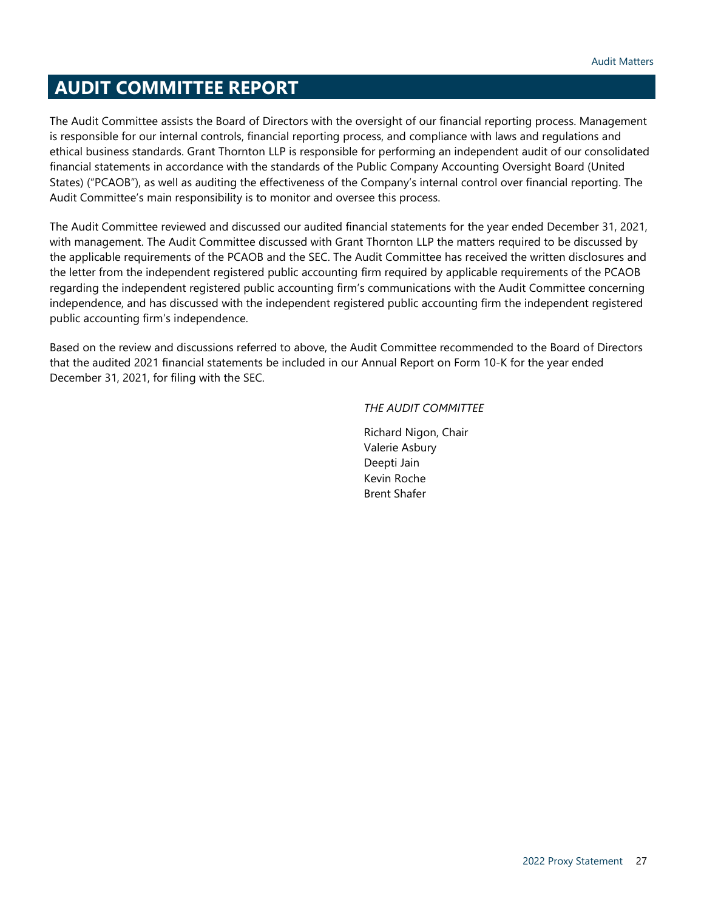# <span id="page-26-0"></span>**AUDIT COMMITTEE REPORT**

The Audit Committee assists the Board of Directors with the oversight of our financial reporting process. Management is responsible for our internal controls, financial reporting process, and compliance with laws and regulations and ethical business standards. Grant Thornton LLP is responsible for performing an independent audit of our consolidated financial statements in accordance with the standards of the Public Company Accounting Oversight Board (United States) ("PCAOB"), as well as auditing the effectiveness of the Company's internal control over financial reporting. The Audit Committee's main responsibility is to monitor and oversee this process.

The Audit Committee reviewed and discussed our audited financial statements for the year ended December 31, 2021, with management. The Audit Committee discussed with Grant Thornton LLP the matters required to be discussed by the applicable requirements of the PCAOB and the SEC. The Audit Committee has received the written disclosures and the letter from the independent registered public accounting firm required by applicable requirements of the PCAOB regarding the independent registered public accounting firm's communications with the Audit Committee concerning independence, and has discussed with the independent registered public accounting firm the independent registered public accounting firm's independence.

Based on the review and discussions referred to above, the Audit Committee recommended to the Board of Directors that the audited 2021 financial statements be included in our Annual Report on Form 10-K for the year ended December 31, 2021, for filing with the SEC.

## *THE AUDIT COMMITTEE*

Richard Nigon, Chair Valerie Asbury Deepti Jain Kevin Roche Brent Shafer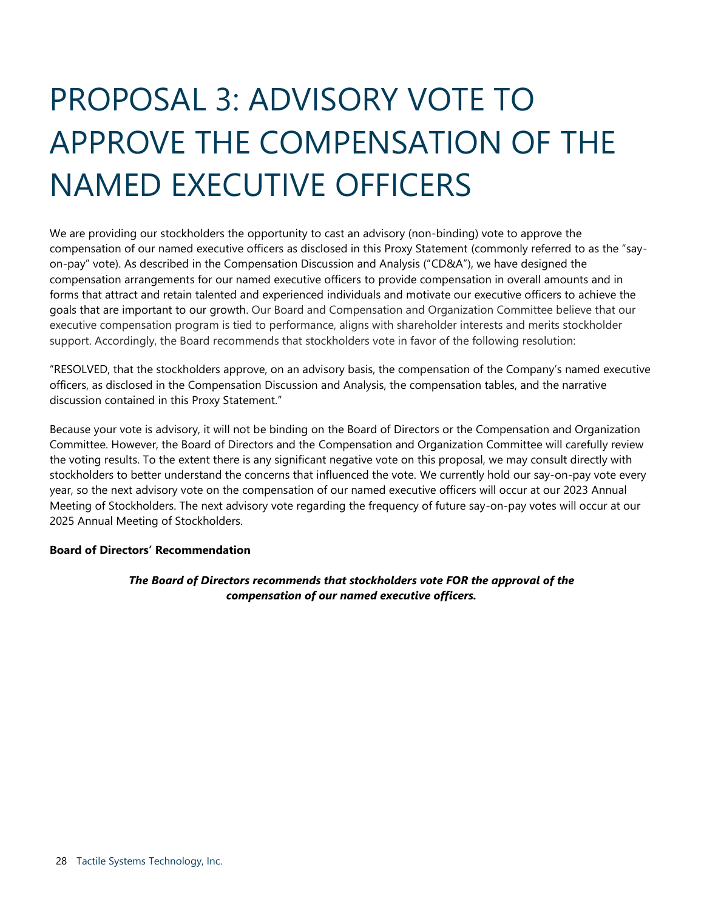# <span id="page-27-0"></span>PROPOSAL 3: ADVISORY VOTE TO APPROVE THE COMPENSATION OF THE NAMED EXECUTIVE OFFICERS

We are providing our stockholders the opportunity to cast an advisory (non-binding) vote to approve the compensation of our named executive officers as disclosed in this Proxy Statement (commonly referred to as the "sayon-pay" vote). As described in the Compensation Discussion and Analysis ("CD&A"), we have designed the compensation arrangements for our named executive officers to provide compensation in overall amounts and in forms that attract and retain talented and experienced individuals and motivate our executive officers to achieve the goals that are important to our growth. Our Board and Compensation and Organization Committee believe that our executive compensation program is tied to performance, aligns with shareholder interests and merits stockholder support. Accordingly, the Board recommends that stockholders vote in favor of the following resolution:

"RESOLVED, that the stockholders approve, on an advisory basis, the compensation of the Company's named executive officers, as disclosed in the Compensation Discussion and Analysis, the compensation tables, and the narrative discussion contained in this Proxy Statement."

Because your vote is advisory, it will not be binding on the Board of Directors or the Compensation and Organization Committee. However, the Board of Directors and the Compensation and Organization Committee will carefully review the voting results. To the extent there is any significant negative vote on this proposal, we may consult directly with stockholders to better understand the concerns that influenced the vote. We currently hold our say-on-pay vote every year, so the next advisory vote on the compensation of our named executive officers will occur at our 2023 Annual Meeting of Stockholders. The next advisory vote regarding the frequency of future say-on-pay votes will occur at our 2025 Annual Meeting of Stockholders.

## **Board of Directors' Recommendation**

## <span id="page-27-1"></span>*The Board of Directors recommends that stockholders vote FOR the approval of the compensation of our named executive officers.*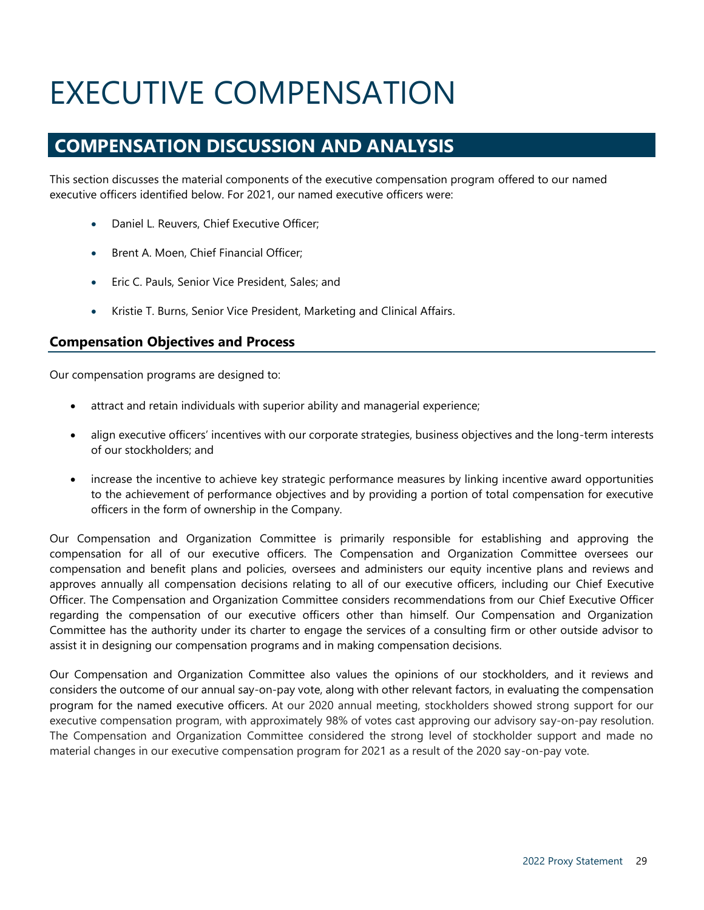# EXECUTIVE COMPENSATION

# **COMPENSATION DISCUSSION AND ANALYSIS**

This section discusses the material components of the executive compensation program offered to our named executive officers identified below. For 2021, our named executive officers were:

- <span id="page-28-1"></span><span id="page-28-0"></span>• Daniel L. Reuvers, Chief Executive Officer;
- Brent A. Moen, Chief Financial Officer;
- Eric C. Pauls, Senior Vice President, Sales; and
- Kristie T. Burns, Senior Vice President, Marketing and Clinical Affairs.

## **Compensation Objectives and Process**

Our compensation programs are designed to:

- attract and retain individuals with superior ability and managerial experience;
- align executive officers' incentives with our corporate strategies, business objectives and the long-term interests of our stockholders; and
- increase the incentive to achieve key strategic performance measures by linking incentive award opportunities to the achievement of performance objectives and by providing a portion of total compensation for executive officers in the form of ownership in the Company.

Our Compensation and Organization Committee is primarily responsible for establishing and approving the compensation for all of our executive officers. The Compensation and Organization Committee oversees our compensation and benefit plans and policies, oversees and administers our equity incentive plans and reviews and approves annually all compensation decisions relating to all of our executive officers, including our Chief Executive Officer. The Compensation and Organization Committee considers recommendations from our Chief Executive Officer regarding the compensation of our executive officers other than himself. Our Compensation and Organization Committee has the authority under its charter to engage the services of a consulting firm or other outside advisor to assist it in designing our compensation programs and in making compensation decisions.

Our Compensation and Organization Committee also values the opinions of our stockholders, and it reviews and considers the outcome of our annual say-on-pay vote, along with other relevant factors, in evaluating the compensation program for the named executive officers. At our 2020 annual meeting, stockholders showed strong support for our executive compensation program, with approximately 98% of votes cast approving our advisory say-on-pay resolution. The Compensation and Organization Committee considered the strong level of stockholder support and made no material changes in our executive compensation program for 2021 as a result of the 2020 say-on-pay vote.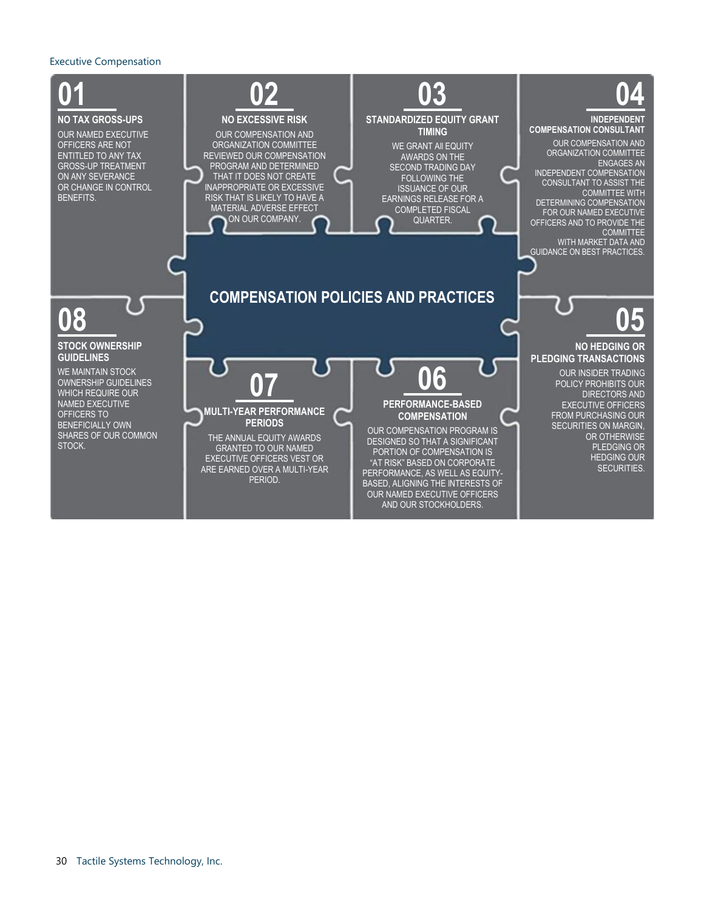#### Executive Compensation



OUR NAMED EXECUTIVE OFFICERS AND OUR STOCKHOLDERS.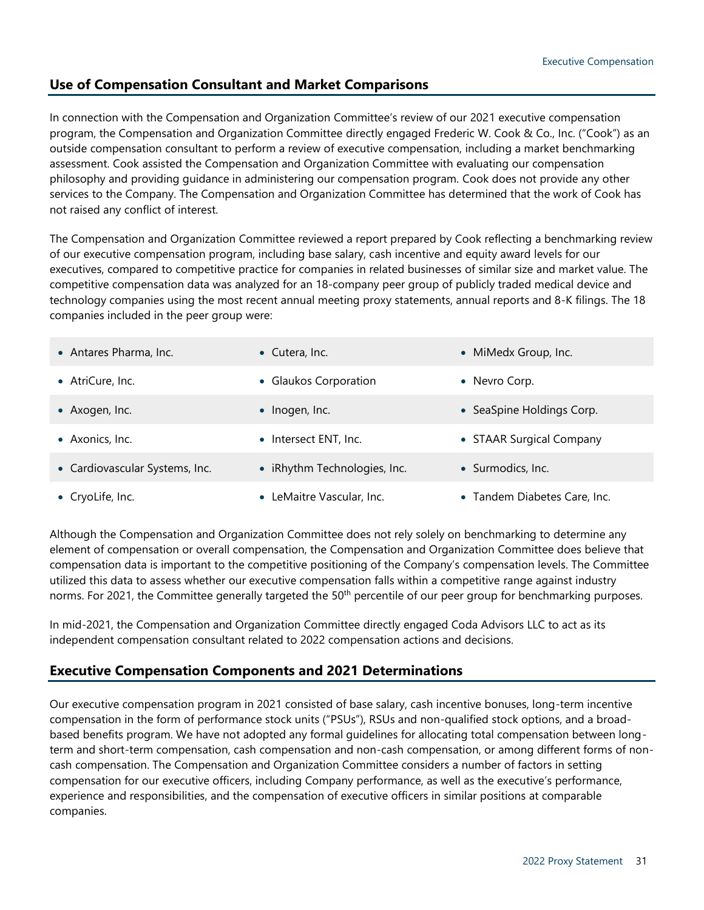# **Use of Compensation Consultant and Market Comparisons**

In connection with the Compensation and Organization Committee's review of our 2021 executive compensation program, the Compensation and Organization Committee directly engaged Frederic W. Cook & Co., Inc. ("Cook") as an outside compensation consultant to perform a review of executive compensation, including a market benchmarking assessment. Cook assisted the Compensation and Organization Committee with evaluating our compensation philosophy and providing guidance in administering our compensation program. Cook does not provide any other services to the Company. The Compensation and Organization Committee has determined that the work of Cook has not raised any conflict of interest.

The Compensation and Organization Committee reviewed a report prepared by Cook reflecting a benchmarking review of our executive compensation program, including base salary, cash incentive and equity award levels for our executives, compared to competitive practice for companies in related businesses of similar size and market value. The competitive compensation data was analyzed for an 18-company peer group of publicly traded medical device and technology companies using the most recent annual meeting proxy statements, annual reports and 8-K filings. The 18 companies included in the peer group were:

| • Antares Pharma, Inc.         | • Cutera, Inc.               | • MiMedx Group, Inc.         |
|--------------------------------|------------------------------|------------------------------|
| • AtriCure, Inc.               | • Glaukos Corporation        | • Nevro Corp.                |
| • Axogen, Inc.                 | • Inogen, Inc.               | • SeaSpine Holdings Corp.    |
| • Axonics, Inc.                | • Intersect ENT, Inc.        | • STAAR Surgical Company     |
| • Cardiovascular Systems, Inc. | • iRhythm Technologies, Inc. | • Surmodics, Inc.            |
| • CryoLife, Inc.               | • LeMaitre Vascular, Inc.    | • Tandem Diabetes Care, Inc. |

Although the Compensation and Organization Committee does not rely solely on benchmarking to determine any element of compensation or overall compensation, the Compensation and Organization Committee does believe that compensation data is important to the competitive positioning of the Company's compensation levels. The Committee utilized this data to assess whether our executive compensation falls within a competitive range against industry norms. For 2021, the Committee generally targeted the 50<sup>th</sup> percentile of our peer group for benchmarking purposes.

In mid-2021, the Compensation and Organization Committee directly engaged Coda Advisors LLC to act as its independent compensation consultant related to 2022 compensation actions and decisions.

# **Executive Compensation Components and 2021 Determinations**

Our executive compensation program in 2021 consisted of base salary, cash incentive bonuses, long-term incentive compensation in the form of performance stock units ("PSUs"), RSUs and non-qualified stock options, and a broadbased benefits program. We have not adopted any formal guidelines for allocating total compensation between longterm and short-term compensation, cash compensation and non-cash compensation, or among different forms of noncash compensation. The Compensation and Organization Committee considers a number of factors in setting compensation for our executive officers, including Company performance, as well as the executive's performance, experience and responsibilities, and the compensation of executive officers in similar positions at comparable companies.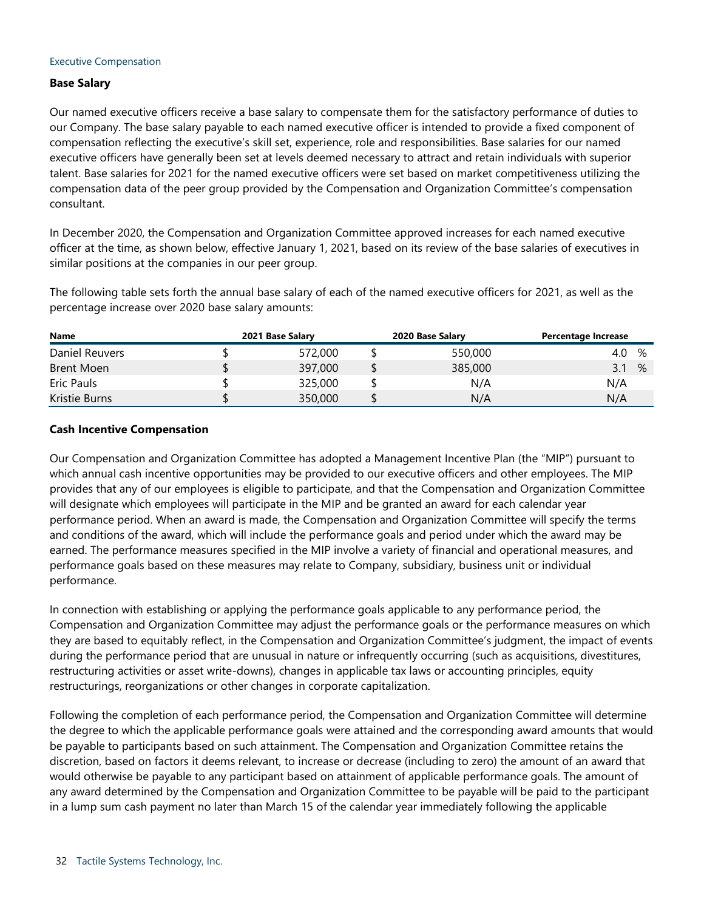#### Executive Compensation

### **Base Salary**

Our named executive officers receive a base salary to compensate them for the satisfactory performance of duties to our Company. The base salary payable to each named executive officer is intended to provide a fixed component of compensation reflecting the executive's skill set, experience, role and responsibilities. Base salaries for our named executive officers have generally been set at levels deemed necessary to attract and retain individuals with superior talent. Base salaries for 2021 for the named executive officers were set based on market competitiveness utilizing the compensation data of the peer group provided by the Compensation and Organization Committee's compensation consultant.

In December 2020, the Compensation and Organization Committee approved increases for each named executive officer at the time, as shown below, effective January 1, 2021, based on its review of the base salaries of executives in similar positions at the companies in our peer group.

The following table sets forth the annual base salary of each of the named executive officers for 2021, as well as the percentage increase over 2020 base salary amounts:

| <b>Name</b>    | 2021 Base Salary | 2020 Base Salary | Percentage Increase |
|----------------|------------------|------------------|---------------------|
| Daniel Reuvers | 572,000          | 550,000          | %<br>4.0            |
| Brent Moen     | 397,000          | 385,000          | $\%$<br>3.1         |
| Eric Pauls     | 325,000          | N/A              | N/A                 |
| Kristie Burns  | 350,000          | N/A              | N/A                 |

### **Cash Incentive Compensation**

Our Compensation and Organization Committee has adopted a Management Incentive Plan (the "MIP") pursuant to which annual cash incentive opportunities may be provided to our executive officers and other employees. The MIP provides that any of our employees is eligible to participate, and that the Compensation and Organization Committee will designate which employees will participate in the MIP and be granted an award for each calendar year performance period. When an award is made, the Compensation and Organization Committee will specify the terms and conditions of the award, which will include the performance goals and period under which the award may be earned. The performance measures specified in the MIP involve a variety of financial and operational measures, and performance goals based on these measures may relate to Company, subsidiary, business unit or individual performance.

In connection with establishing or applying the performance goals applicable to any performance period, the Compensation and Organization Committee may adjust the performance goals or the performance measures on which they are based to equitably reflect, in the Compensation and Organization Committee's judgment, the impact of events during the performance period that are unusual in nature or infrequently occurring (such as acquisitions, divestitures, restructuring activities or asset write-downs), changes in applicable tax laws or accounting principles, equity restructurings, reorganizations or other changes in corporate capitalization.

Following the completion of each performance period, the Compensation and Organization Committee will determine the degree to which the applicable performance goals were attained and the corresponding award amounts that would be payable to participants based on such attainment. The Compensation and Organization Committee retains the discretion, based on factors it deems relevant, to increase or decrease (including to zero) the amount of an award that would otherwise be payable to any participant based on attainment of applicable performance goals. The amount of any award determined by the Compensation and Organization Committee to be payable will be paid to the participant in a lump sum cash payment no later than March 15 of the calendar year immediately following the applicable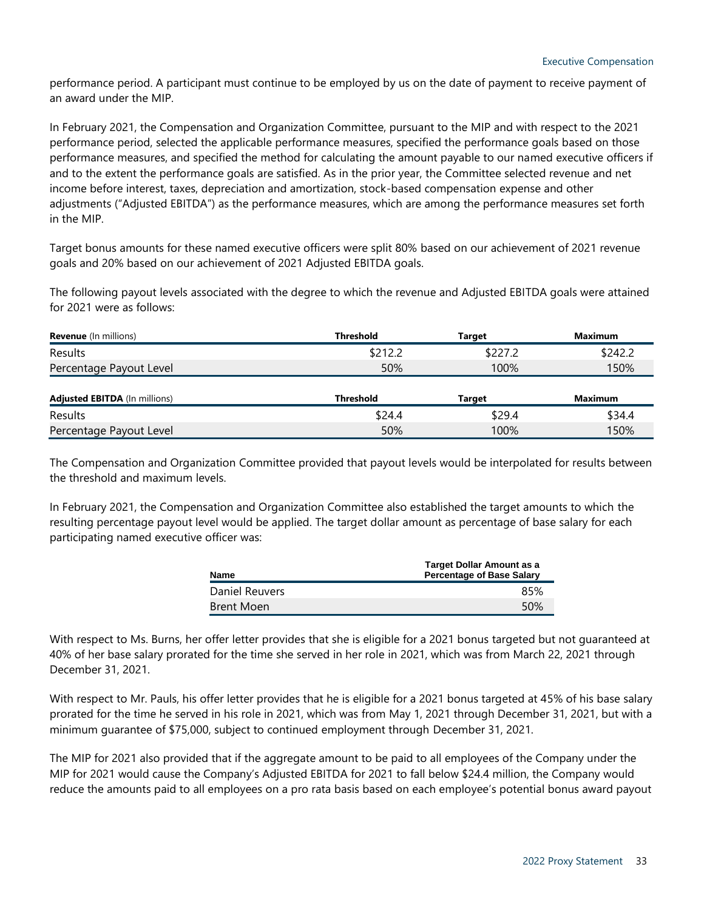performance period. A participant must continue to be employed by us on the date of payment to receive payment of an award under the MIP.

In February 2021, the Compensation and Organization Committee, pursuant to the MIP and with respect to the 2021 performance period, selected the applicable performance measures, specified the performance goals based on those performance measures, and specified the method for calculating the amount payable to our named executive officers if and to the extent the performance goals are satisfied. As in the prior year, the Committee selected revenue and net income before interest, taxes, depreciation and amortization, stock-based compensation expense and other adjustments ("Adjusted EBITDA") as the performance measures, which are among the performance measures set forth in the MIP.

Target bonus amounts for these named executive officers were split 80% based on our achievement of 2021 revenue goals and 20% based on our achievement of 2021 Adjusted EBITDA goals.

The following payout levels associated with the degree to which the revenue and Adjusted EBITDA goals were attained for 2021 were as follows:

| <b>Revenue</b> (In millions) | <b>Threshold</b> | Tarɑet  | Maximum |
|------------------------------|------------------|---------|---------|
| Results                      | \$212.2          | \$227.2 | \$242.2 |
| Percentage Payout Level      | 50%              | 100%    | 150%    |
|                              |                  |         |         |

| <b>Adjusted EBITDA</b> (In millions) | <b>Threshold</b> | Tarɑet | Maximum |  |  |
|--------------------------------------|------------------|--------|---------|--|--|
| Results                              | \$24.4           | \$29.4 | \$34.4  |  |  |
| Percentage Payout Level              | 50%              | 100%   | 150%    |  |  |

The Compensation and Organization Committee provided that payout levels would be interpolated for results between the threshold and maximum levels.

In February 2021, the Compensation and Organization Committee also established the target amounts to which the resulting percentage payout level would be applied. The target dollar amount as percentage of base salary for each participating named executive officer was:

| Name           | <b>Target Dollar Amount as a</b><br><b>Percentage of Base Salary</b> |
|----------------|----------------------------------------------------------------------|
| Daniel Reuvers | 85%                                                                  |
| Brent Moen     | .50%                                                                 |

With respect to Ms. Burns, her offer letter provides that she is eligible for a 2021 bonus targeted but not guaranteed at 40% of her base salary prorated for the time she served in her role in 2021, which was from March 22, 2021 through December 31, 2021.

With respect to Mr. Pauls, his offer letter provides that he is eligible for a 2021 bonus targeted at 45% of his base salary prorated for the time he served in his role in 2021, which was from May 1, 2021 through December 31, 2021, but with a minimum guarantee of \$75,000, subject to continued employment through December 31, 2021.

The MIP for 2021 also provided that if the aggregate amount to be paid to all employees of the Company under the MIP for 2021 would cause the Company's Adjusted EBITDA for 2021 to fall below \$24.4 million, the Company would reduce the amounts paid to all employees on a pro rata basis based on each employee's potential bonus award payout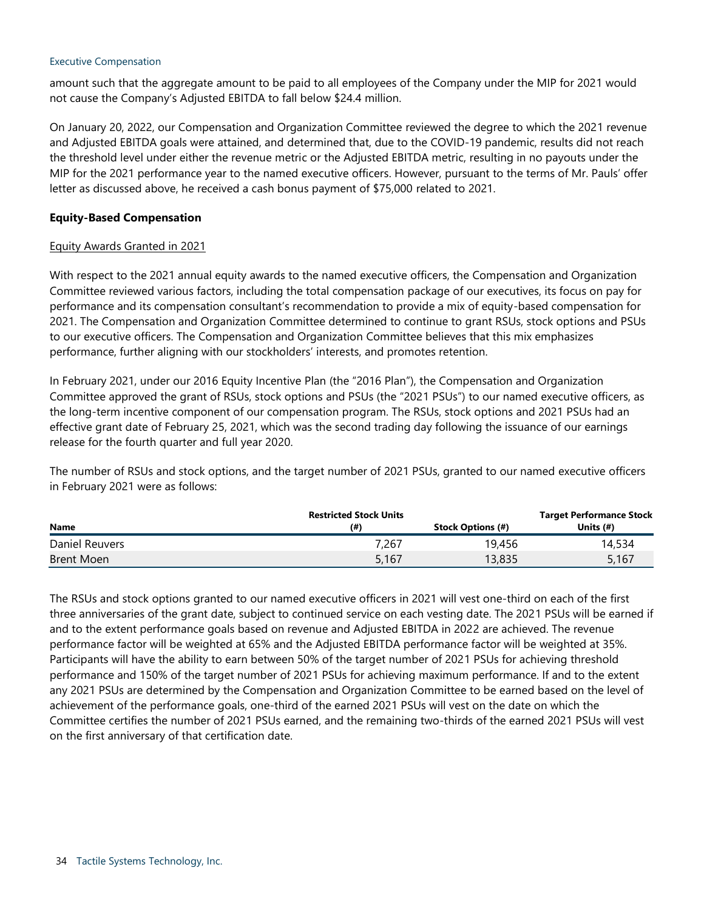### Executive Compensation

amount such that the aggregate amount to be paid to all employees of the Company under the MIP for 2021 would not cause the Company's Adjusted EBITDA to fall below \$24.4 million.

On January 20, 2022, our Compensation and Organization Committee reviewed the degree to which the 2021 revenue and Adjusted EBITDA goals were attained, and determined that, due to the COVID-19 pandemic, results did not reach the threshold level under either the revenue metric or the Adjusted EBITDA metric, resulting in no payouts under the MIP for the 2021 performance year to the named executive officers. However, pursuant to the terms of Mr. Pauls' offer letter as discussed above, he received a cash bonus payment of \$75,000 related to 2021.

## **Equity-Based Compensation**

## Equity Awards Granted in 2021

With respect to the 2021 annual equity awards to the named executive officers, the Compensation and Organization Committee reviewed various factors, including the total compensation package of our executives, its focus on pay for performance and its compensation consultant's recommendation to provide a mix of equity-based compensation for 2021. The Compensation and Organization Committee determined to continue to grant RSUs, stock options and PSUs to our executive officers. The Compensation and Organization Committee believes that this mix emphasizes performance, further aligning with our stockholders' interests, and promotes retention.

In February 2021, under our 2016 Equity Incentive Plan (the "2016 Plan"), the Compensation and Organization Committee approved the grant of RSUs, stock options and PSUs (the "2021 PSUs") to our named executive officers, as the long-term incentive component of our compensation program. The RSUs, stock options and 2021 PSUs had an effective grant date of February 25, 2021, which was the second trading day following the issuance of our earnings release for the fourth quarter and full year 2020.

The number of RSUs and stock options, and the target number of 2021 PSUs, granted to our named executive officers in February 2021 were as follows:

|                |       | <b>Target Performance Stock</b> |             |  |  |
|----------------|-------|---------------------------------|-------------|--|--|
| <b>Name</b>    | (# )  | <b>Stock Options (#)</b>        | Units $(#)$ |  |  |
| Daniel Reuvers | 7.267 | 19,456                          | 14,534      |  |  |
| Brent Moen     | 5,167 | 13,835                          | 5,167       |  |  |

The RSUs and stock options granted to our named executive officers in 2021 will vest one-third on each of the first three anniversaries of the grant date, subject to continued service on each vesting date. The 2021 PSUs will be earned if and to the extent performance goals based on revenue and Adjusted EBITDA in 2022 are achieved. The revenue performance factor will be weighted at 65% and the Adjusted EBITDA performance factor will be weighted at 35%. Participants will have the ability to earn between 50% of the target number of 2021 PSUs for achieving threshold performance and 150% of the target number of 2021 PSUs for achieving maximum performance. If and to the extent any 2021 PSUs are determined by the Compensation and Organization Committee to be earned based on the level of achievement of the performance goals, one-third of the earned 2021 PSUs will vest on the date on which the Committee certifies the number of 2021 PSUs earned, and the remaining two-thirds of the earned 2021 PSUs will vest on the first anniversary of that certification date.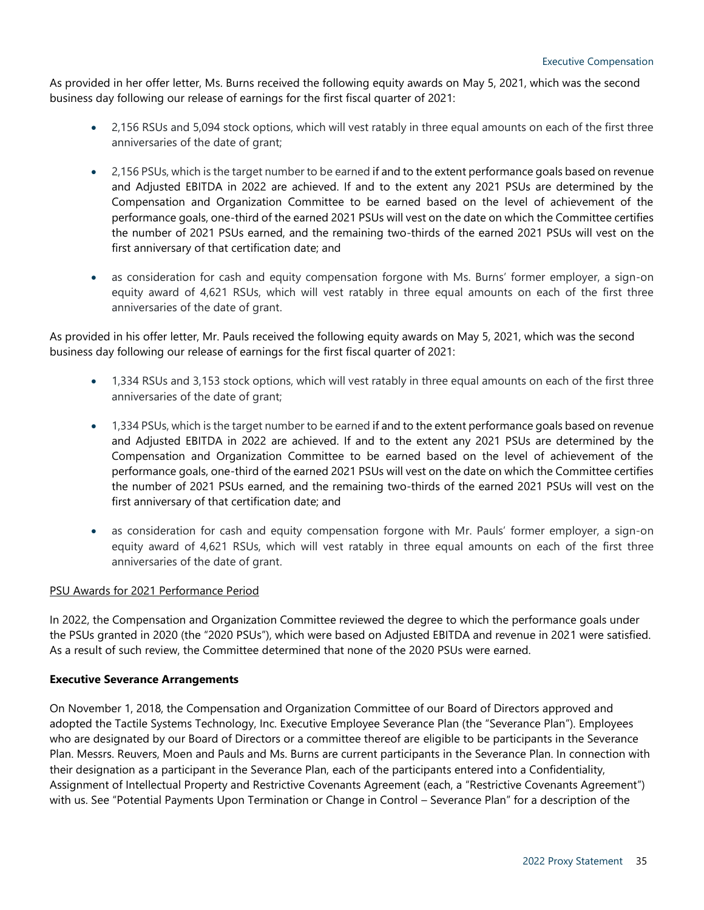As provided in her offer letter, Ms. Burns received the following equity awards on May 5, 2021, which was the second business day following our release of earnings for the first fiscal quarter of 2021:

- 2,156 RSUs and 5,094 stock options, which will vest ratably in three equal amounts on each of the first three anniversaries of the date of grant;
- 2,156 PSUs, which is the target number to be earned if and to the extent performance goals based on revenue and Adjusted EBITDA in 2022 are achieved. If and to the extent any 2021 PSUs are determined by the Compensation and Organization Committee to be earned based on the level of achievement of the performance goals, one-third of the earned 2021 PSUs will vest on the date on which the Committee certifies the number of 2021 PSUs earned, and the remaining two-thirds of the earned 2021 PSUs will vest on the first anniversary of that certification date; and
- as consideration for cash and equity compensation forgone with Ms. Burns' former employer, a sign-on equity award of 4,621 RSUs, which will vest ratably in three equal amounts on each of the first three anniversaries of the date of grant.

As provided in his offer letter, Mr. Pauls received the following equity awards on May 5, 2021, which was the second business day following our release of earnings for the first fiscal quarter of 2021:

- 1,334 RSUs and 3,153 stock options, which will vest ratably in three equal amounts on each of the first three anniversaries of the date of grant;
- 1,334 PSUs, which is the target number to be earned if and to the extent performance goals based on revenue and Adjusted EBITDA in 2022 are achieved. If and to the extent any 2021 PSUs are determined by the Compensation and Organization Committee to be earned based on the level of achievement of the performance goals, one-third of the earned 2021 PSUs will vest on the date on which the Committee certifies the number of 2021 PSUs earned, and the remaining two-thirds of the earned 2021 PSUs will vest on the first anniversary of that certification date; and
- as consideration for cash and equity compensation forgone with Mr. Pauls' former employer, a sign-on equity award of 4,621 RSUs, which will vest ratably in three equal amounts on each of the first three anniversaries of the date of grant.

## PSU Awards for 2021 Performance Period

In 2022, the Compensation and Organization Committee reviewed the degree to which the performance goals under the PSUs granted in 2020 (the "2020 PSUs"), which were based on Adjusted EBITDA and revenue in 2021 were satisfied. As a result of such review, the Committee determined that none of the 2020 PSUs were earned.

## **Executive Severance Arrangements**

On November 1, 2018, the Compensation and Organization Committee of our Board of Directors approved and adopted the Tactile Systems Technology, Inc. Executive Employee Severance Plan (the "Severance Plan"). Employees who are designated by our Board of Directors or a committee thereof are eligible to be participants in the Severance Plan. Messrs. Reuvers, Moen and Pauls and Ms. Burns are current participants in the Severance Plan. In connection with their designation as a participant in the Severance Plan, each of the participants entered into a Confidentiality, Assignment of Intellectual Property and Restrictive Covenants Agreement (each, a "Restrictive Covenants Agreement") with us. See "Potential Payments Upon Termination or Change in Control – Severance Plan" for a description of the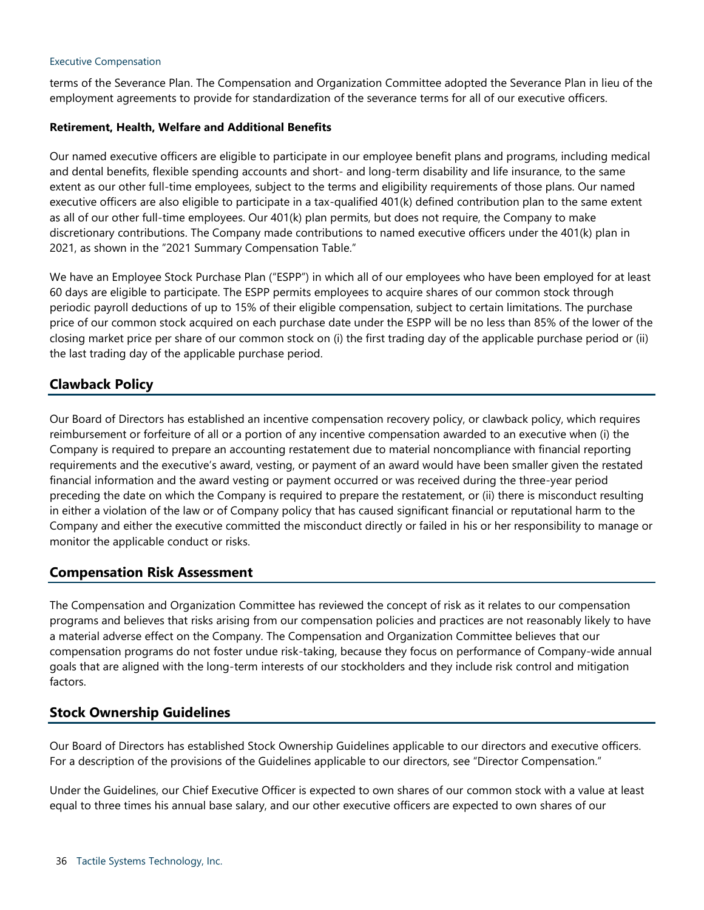### Executive Compensation

terms of the Severance Plan. The Compensation and Organization Committee adopted the Severance Plan in lieu of the employment agreements to provide for standardization of the severance terms for all of our executive officers.

## **Retirement, Health, Welfare and Additional Benefits**

Our named executive officers are eligible to participate in our employee benefit plans and programs, including medical and dental benefits, flexible spending accounts and short- and long-term disability and life insurance, to the same extent as our other full-time employees, subject to the terms and eligibility requirements of those plans. Our named executive officers are also eligible to participate in a tax-qualified 401(k) defined contribution plan to the same extent as all of our other full-time employees. Our 401(k) plan permits, but does not require, the Company to make discretionary contributions. The Company made contributions to named executive officers under the 401(k) plan in 2021, as shown in the "2021 Summary Compensation Table."

We have an Employee Stock Purchase Plan ("ESPP") in which all of our employees who have been employed for at least 60 days are eligible to participate. The ESPP permits employees to acquire shares of our common stock through periodic payroll deductions of up to 15% of their eligible compensation, subject to certain limitations. The purchase price of our common stock acquired on each purchase date under the ESPP will be no less than 85% of the lower of the closing market price per share of our common stock on (i) the first trading day of the applicable purchase period or (ii) the last trading day of the applicable purchase period.

## **Clawback Policy**

Our Board of Directors has established an incentive compensation recovery policy, or clawback policy, which requires reimbursement or forfeiture of all or a portion of any incentive compensation awarded to an executive when (i) the Company is required to prepare an accounting restatement due to material noncompliance with financial reporting requirements and the executive's award, vesting, or payment of an award would have been smaller given the restated financial information and the award vesting or payment occurred or was received during the three-year period preceding the date on which the Company is required to prepare the restatement, or (ii) there is misconduct resulting in either a violation of the law or of Company policy that has caused significant financial or reputational harm to the Company and either the executive committed the misconduct directly or failed in his or her responsibility to manage or monitor the applicable conduct or risks.

## **Compensation Risk Assessment**

The Compensation and Organization Committee has reviewed the concept of risk as it relates to our compensation programs and believes that risks arising from our compensation policies and practices are not reasonably likely to have a material adverse effect on the Company. The Compensation and Organization Committee believes that our compensation programs do not foster undue risk-taking, because they focus on performance of Company-wide annual goals that are aligned with the long-term interests of our stockholders and they include risk control and mitigation factors.

## **Stock Ownership Guidelines**

Our Board of Directors has established Stock Ownership Guidelines applicable to our directors and executive officers. For a description of the provisions of the Guidelines applicable to our directors, see "Director Compensation."

Under the Guidelines, our Chief Executive Officer is expected to own shares of our common stock with a value at least equal to three times his annual base salary, and our other executive officers are expected to own shares of our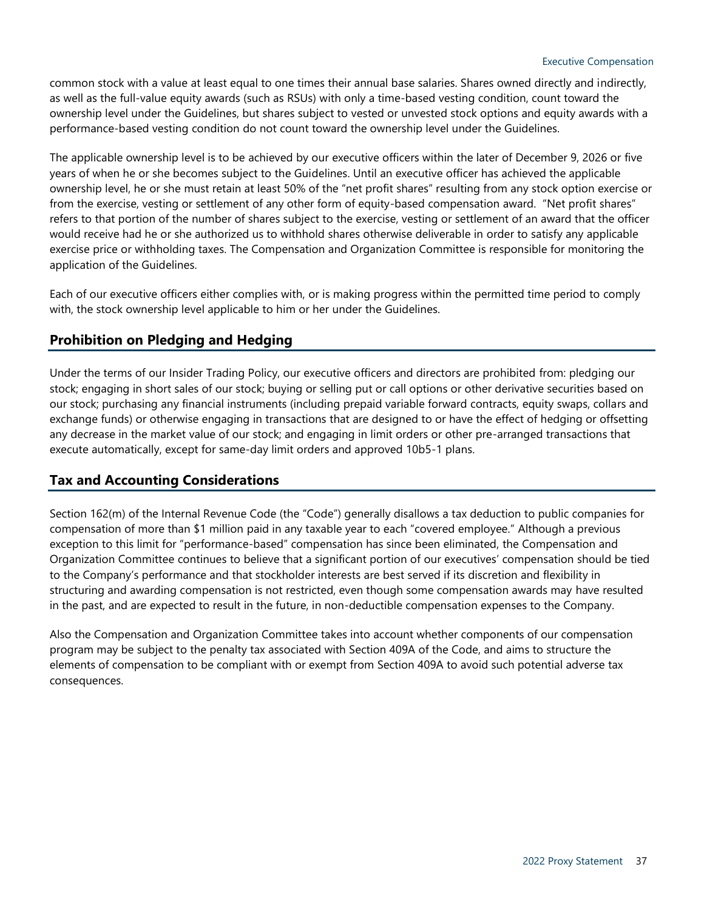common stock with a value at least equal to one times their annual base salaries. Shares owned directly and indirectly, as well as the full-value equity awards (such as RSUs) with only a time-based vesting condition, count toward the ownership level under the Guidelines, but shares subject to vested or unvested stock options and equity awards with a performance-based vesting condition do not count toward the ownership level under the Guidelines.

The applicable ownership level is to be achieved by our executive officers within the later of December 9, 2026 or five years of when he or she becomes subject to the Guidelines. Until an executive officer has achieved the applicable ownership level, he or she must retain at least 50% of the "net profit shares" resulting from any stock option exercise or from the exercise, vesting or settlement of any other form of equity-based compensation award. "Net profit shares" refers to that portion of the number of shares subject to the exercise, vesting or settlement of an award that the officer would receive had he or she authorized us to withhold shares otherwise deliverable in order to satisfy any applicable exercise price or withholding taxes. The Compensation and Organization Committee is responsible for monitoring the application of the Guidelines.

Each of our executive officers either complies with, or is making progress within the permitted time period to comply with, the stock ownership level applicable to him or her under the Guidelines.

## **Prohibition on Pledging and Hedging**

Under the terms of our Insider Trading Policy, our executive officers and directors are prohibited from: pledging our stock; engaging in short sales of our stock; buying or selling put or call options or other derivative securities based on our stock; purchasing any financial instruments (including prepaid variable forward contracts, equity swaps, collars and exchange funds) or otherwise engaging in transactions that are designed to or have the effect of hedging or offsetting any decrease in the market value of our stock; and engaging in limit orders or other pre-arranged transactions that execute automatically, except for same-day limit orders and approved 10b5-1 plans.

## **Tax and Accounting Considerations**

Section 162(m) of the Internal Revenue Code (the "Code") generally disallows a tax deduction to public companies for compensation of more than \$1 million paid in any taxable year to each "covered employee." Although a previous exception to this limit for "performance-based" compensation has since been eliminated, the Compensation and Organization Committee continues to believe that a significant portion of our executives' compensation should be tied to the Company's performance and that stockholder interests are best served if its discretion and flexibility in structuring and awarding compensation is not restricted, even though some compensation awards may have resulted in the past, and are expected to result in the future, in non-deductible compensation expenses to the Company.

Also the Compensation and Organization Committee takes into account whether components of our compensation program may be subject to the penalty tax associated with Section 409A of the Code, and aims to structure the elements of compensation to be compliant with or exempt from Section 409A to avoid such potential adverse tax consequences.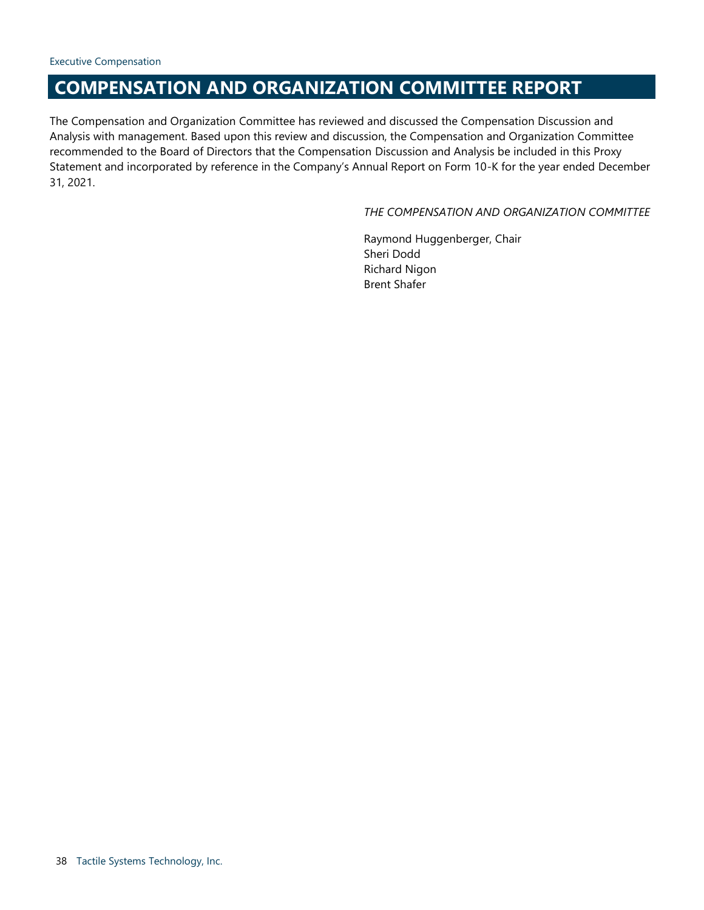# **COMPENSATION AND ORGANIZATION COMMITTEE REPORT**

The Compensation and Organization Committee has reviewed and discussed the Compensation Discussion and Analysis with management. Based upon this review and discussion, the Compensation and Organization Committee recommended to the Board of Directors that the Compensation Discussion and Analysis be included in this Proxy Statement and incorporated by reference in the Company's Annual Report on Form 10-K for the year ended December 31, 2021.

## <span id="page-37-0"></span>*THE COMPENSATION AND ORGANIZATION COMMITTEE*

Raymond Huggenberger, Chair Sheri Dodd Richard Nigon Brent Shafer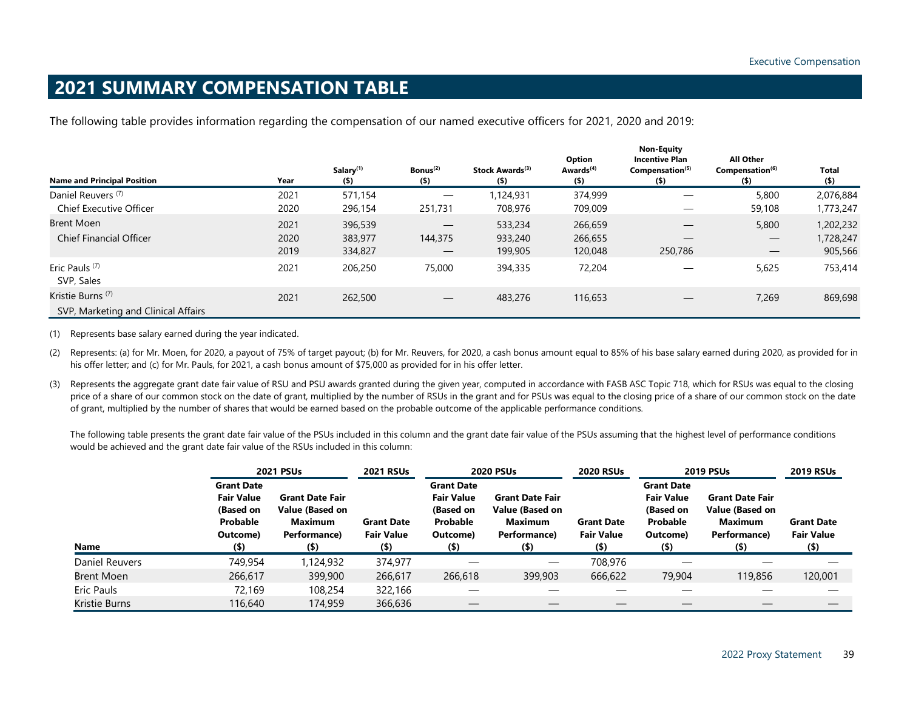# **2021 SUMMARY COMPENSATION TABLE**

The following table provides information regarding the compensation of our named executive officers for 2021, 2020 and 2019:

|                                                                     |              |                                  |                                 |                                        |                                        | <b>Non-Equity</b>                                               |                                                            |                         |
|---------------------------------------------------------------------|--------------|----------------------------------|---------------------------------|----------------------------------------|----------------------------------------|-----------------------------------------------------------------|------------------------------------------------------------|-------------------------|
| <b>Name and Principal Position</b>                                  | Year         | Salary <sup>(1)</sup><br>$($ \$) | Bonus <sup>(2)</sup><br>$($ \$) | Stock Awards <sup>(3)</sup><br>$($ \$) | Option<br>Awards <sup>(4)</sup><br>(5) | <b>Incentive Plan</b><br>Compensation <sup>(5)</sup><br>$($ \$) | <b>All Other</b><br>Compensation <sup>(6)</sup><br>$($ \$) | <b>Total</b><br>$($ \$) |
| Daniel Reuvers <sup>(7)</sup><br><b>Chief Executive Officer</b>     | 2021<br>2020 | 571,154<br>296,154               | 251,731                         | 1,124,931<br>708,976                   | 374,999<br>709,009                     |                                                                 | 5,800<br>59,108                                            | 2,076,884<br>1,773,247  |
| Brent Moen<br><b>Chief Financial Officer</b>                        | 2021         | 396,539                          | $\overline{\phantom{m}}$        | 533,234                                | 266,659                                |                                                                 | 5,800                                                      | 1,202,232               |
|                                                                     | 2020<br>2019 | 383,977<br>334,827               | 144,375                         | 933,240<br>199,905                     | 266,655<br>120,048                     | 250,786                                                         | $\hspace{0.1mm}-\hspace{0.1mm}$                            | 1,728,247<br>905,566    |
| Eric Pauls <sup>(7)</sup><br>SVP, Sales                             | 2021         | 206,250                          | 75,000                          | 394,335                                | 72,204                                 |                                                                 | 5,625                                                      | 753,414                 |
| Kristie Burns <sup>(7)</sup><br>SVP, Marketing and Clinical Affairs | 2021         | 262,500                          |                                 | 483,276                                | 116,653                                |                                                                 | 7,269                                                      | 869,698                 |

<span id="page-38-0"></span>(1) Represents base salary earned during the year indicated.

(2) Represents: (a) for Mr. Moen, for 2020, a payout of 75% of target payout; (b) for Mr. Reuvers, for 2020, a cash bonus amount equal to 85% of his base salary earned during 2020, as provided for in his offer letter; and (c) for Mr. Pauls, for 2021, a cash bonus amount of \$75,000 as provided for in his offer letter.

(3) Represents the aggregate grant date fair value of RSU and PSU awards granted during the given year, computed in accordance with FASB ASC Topic 718, which for RSUs was equal to the closing price of a share of our common stock on the date of grant, multiplied by the number of RSUs in the grant and for PSUs was equal to the closing price of a share of our common stock on the date of grant, multiplied by the number of shares that would be earned based on the probable outcome of the applicable performance conditions.

The following table presents the grant date fair value of the PSUs included in this column and the grant date fair value of the PSUs assuming that the highest level of performance conditions would be achieved and the grant date fair value of the RSUs included in this column:

|                   | <b>2021 PSUs</b>                                                                       |                                                                                 | <b>2021 RSUs</b>                                  |                                                                                        | <b>2020 PSUs</b>                                                                |                                                   | <b>2019 PSUs</b>                                                                       |                                                                                 | <b>2019 RSUs</b>                                  |
|-------------------|----------------------------------------------------------------------------------------|---------------------------------------------------------------------------------|---------------------------------------------------|----------------------------------------------------------------------------------------|---------------------------------------------------------------------------------|---------------------------------------------------|----------------------------------------------------------------------------------------|---------------------------------------------------------------------------------|---------------------------------------------------|
| Name              | <b>Grant Date</b><br><b>Fair Value</b><br>(Based on<br>Probable<br>Outcome)<br>$($ \$) | <b>Grant Date Fair</b><br>Value (Based on<br>Maximum<br>Performance)<br>$($ \$) | <b>Grant Date</b><br><b>Fair Value</b><br>$($ \$) | <b>Grant Date</b><br><b>Fair Value</b><br>(Based on<br>Probable<br>Outcome)<br>$($ \$) | <b>Grant Date Fair</b><br>Value (Based on<br>Maximum<br>Performance)<br>$($ \$) | <b>Grant Date</b><br><b>Fair Value</b><br>$($ \$) | <b>Grant Date</b><br><b>Fair Value</b><br>(Based on<br>Probable<br>Outcome)<br>$($ \$) | <b>Grant Date Fair</b><br>Value (Based on<br>Maximum<br>Performance)<br>$($ \$) | <b>Grant Date</b><br><b>Fair Value</b><br>$($ \$) |
| Daniel Reuvers    | 749,954                                                                                | 1,124,932                                                                       | 374,977                                           |                                                                                        |                                                                                 | 708,976                                           |                                                                                        |                                                                                 |                                                   |
| <b>Brent Moen</b> | 266,617                                                                                | 399,900                                                                         | 266,617                                           | 266,618                                                                                | 399,903                                                                         | 666,622                                           | 79,904                                                                                 | 119,856                                                                         | 120,001                                           |
| Eric Pauls        | 72.169                                                                                 | 108,254                                                                         | 322,166                                           |                                                                                        |                                                                                 |                                                   |                                                                                        |                                                                                 |                                                   |
| Kristie Burns     | 116,640                                                                                | 174,959                                                                         | 366,636                                           |                                                                                        |                                                                                 |                                                   |                                                                                        |                                                                                 |                                                   |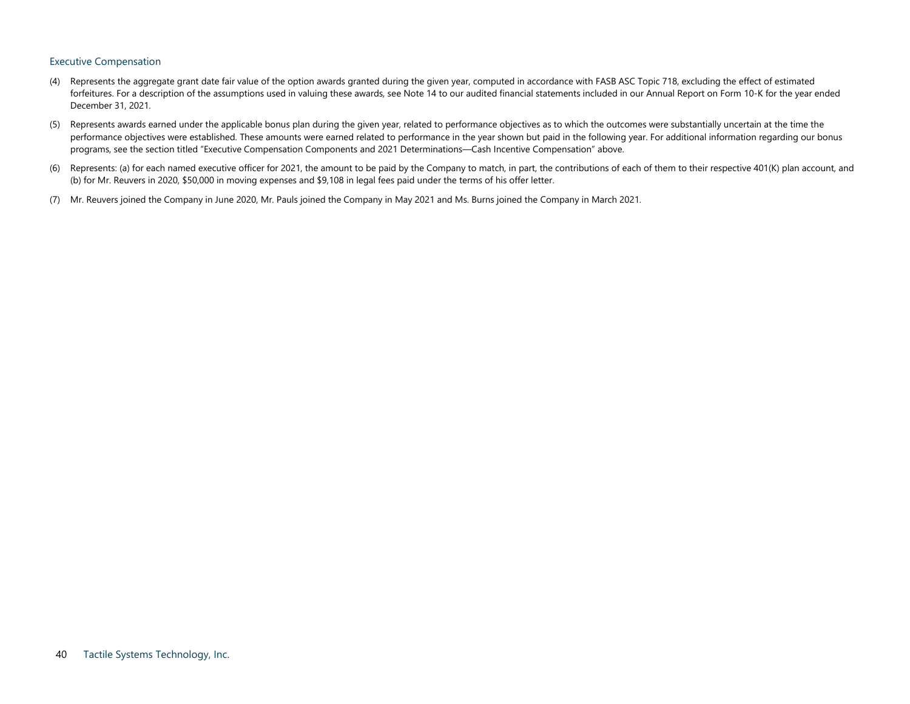#### Executive Compensation

- (4) Represents the aggregate grant date fair value of the option awards granted during the given year, computed in accordance with FASB ASC Topic 718, excluding the effect of estimated forfeitures. For a description of the assumptions used in valuing these awards, see Note 14 to our audited financial statements included in our Annual Report on Form 10-K for the year ended December 31, 2021.
- (5) Represents awards earned under the applicable bonus plan during the given year, related to performance objectives as to which the outcomes were substantially uncertain at the time the performance objectives were established. These amounts were earned related to performance in the year shown but paid in the following year. For additional information regarding our bonus programs, see the section titled "Executive Compensation Components and 2021 Determinations—Cash Incentive Compensation" above.
- (6) Represents: (a) for each named executive officer for 2021, the amount to be paid by the Company to match, in part, the contributions of each of them to their respective 401(K) plan account, and (b) for Mr. Reuvers in 2020, \$50,000 in moving expenses and \$9,108 in legal fees paid under the terms of his offer letter.
- (7) Mr. Reuvers joined the Company in June 2020, Mr. Pauls joined the Company in May 2021 and Ms. Burns joined the Company in March 2021.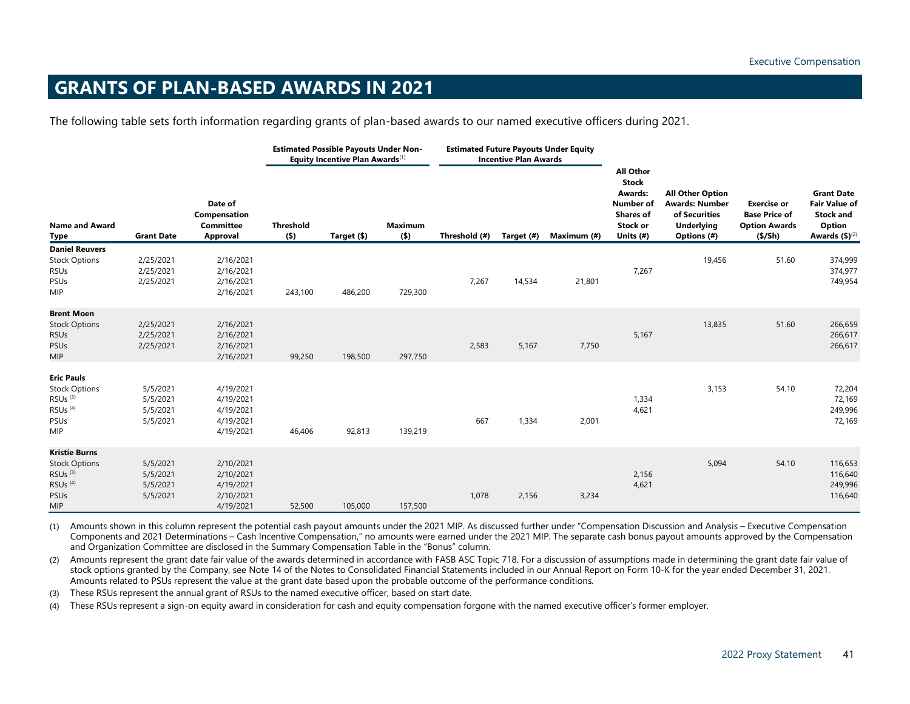# **GRANTS OF PLAN-BASED AWARDS IN 2021**

The following table sets forth information regarding grants of plan-based awards to our named executive officers during 2021.

<span id="page-40-0"></span>

|                                                                                                                                       |                                              | <b>Estimated Possible Payouts Under Non-</b><br>Equity Incentive Plan Awards <sup>(1)</sup> |                             |             | <b>Estimated Future Payouts Under Equity</b><br><b>Incentive Plan Awards</b> |               |            |             |                                                                                                                     |                                                                                                       |                                                                                     |                                                                                               |
|---------------------------------------------------------------------------------------------------------------------------------------|----------------------------------------------|---------------------------------------------------------------------------------------------|-----------------------------|-------------|------------------------------------------------------------------------------|---------------|------------|-------------|---------------------------------------------------------------------------------------------------------------------|-------------------------------------------------------------------------------------------------------|-------------------------------------------------------------------------------------|-----------------------------------------------------------------------------------------------|
| <b>Name and Award</b><br>Type                                                                                                         | <b>Grant Date</b>                            | Date of<br>Compensation<br>Committee<br><b>Approval</b>                                     | <b>Threshold</b><br>$($ \$) | Target (\$) | <b>Maximum</b><br>(5)                                                        | Threshold (#) | Target (#) | Maximum (#) | <b>All Other</b><br><b>Stock</b><br><b>Awards:</b><br><b>Number of</b><br><b>Shares of</b><br>Stock or<br>Units (#) | <b>All Other Option</b><br><b>Awards: Number</b><br>of Securities<br><b>Underlying</b><br>Options (#) | <b>Exercise or</b><br><b>Base Price of</b><br><b>Option Awards</b><br>$($ \$/Sh $)$ | <b>Grant Date</b><br><b>Fair Value of</b><br><b>Stock and</b><br>Option<br>Awards $(5)^{(2)}$ |
| <b>Daniel Reuvers</b><br><b>Stock Options</b><br><b>RSUs</b><br>PSUs<br>MIP                                                           | 2/25/2021<br>2/25/2021<br>2/25/2021          | 2/16/2021<br>2/16/2021<br>2/16/2021<br>2/16/2021                                            | 243,100                     | 486,200     | 729,300                                                                      | 7,267         | 14,534     | 21,801      | 7,267                                                                                                               | 19,456                                                                                                | 51.60                                                                               | 374,999<br>374,977<br>749,954                                                                 |
| <b>Brent Moen</b><br><b>Stock Options</b><br><b>RSUs</b><br><b>PSUs</b><br><b>MIP</b>                                                 | 2/25/2021<br>2/25/2021<br>2/25/2021          | 2/16/2021<br>2/16/2021<br>2/16/2021<br>2/16/2021                                            | 99,250                      | 198,500     | 297,750                                                                      | 2,583         | 5,167      | 7,750       | 5,167                                                                                                               | 13,835                                                                                                | 51.60                                                                               | 266,659<br>266,617<br>266,617                                                                 |
| <b>Eric Pauls</b><br><b>Stock Options</b><br>$RSUs$ <sup>(3)</sup><br>RSU <sub>s</sub> <sup>(4)</sup><br>PSUs<br>MIP                  | 5/5/2021<br>5/5/2021<br>5/5/2021<br>5/5/2021 | 4/19/2021<br>4/19/2021<br>4/19/2021<br>4/19/2021<br>4/19/2021                               | 46,406                      | 92,813      | 139,219                                                                      | 667           | 1,334      | 2,001       | 1,334<br>4,621                                                                                                      | 3,153                                                                                                 | 54.10                                                                               | 72,204<br>72,169<br>249,996<br>72,169                                                         |
| <b>Kristie Burns</b><br><b>Stock Options</b><br>$RSUs$ <sup>(3)</sup><br>RSU <sub>s</sub> <sup>(4)</sup><br><b>PSUs</b><br><b>MIP</b> | 5/5/2021<br>5/5/2021<br>5/5/2021<br>5/5/2021 | 2/10/2021<br>2/10/2021<br>4/19/2021<br>2/10/2021<br>4/19/2021                               | 52,500                      | 105,000     | 157,500                                                                      | 1,078         | 2,156      | 3,234       | 2,156<br>4,621                                                                                                      | 5,094                                                                                                 | 54.10                                                                               | 116,653<br>116,640<br>249,996<br>116,640                                                      |

(1) Amounts shown in this column represent the potential cash payout amounts under the 2021 MIP. As discussed further under "Compensation Discussion and Analysis – Executive Compensation Components and 2021 Determinations – Cash Incentive Compensation," no amounts were earned under the 2021 MIP. The separate cash bonus payout amounts approved by the Compensation and Organization Committee are disclosed in the Summary Compensation Table in the "Bonus" column.

(2) Amounts represent the grant date fair value of the awards determined in accordance with FASB ASC Topic 718. For a discussion of assumptions made in determining the grant date fair value of stock options granted by the Company, see Note 14 of the Notes to Consolidated Financial Statements included in our Annual Report on Form 10-K for the year ended December 31, 2021. Amounts related to PSUs represent the value at the grant date based upon the probable outcome of the performance conditions*.*

(3) These RSUs represent the annual grant of RSUs to the named executive officer, based on start date.

(4) These RSUs represent a sign-on equity award in consideration for cash and equity compensation forgone with the named executive officer's former employer.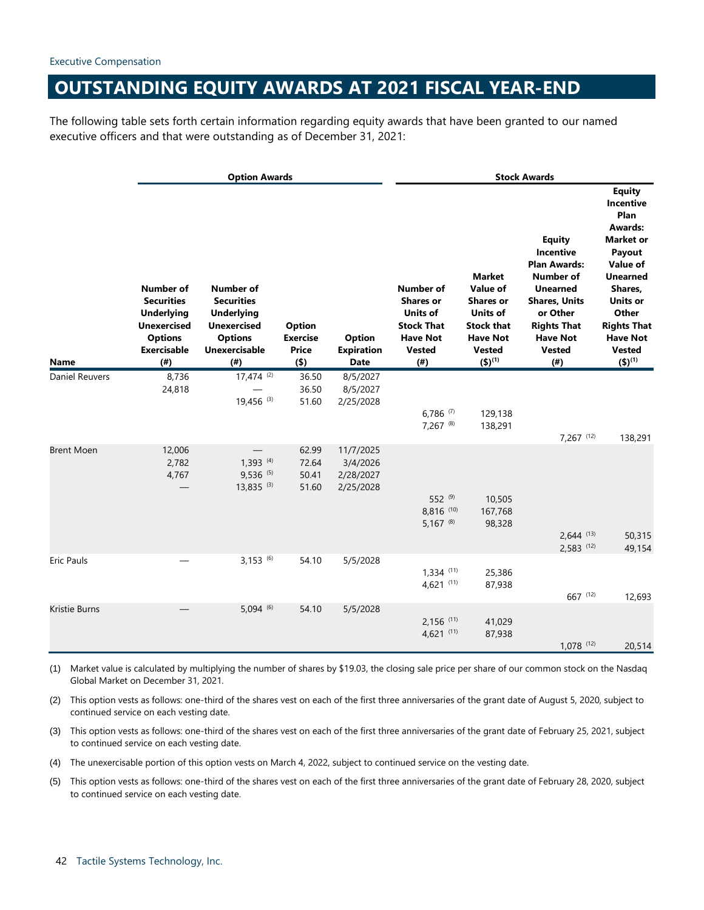# <span id="page-41-0"></span>**OUTSTANDING EQUITY AWARDS AT 2021 FISCAL YEAR-END**

The following table sets forth certain information regarding equity awards that have been granted to our named executive officers and that were outstanding as of December 31, 2021:

|                   | <b>Option Awards</b>                                                                                                            |                                                                                                                                      |                                                      |                                                   | <b>Stock Awards</b>                                                                                                      |                                                                                                                                          |                                                                                                                                                                                                |                                                                                                                                                                                                                                   |
|-------------------|---------------------------------------------------------------------------------------------------------------------------------|--------------------------------------------------------------------------------------------------------------------------------------|------------------------------------------------------|---------------------------------------------------|--------------------------------------------------------------------------------------------------------------------------|------------------------------------------------------------------------------------------------------------------------------------------|------------------------------------------------------------------------------------------------------------------------------------------------------------------------------------------------|-----------------------------------------------------------------------------------------------------------------------------------------------------------------------------------------------------------------------------------|
| Name              | <b>Number of</b><br><b>Securities</b><br><b>Underlying</b><br><b>Unexercised</b><br><b>Options</b><br><b>Exercisable</b><br>(#) | <b>Number of</b><br><b>Securities</b><br><b>Underlying</b><br><b>Unexercised</b><br><b>Options</b><br><b>Unexercisable</b><br>$($ #) | <b>Option</b><br><b>Exercise</b><br>Price<br>$($ \$) | <b>Option</b><br><b>Expiration</b><br><b>Date</b> | <b>Number of</b><br><b>Shares or</b><br><b>Units of</b><br><b>Stock That</b><br><b>Have Not</b><br><b>Vested</b><br>(# ) | <b>Market</b><br>Value of<br><b>Shares or</b><br><b>Units of</b><br><b>Stock that</b><br><b>Have Not</b><br><b>Vested</b><br>$(5)^{(1)}$ | <b>Equity</b><br>Incentive<br><b>Plan Awards:</b><br><b>Number of</b><br><b>Unearned</b><br><b>Shares, Units</b><br>or Other<br><b>Rights That</b><br><b>Have Not</b><br><b>Vested</b><br>(# ) | <b>Equity</b><br>Incentive<br>Plan<br><b>Awards:</b><br><b>Market or</b><br>Payout<br>Value of<br><b>Unearned</b><br>Shares,<br><b>Units or</b><br>Other<br><b>Rights That</b><br><b>Have Not</b><br><b>Vested</b><br>$(5)^{(1)}$ |
| Daniel Reuvers    | 8,736<br>24,818                                                                                                                 | $17,474$ <sup>(2)</sup><br>19,456 (3)                                                                                                | 36.50<br>36.50<br>51.60                              | 8/5/2027<br>8/5/2027<br>2/25/2028                 | 6,786 $(7)$<br>7,267 (8)                                                                                                 | 129,138<br>138,291                                                                                                                       |                                                                                                                                                                                                |                                                                                                                                                                                                                                   |
| <b>Brent Moen</b> | 12,006<br>2,782<br>4,767                                                                                                        | $1,393$ (4)<br>$9,536$ <sup>(5)</sup><br>$13,835$ <sup>(3)</sup>                                                                     | 62.99<br>72.64<br>50.41<br>51.60                     | 11/7/2025<br>3/4/2026<br>2/28/2027<br>2/25/2028   | 552 (9)<br>8,816 (10)<br>$5,167$ <sup>(8)</sup>                                                                          | 10,505<br>167,768<br>98,328                                                                                                              | 7,267 (12)<br>$2,644$ (13)<br>$2,583$ (12)                                                                                                                                                     | 138,291<br>50,315<br>49,154                                                                                                                                                                                                       |
| Eric Pauls        |                                                                                                                                 | $3,153$ (6)                                                                                                                          | 54.10                                                | 5/5/2028                                          | $1,334$ (11)<br>4,621 $(11)$                                                                                             | 25,386<br>87,938                                                                                                                         | 667 (12)                                                                                                                                                                                       | 12,693                                                                                                                                                                                                                            |
| Kristie Burns     |                                                                                                                                 | $5,094$ <sup>(6)</sup>                                                                                                               | 54.10                                                | 5/5/2028                                          | $2,156$ (11)<br>$4,621$ (11)                                                                                             | 41,029<br>87,938                                                                                                                         | $1,078$ (12)                                                                                                                                                                                   | 20,514                                                                                                                                                                                                                            |

(1) Market value is calculated by multiplying the number of shares by \$19.03, the closing sale price per share of our common stock on the Nasdaq Global Market on December 31, 2021.

(2) This option vests as follows: one-third of the shares vest on each of the first three anniversaries of the grant date of August 5, 2020, subject to continued service on each vesting date.

- (3) This option vests as follows: one-third of the shares vest on each of the first three anniversaries of the grant date of February 25, 2021, subject to continued service on each vesting date.
- (4) The unexercisable portion of this option vests on March 4, 2022, subject to continued service on the vesting date.
- (5) This option vests as follows: one-third of the shares vest on each of the first three anniversaries of the grant date of February 28, 2020, subject to continued service on each vesting date.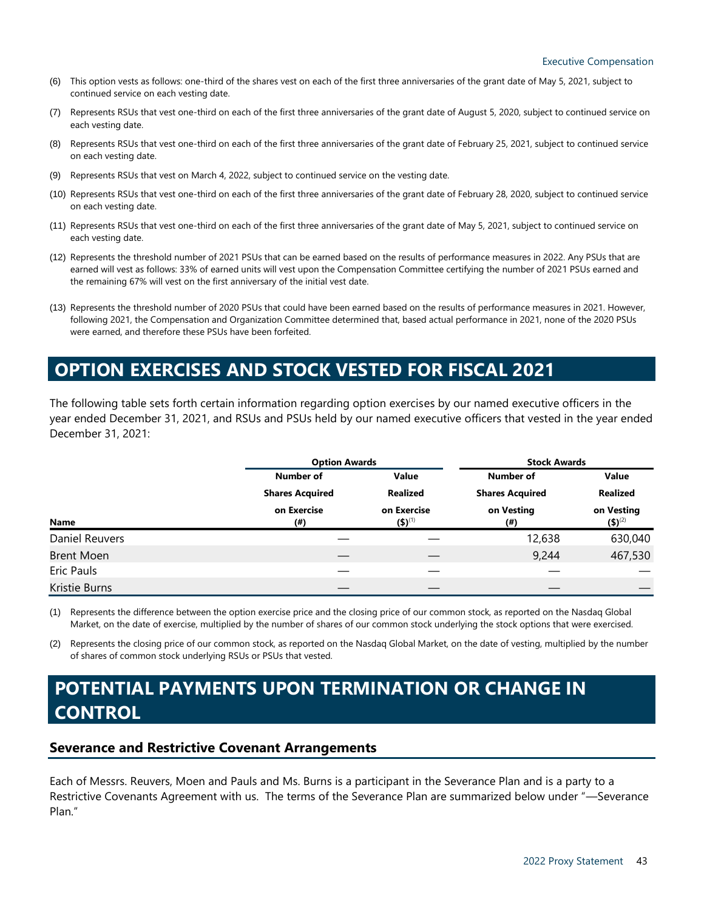- (6) This option vests as follows: one-third of the shares vest on each of the first three anniversaries of the grant date of May 5, 2021, subject to continued service on each vesting date.
- (7) Represents RSUs that vest one-third on each of the first three anniversaries of the grant date of August 5, 2020, subject to continued service on each vesting date.
- (8) Represents RSUs that vest one-third on each of the first three anniversaries of the grant date of February 25, 2021, subject to continued service on each vesting date.
- (9) Represents RSUs that vest on March 4, 2022, subject to continued service on the vesting date.
- (10) Represents RSUs that vest one-third on each of the first three anniversaries of the grant date of February 28, 2020, subject to continued service on each vesting date.
- (11) Represents RSUs that vest one-third on each of the first three anniversaries of the grant date of May 5, 2021, subject to continued service on each vesting date.
- (12) Represents the threshold number of 2021 PSUs that can be earned based on the results of performance measures in 2022. Any PSUs that are earned will vest as follows: 33% of earned units will vest upon the Compensation Committee certifying the number of 2021 PSUs earned and the remaining 67% will vest on the first anniversary of the initial vest date.
- (13) Represents the threshold number of 2020 PSUs that could have been earned based on the results of performance measures in 2021. However, following 2021, the Compensation and Organization Committee determined that, based actual performance in 2021, none of the 2020 PSUs were earned, and therefore these PSUs have been forfeited.

# <span id="page-42-0"></span>**OPTION EXERCISES AND STOCK VESTED FOR FISCAL 2021**

The following table sets forth certain information regarding option exercises by our named executive officers in the year ended December 31, 2021, and RSUs and PSUs held by our named executive officers that vested in the year ended December 31, 2021:

|                   |                        | <b>Option Awards</b>       |                        | <b>Stock Awards</b>       |  |
|-------------------|------------------------|----------------------------|------------------------|---------------------------|--|
|                   | <b>Number of</b>       | Value                      | <b>Number of</b>       | Value                     |  |
|                   | <b>Shares Acquired</b> | Realized                   | <b>Shares Acquired</b> | Realized                  |  |
| Name              | on Exercise<br>(#)     | on Exercise<br>$(5)^{(1)}$ | on Vesting<br>(#)      | on Vesting<br>$(5)^{(2)}$ |  |
| Daniel Reuvers    |                        |                            | 12,638                 | 630,040                   |  |
| <b>Brent Moen</b> |                        |                            | 9,244                  | 467,530                   |  |
| Eric Pauls        |                        |                            |                        |                           |  |
| Kristie Burns     |                        |                            |                        |                           |  |

(1) Represents the difference between the option exercise price and the closing price of our common stock, as reported on the Nasdaq Global Market, on the date of exercise, multiplied by the number of shares of our common stock underlying the stock options that were exercised.

(2) Represents the closing price of our common stock, as reported on the Nasdaq Global Market, on the date of vesting, multiplied by the number of shares of common stock underlying RSUs or PSUs that vested.

# <span id="page-42-1"></span>**POTENTIAL PAYMENTS UPON TERMINATION OR CHANGE IN CONTROL**

## **Severance and Restrictive Covenant Arrangements**

Each of Messrs. Reuvers, Moen and Pauls and Ms. Burns is a participant in the Severance Plan and is a party to a Restrictive Covenants Agreement with us. The terms of the Severance Plan are summarized below under "—Severance Plan."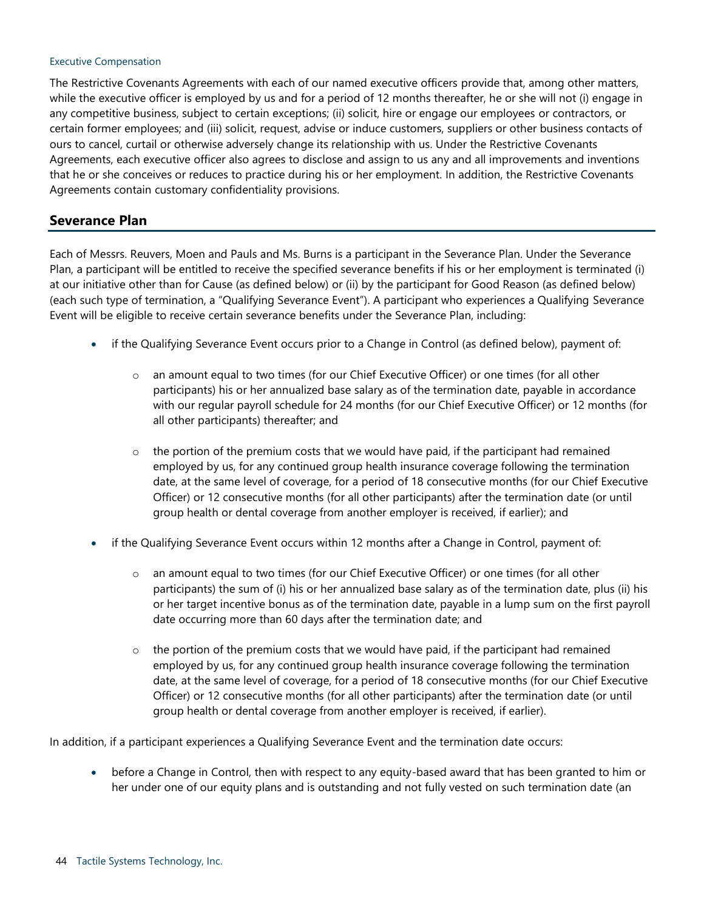### Executive Compensation

The Restrictive Covenants Agreements with each of our named executive officers provide that, among other matters, while the executive officer is employed by us and for a period of 12 months thereafter, he or she will not (i) engage in any competitive business, subject to certain exceptions; (ii) solicit, hire or engage our employees or contractors, or certain former employees; and (iii) solicit, request, advise or induce customers, suppliers or other business contacts of ours to cancel, curtail or otherwise adversely change its relationship with us. Under the Restrictive Covenants Agreements, each executive officer also agrees to disclose and assign to us any and all improvements and inventions that he or she conceives or reduces to practice during his or her employment. In addition, the Restrictive Covenants Agreements contain customary confidentiality provisions.

## **Severance Plan**

Each of Messrs. Reuvers, Moen and Pauls and Ms. Burns is a participant in the Severance Plan. Under the Severance Plan, a participant will be entitled to receive the specified severance benefits if his or her employment is terminated (i) at our initiative other than for Cause (as defined below) or (ii) by the participant for Good Reason (as defined below) (each such type of termination, a "Qualifying Severance Event"). A participant who experiences a Qualifying Severance Event will be eligible to receive certain severance benefits under the Severance Plan, including:

- if the Qualifying Severance Event occurs prior to a Change in Control (as defined below), payment of:
	- o an amount equal to two times (for our Chief Executive Officer) or one times (for all other participants) his or her annualized base salary as of the termination date, payable in accordance with our regular payroll schedule for 24 months (for our Chief Executive Officer) or 12 months (for all other participants) thereafter; and
	- $\circ$  the portion of the premium costs that we would have paid, if the participant had remained employed by us, for any continued group health insurance coverage following the termination date, at the same level of coverage, for a period of 18 consecutive months (for our Chief Executive Officer) or 12 consecutive months (for all other participants) after the termination date (or until group health or dental coverage from another employer is received, if earlier); and
- if the Qualifying Severance Event occurs within 12 months after a Change in Control, payment of:
	- o an amount equal to two times (for our Chief Executive Officer) or one times (for all other participants) the sum of (i) his or her annualized base salary as of the termination date, plus (ii) his or her target incentive bonus as of the termination date, payable in a lump sum on the first payroll date occurring more than 60 days after the termination date; and
	- $\circ$  the portion of the premium costs that we would have paid, if the participant had remained employed by us, for any continued group health insurance coverage following the termination date, at the same level of coverage, for a period of 18 consecutive months (for our Chief Executive Officer) or 12 consecutive months (for all other participants) after the termination date (or until group health or dental coverage from another employer is received, if earlier).

In addition, if a participant experiences a Qualifying Severance Event and the termination date occurs:

• before a Change in Control, then with respect to any equity-based award that has been granted to him or her under one of our equity plans and is outstanding and not fully vested on such termination date (an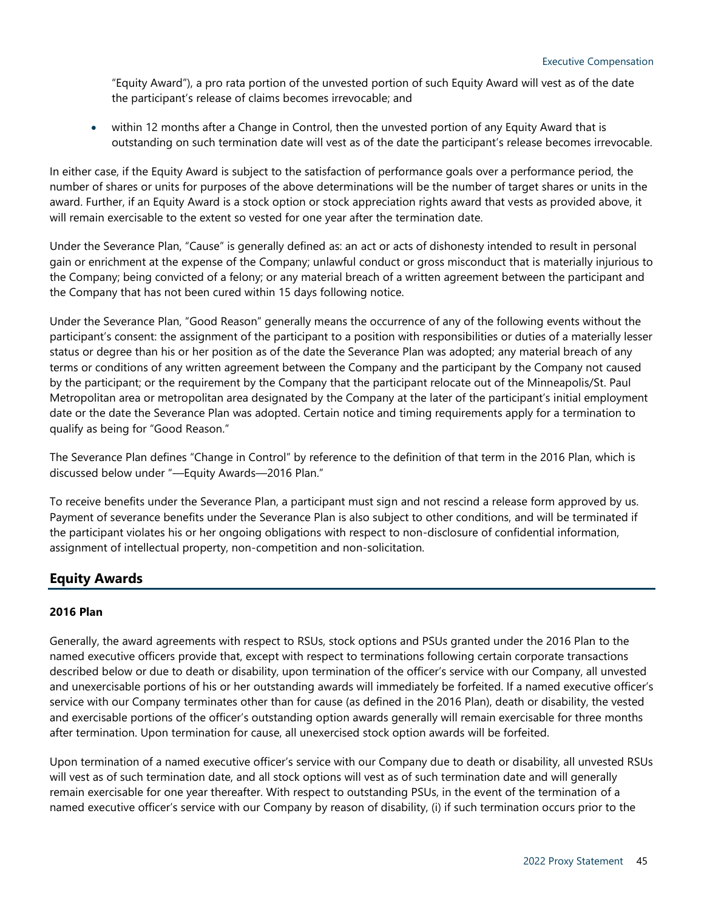"Equity Award"), a pro rata portion of the unvested portion of such Equity Award will vest as of the date the participant's release of claims becomes irrevocable; and

within 12 months after a Change in Control, then the unvested portion of any Equity Award that is outstanding on such termination date will vest as of the date the participant's release becomes irrevocable.

In either case, if the Equity Award is subject to the satisfaction of performance goals over a performance period, the number of shares or units for purposes of the above determinations will be the number of target shares or units in the award. Further, if an Equity Award is a stock option or stock appreciation rights award that vests as provided above, it will remain exercisable to the extent so vested for one year after the termination date.

Under the Severance Plan, "Cause" is generally defined as: an act or acts of dishonesty intended to result in personal gain or enrichment at the expense of the Company; unlawful conduct or gross misconduct that is materially injurious to the Company; being convicted of a felony; or any material breach of a written agreement between the participant and the Company that has not been cured within 15 days following notice.

Under the Severance Plan, "Good Reason" generally means the occurrence of any of the following events without the participant's consent: the assignment of the participant to a position with responsibilities or duties of a materially lesser status or degree than his or her position as of the date the Severance Plan was adopted; any material breach of any terms or conditions of any written agreement between the Company and the participant by the Company not caused by the participant; or the requirement by the Company that the participant relocate out of the Minneapolis/St. Paul Metropolitan area or metropolitan area designated by the Company at the later of the participant's initial employment date or the date the Severance Plan was adopted. Certain notice and timing requirements apply for a termination to qualify as being for "Good Reason."

The Severance Plan defines "Change in Control" by reference to the definition of that term in the 2016 Plan, which is discussed below under "—Equity Awards—2016 Plan."

To receive benefits under the Severance Plan, a participant must sign and not rescind a release form approved by us. Payment of severance benefits under the Severance Plan is also subject to other conditions, and will be terminated if the participant violates his or her ongoing obligations with respect to non-disclosure of confidential information, assignment of intellectual property, non-competition and non-solicitation.

## **Equity Awards**

## **2016 Plan**

Generally, the award agreements with respect to RSUs, stock options and PSUs granted under the 2016 Plan to the named executive officers provide that, except with respect to terminations following certain corporate transactions described below or due to death or disability, upon termination of the officer's service with our Company, all unvested and unexercisable portions of his or her outstanding awards will immediately be forfeited. If a named executive officer's service with our Company terminates other than for cause (as defined in the 2016 Plan), death or disability, the vested and exercisable portions of the officer's outstanding option awards generally will remain exercisable for three months after termination. Upon termination for cause, all unexercised stock option awards will be forfeited.

Upon termination of a named executive officer's service with our Company due to death or disability, all unvested RSUs will vest as of such termination date, and all stock options will vest as of such termination date and will generally remain exercisable for one year thereafter. With respect to outstanding PSUs, in the event of the termination of a named executive officer's service with our Company by reason of disability, (i) if such termination occurs prior to the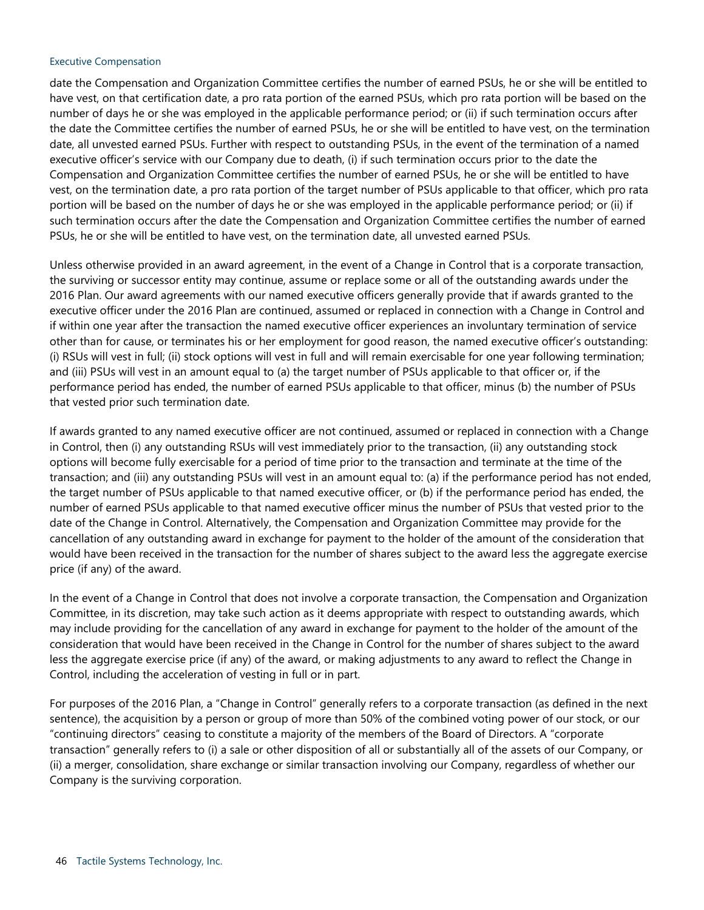### Executive Compensation

date the Compensation and Organization Committee certifies the number of earned PSUs, he or she will be entitled to have vest, on that certification date, a pro rata portion of the earned PSUs, which pro rata portion will be based on the number of days he or she was employed in the applicable performance period; or (ii) if such termination occurs after the date the Committee certifies the number of earned PSUs, he or she will be entitled to have vest, on the termination date, all unvested earned PSUs. Further with respect to outstanding PSUs, in the event of the termination of a named executive officer's service with our Company due to death, (i) if such termination occurs prior to the date the Compensation and Organization Committee certifies the number of earned PSUs, he or she will be entitled to have vest, on the termination date, a pro rata portion of the target number of PSUs applicable to that officer, which pro rata portion will be based on the number of days he or she was employed in the applicable performance period; or (ii) if such termination occurs after the date the Compensation and Organization Committee certifies the number of earned PSUs, he or she will be entitled to have vest, on the termination date, all unvested earned PSUs.

Unless otherwise provided in an award agreement, in the event of a Change in Control that is a corporate transaction, the surviving or successor entity may continue, assume or replace some or all of the outstanding awards under the 2016 Plan. Our award agreements with our named executive officers generally provide that if awards granted to the executive officer under the 2016 Plan are continued, assumed or replaced in connection with a Change in Control and if within one year after the transaction the named executive officer experiences an involuntary termination of service other than for cause, or terminates his or her employment for good reason, the named executive officer's outstanding: (i) RSUs will vest in full; (ii) stock options will vest in full and will remain exercisable for one year following termination; and (iii) PSUs will vest in an amount equal to (a) the target number of PSUs applicable to that officer or, if the performance period has ended, the number of earned PSUs applicable to that officer, minus (b) the number of PSUs that vested prior such termination date.

If awards granted to any named executive officer are not continued, assumed or replaced in connection with a Change in Control, then (i) any outstanding RSUs will vest immediately prior to the transaction, (ii) any outstanding stock options will become fully exercisable for a period of time prior to the transaction and terminate at the time of the transaction; and (iii) any outstanding PSUs will vest in an amount equal to: (a) if the performance period has not ended, the target number of PSUs applicable to that named executive officer, or (b) if the performance period has ended, the number of earned PSUs applicable to that named executive officer minus the number of PSUs that vested prior to the date of the Change in Control. Alternatively, the Compensation and Organization Committee may provide for the cancellation of any outstanding award in exchange for payment to the holder of the amount of the consideration that would have been received in the transaction for the number of shares subject to the award less the aggregate exercise price (if any) of the award.

In the event of a Change in Control that does not involve a corporate transaction, the Compensation and Organization Committee, in its discretion, may take such action as it deems appropriate with respect to outstanding awards, which may include providing for the cancellation of any award in exchange for payment to the holder of the amount of the consideration that would have been received in the Change in Control for the number of shares subject to the award less the aggregate exercise price (if any) of the award, or making adjustments to any award to reflect the Change in Control, including the acceleration of vesting in full or in part.

For purposes of the 2016 Plan, a "Change in Control" generally refers to a corporate transaction (as defined in the next sentence), the acquisition by a person or group of more than 50% of the combined voting power of our stock, or our "continuing directors" ceasing to constitute a majority of the members of the Board of Directors. A "corporate transaction" generally refers to (i) a sale or other disposition of all or substantially all of the assets of our Company, or (ii) a merger, consolidation, share exchange or similar transaction involving our Company, regardless of whether our Company is the surviving corporation.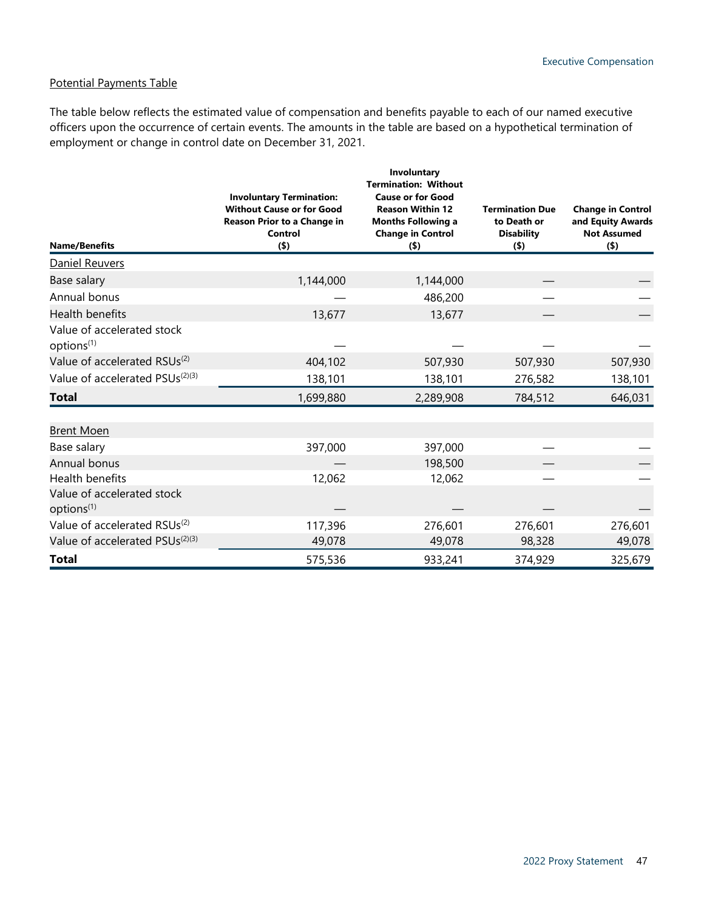## Potential Payments Table

The table below reflects the estimated value of compensation and benefits payable to each of our named executive officers upon the occurrence of certain events. The amounts in the table are based on a hypothetical termination of employment or change in control date on December 31, 2021.

| <b>Name/Benefits</b>                                 | <b>Involuntary Termination:</b><br><b>Without Cause or for Good</b><br>Reason Prior to a Change in<br>Control<br>(5) | Involuntary<br><b>Termination: Without</b><br><b>Cause or for Good</b><br><b>Reason Within 12</b><br><b>Months Following a</b><br><b>Change in Control</b><br>$($ \$) | <b>Termination Due</b><br>to Death or<br><b>Disability</b><br>$($ \$) | <b>Change in Control</b><br>and Equity Awards<br><b>Not Assumed</b><br>(5) |
|------------------------------------------------------|----------------------------------------------------------------------------------------------------------------------|-----------------------------------------------------------------------------------------------------------------------------------------------------------------------|-----------------------------------------------------------------------|----------------------------------------------------------------------------|
| Daniel Reuvers                                       |                                                                                                                      |                                                                                                                                                                       |                                                                       |                                                                            |
| Base salary                                          | 1,144,000                                                                                                            | 1,144,000                                                                                                                                                             |                                                                       |                                                                            |
| Annual bonus                                         |                                                                                                                      | 486,200                                                                                                                                                               |                                                                       |                                                                            |
| Health benefits                                      | 13,677                                                                                                               | 13,677                                                                                                                                                                |                                                                       |                                                                            |
| Value of accelerated stock<br>options <sup>(1)</sup> |                                                                                                                      |                                                                                                                                                                       |                                                                       |                                                                            |
| Value of accelerated RSUs <sup>(2)</sup>             | 404,102                                                                                                              | 507,930                                                                                                                                                               | 507,930                                                               | 507,930                                                                    |
| Value of accelerated PSUs <sup>(2)(3)</sup>          | 138,101                                                                                                              | 138,101                                                                                                                                                               | 276,582                                                               | 138,101                                                                    |
| Total                                                | 1,699,880                                                                                                            | 2,289,908                                                                                                                                                             | 784,512                                                               | 646,031                                                                    |
| <b>Brent Moen</b>                                    |                                                                                                                      |                                                                                                                                                                       |                                                                       |                                                                            |
| Base salary                                          | 397,000                                                                                                              | 397,000                                                                                                                                                               |                                                                       |                                                                            |
| Annual bonus                                         |                                                                                                                      | 198,500                                                                                                                                                               |                                                                       |                                                                            |
| Health benefits                                      | 12,062                                                                                                               | 12,062                                                                                                                                                                |                                                                       |                                                                            |
| Value of accelerated stock<br>options <sup>(1)</sup> |                                                                                                                      |                                                                                                                                                                       |                                                                       |                                                                            |
| Value of accelerated RSUs <sup>(2)</sup>             | 117,396                                                                                                              | 276,601                                                                                                                                                               | 276,601                                                               | 276,601                                                                    |
| Value of accelerated PSUs <sup>(2)(3)</sup>          | 49,078                                                                                                               | 49,078                                                                                                                                                                | 98,328                                                                | 49,078                                                                     |
| <b>Total</b>                                         | 575,536                                                                                                              | 933,241                                                                                                                                                               | 374,929                                                               | 325,679                                                                    |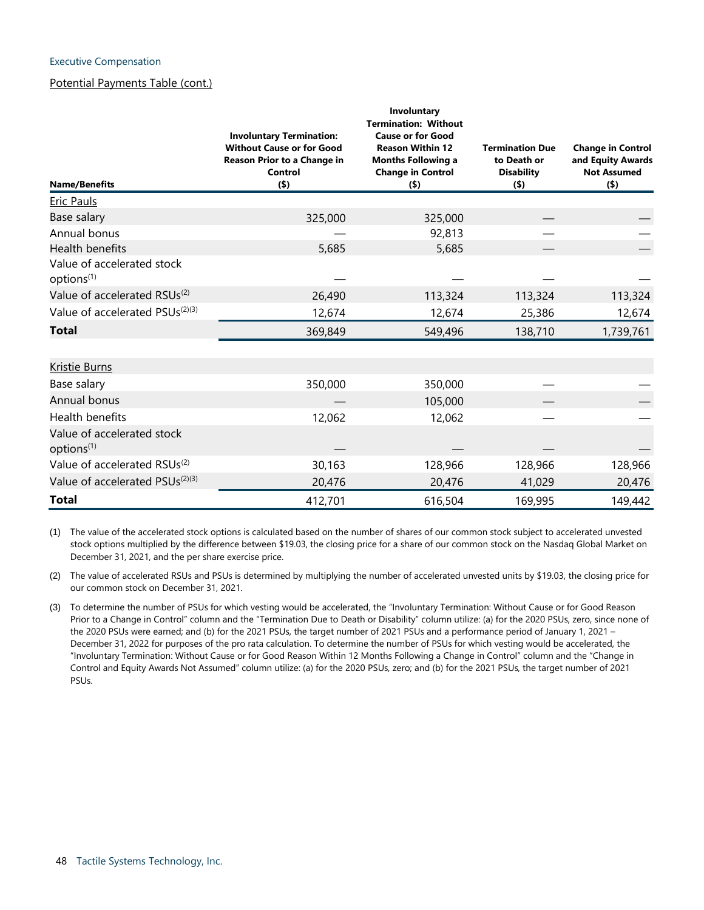### Executive Compensation

## Potential Payments Table (cont.)

| <b>Name/Benefits</b>                                 | <b>Involuntary Termination:</b><br><b>Without Cause or for Good</b><br>Reason Prior to a Change in<br>Control<br>$($ \$) | Involuntary<br><b>Termination: Without</b><br><b>Cause or for Good</b><br><b>Reason Within 12</b><br><b>Months Following a</b><br><b>Change in Control</b><br>$($ \$) | <b>Termination Due</b><br>to Death or<br><b>Disability</b><br>$($ \$) | <b>Change in Control</b><br>and Equity Awards<br><b>Not Assumed</b><br>$($ \$) |
|------------------------------------------------------|--------------------------------------------------------------------------------------------------------------------------|-----------------------------------------------------------------------------------------------------------------------------------------------------------------------|-----------------------------------------------------------------------|--------------------------------------------------------------------------------|
| Eric Pauls                                           |                                                                                                                          |                                                                                                                                                                       |                                                                       |                                                                                |
| Base salary                                          | 325,000                                                                                                                  | 325,000                                                                                                                                                               |                                                                       |                                                                                |
| Annual bonus                                         |                                                                                                                          | 92,813                                                                                                                                                                |                                                                       |                                                                                |
| Health benefits                                      | 5,685                                                                                                                    | 5,685                                                                                                                                                                 |                                                                       |                                                                                |
| Value of accelerated stock<br>options <sup>(1)</sup> |                                                                                                                          |                                                                                                                                                                       |                                                                       |                                                                                |
| Value of accelerated RSUs <sup>(2)</sup>             | 26,490                                                                                                                   | 113,324                                                                                                                                                               | 113,324                                                               | 113,324                                                                        |
| Value of accelerated PSUs <sup>(2)(3)</sup>          | 12,674                                                                                                                   | 12,674                                                                                                                                                                | 25,386                                                                | 12,674                                                                         |
| Total                                                | 369,849                                                                                                                  | 549,496                                                                                                                                                               | 138,710                                                               | 1,739,761                                                                      |
| <b>Kristie Burns</b>                                 |                                                                                                                          |                                                                                                                                                                       |                                                                       |                                                                                |
| Base salary                                          | 350,000                                                                                                                  | 350,000                                                                                                                                                               |                                                                       |                                                                                |
| Annual bonus                                         |                                                                                                                          | 105,000                                                                                                                                                               |                                                                       |                                                                                |
| Health benefits                                      | 12,062                                                                                                                   | 12,062                                                                                                                                                                |                                                                       |                                                                                |
| Value of accelerated stock<br>options <sup>(1)</sup> |                                                                                                                          |                                                                                                                                                                       |                                                                       |                                                                                |
| Value of accelerated RSUs <sup>(2)</sup>             | 30,163                                                                                                                   | 128,966                                                                                                                                                               | 128,966                                                               | 128,966                                                                        |
| Value of accelerated PSUs <sup>(2)(3)</sup>          | 20,476                                                                                                                   | 20,476                                                                                                                                                                | 41,029                                                                | 20,476                                                                         |
| <b>Total</b>                                         | 412,701                                                                                                                  | 616,504                                                                                                                                                               | 169,995                                                               | 149,442                                                                        |

(1) The value of the accelerated stock options is calculated based on the number of shares of our common stock subject to accelerated unvested stock options multiplied by the difference between \$19.03, the closing price for a share of our common stock on the Nasdaq Global Market on December 31, 2021, and the per share exercise price.

(2) The value of accelerated RSUs and PSUs is determined by multiplying the number of accelerated unvested units by \$19.03, the closing price for our common stock on December 31, 2021.

(3) To determine the number of PSUs for which vesting would be accelerated, the "Involuntary Termination: Without Cause or for Good Reason Prior to a Change in Control" column and the "Termination Due to Death or Disability" column utilize: (a) for the 2020 PSUs, zero, since none of the 2020 PSUs were earned; and (b) for the 2021 PSUs, the target number of 2021 PSUs and a performance period of January 1, 2021 – December 31, 2022 for purposes of the pro rata calculation. To determine the number of PSUs for which vesting would be accelerated, the "Involuntary Termination: Without Cause or for Good Reason Within 12 Months Following a Change in Control" column and the "Change in Control and Equity Awards Not Assumed" column utilize: (a) for the 2020 PSUs, zero; and (b) for the 2021 PSUs, the target number of 2021 PSUs.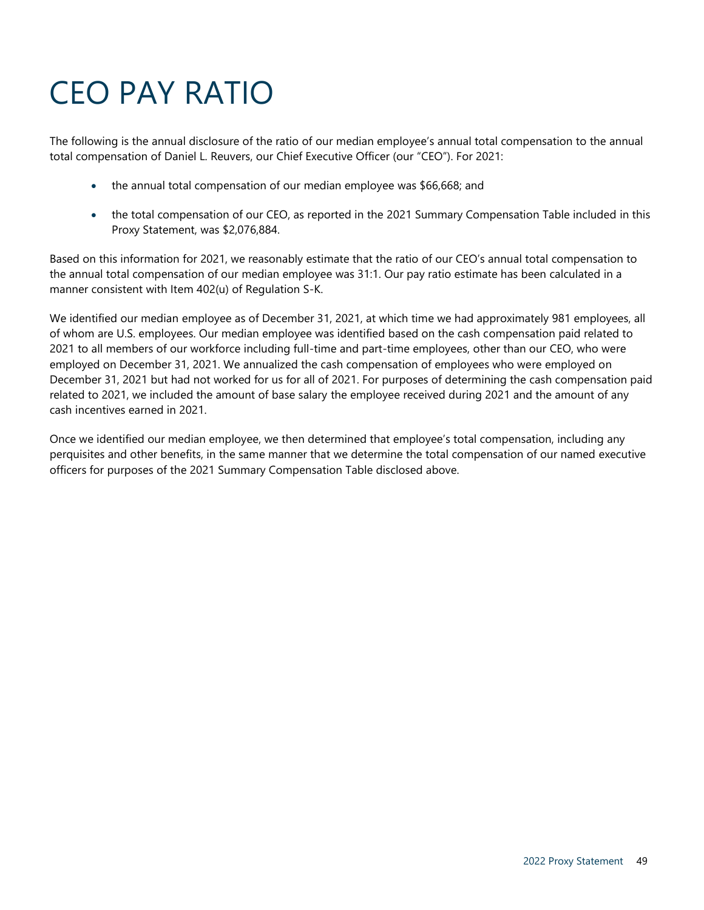# CEO PAY RATIO

The following is the annual disclosure of the ratio of our median employee's annual total compensation to the annual total compensation of Daniel L. Reuvers, our Chief Executive Officer (our "CEO"). For 2021:

- <span id="page-48-0"></span>• the annual total compensation of our median employee was \$66,668; and
- the total compensation of our CEO, as reported in the 2021 Summary Compensation Table included in this Proxy Statement, was \$2,076,884.

Based on this information for 2021, we reasonably estimate that the ratio of our CEO's annual total compensation to the annual total compensation of our median employee was 31:1. Our pay ratio estimate has been calculated in a manner consistent with Item 402(u) of Regulation S-K.

We identified our median employee as of December 31, 2021, at which time we had approximately 981 employees, all of whom are U.S. employees. Our median employee was identified based on the cash compensation paid related to 2021 to all members of our workforce including full-time and part-time employees, other than our CEO, who were employed on December 31, 2021. We annualized the cash compensation of employees who were employed on December 31, 2021 but had not worked for us for all of 2021. For purposes of determining the cash compensation paid related to 2021, we included the amount of base salary the employee received during 2021 and the amount of any cash incentives earned in 2021.

Once we identified our median employee, we then determined that employee's total compensation, including any perquisites and other benefits, in the same manner that we determine the total compensation of our named executive officers for purposes of the 2021 Summary Compensation Table disclosed above.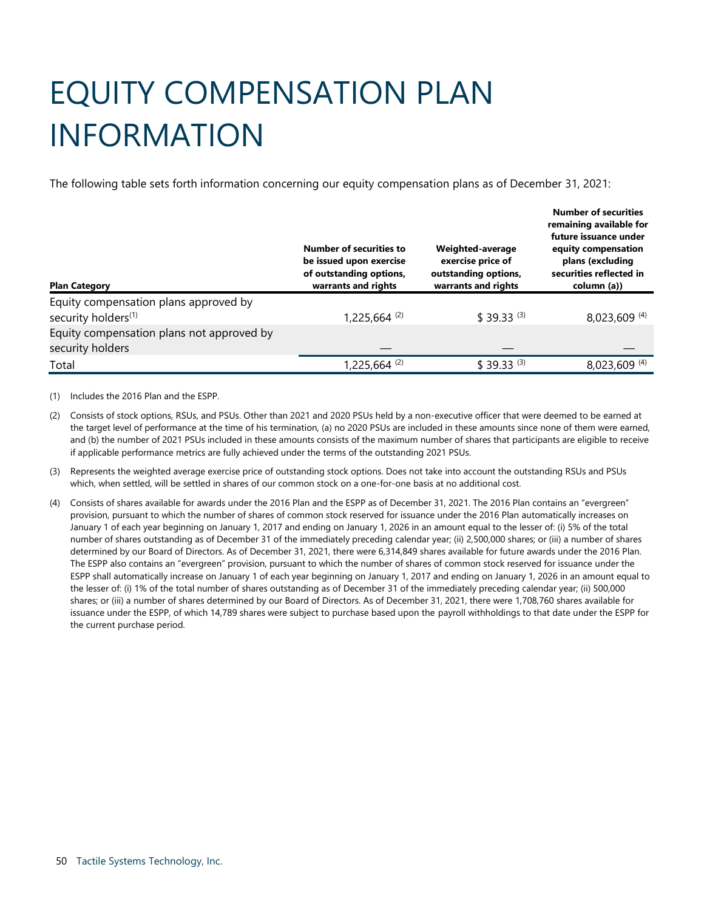# <span id="page-49-0"></span>EQUITY COMPENSATION PLAN INFORMATION

The following table sets forth information concerning our equity compensation plans as of December 31, 2021:

| <b>Plan Category</b>                                                     | <b>Number of securities to</b><br>be issued upon exercise<br>of outstanding options,<br>warrants and rights | Weighted-average<br>exercise price of<br>outstanding options,<br>warrants and rights | <b>Number of securities</b><br>remaining available for<br>future issuance under<br>equity compensation<br>plans (excluding<br>securities reflected in<br>column (a)) |
|--------------------------------------------------------------------------|-------------------------------------------------------------------------------------------------------------|--------------------------------------------------------------------------------------|----------------------------------------------------------------------------------------------------------------------------------------------------------------------|
| Equity compensation plans approved by<br>security holders <sup>(1)</sup> | $1,225,664$ <sup>(2)</sup>                                                                                  | $$39.33^{(3)}$                                                                       | 8,023,609 (4)                                                                                                                                                        |
| Equity compensation plans not approved by<br>security holders            |                                                                                                             |                                                                                      |                                                                                                                                                                      |
| Total                                                                    | $1,225,664$ <sup>(2)</sup>                                                                                  | $$39.33^{(3)}$                                                                       | 8,023,609 (4)                                                                                                                                                        |

(1) Includes the 2016 Plan and the ESPP.

- (2) Consists of stock options, RSUs, and PSUs. Other than 2021 and 2020 PSUs held by a non-executive officer that were deemed to be earned at the target level of performance at the time of his termination, (a) no 2020 PSUs are included in these amounts since none of them were earned, and (b) the number of 2021 PSUs included in these amounts consists of the maximum number of shares that participants are eligible to receive if applicable performance metrics are fully achieved under the terms of the outstanding 2021 PSUs.
- (3) Represents the weighted average exercise price of outstanding stock options. Does not take into account the outstanding RSUs and PSUs which, when settled, will be settled in shares of our common stock on a one-for-one basis at no additional cost.
- (4) Consists of shares available for awards under the 2016 Plan and the ESPP as of December 31, 2021. The 2016 Plan contains an "evergreen" provision, pursuant to which the number of shares of common stock reserved for issuance under the 2016 Plan automatically increases on January 1 of each year beginning on January 1, 2017 and ending on January 1, 2026 in an amount equal to the lesser of: (i) 5% of the total number of shares outstanding as of December 31 of the immediately preceding calendar year; (ii) 2,500,000 shares; or (iii) a number of shares determined by our Board of Directors. As of December 31, 2021, there were 6,314,849 shares available for future awards under the 2016 Plan. The ESPP also contains an "evergreen" provision, pursuant to which the number of shares of common stock reserved for issuance under the ESPP shall automatically increase on January 1 of each year beginning on January 1, 2017 and ending on January 1, 2026 in an amount equal to the lesser of: (i) 1% of the total number of shares outstanding as of December 31 of the immediately preceding calendar year; (ii) 500,000 shares; or (iii) a number of shares determined by our Board of Directors. As of December 31, 2021, there were 1,708,760 shares available for issuance under the ESPP, of which 14,789 shares were subject to purchase based upon the payroll withholdings to that date under the ESPP for the current purchase period.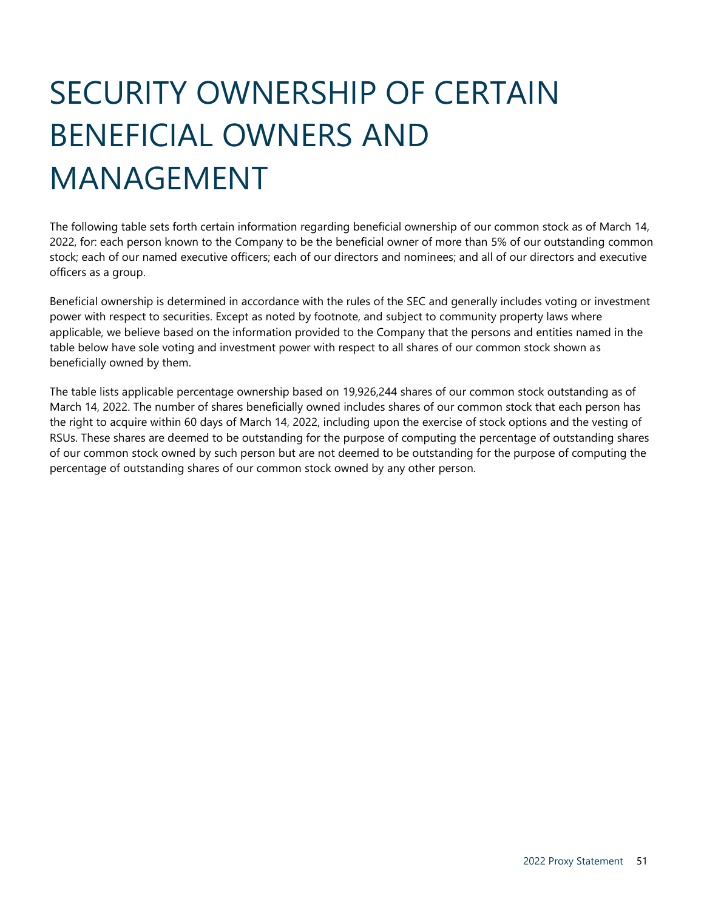# SECURITY OWNERSHIP OF CERTAIN BENEFICIAL OWNERS AND MANAGEMENT

<span id="page-50-0"></span>The following table sets forth certain information regarding beneficial ownership of our common stock as of March 14, 2022, for: each person known to the Company to be the beneficial owner of more than 5% of our outstanding common stock; each of our named executive officers; each of our directors and nominees; and all of our directors and executive officers as a group.

Beneficial ownership is determined in accordance with the rules of the SEC and generally includes voting or investment power with respect to securities. Except as noted by footnote, and subject to community property laws where applicable, we believe based on the information provided to the Company that the persons and entities named in the table below have sole voting and investment power with respect to all shares of our common stock shown as beneficially owned by them.

The table lists applicable percentage ownership based on 19,926,244 shares of our common stock outstanding as of March 14, 2022. The number of shares beneficially owned includes shares of our common stock that each person has the right to acquire within 60 days of March 14, 2022, including upon the exercise of stock options and the vesting of RSUs. These shares are deemed to be outstanding for the purpose of computing the percentage of outstanding shares of our common stock owned by such person but are not deemed to be outstanding for the purpose of computing the percentage of outstanding shares of our common stock owned by any other person.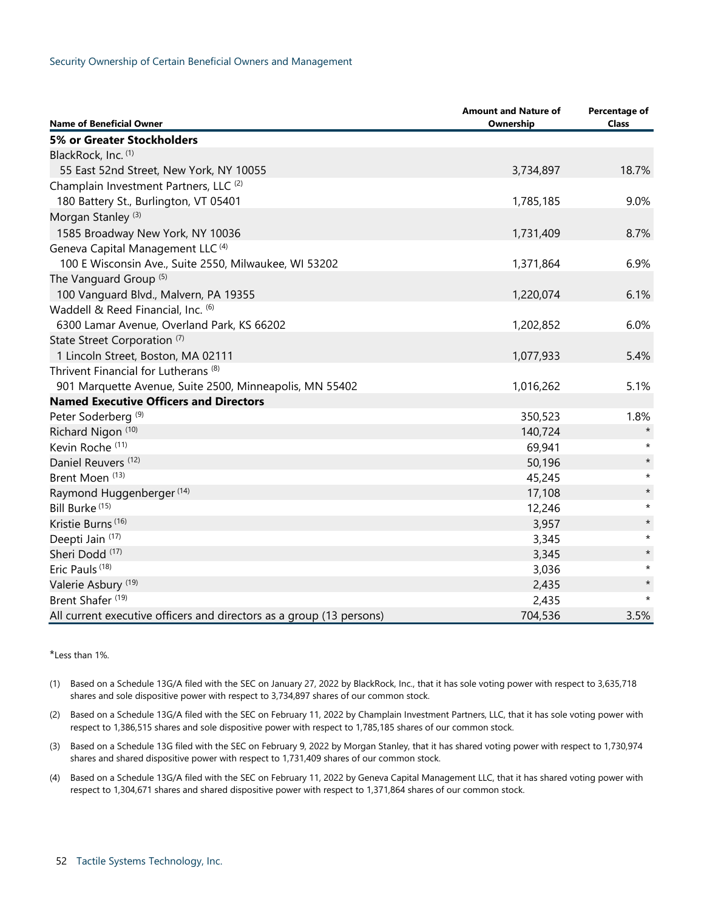| <b>Name of Beneficial Owner</b>                                      | <b>Amount and Nature of</b><br>Ownership | Percentage of<br><b>Class</b> |
|----------------------------------------------------------------------|------------------------------------------|-------------------------------|
| 5% or Greater Stockholders                                           |                                          |                               |
| BlackRock, Inc. (1)                                                  |                                          |                               |
| 55 East 52nd Street, New York, NY 10055                              | 3,734,897                                | 18.7%                         |
| Champlain Investment Partners, LLC <sup>(2)</sup>                    |                                          |                               |
| 180 Battery St., Burlington, VT 05401                                | 1,785,185                                | 9.0%                          |
| Morgan Stanley <sup>(3)</sup>                                        |                                          |                               |
| 1585 Broadway New York, NY 10036                                     | 1,731,409                                | 8.7%                          |
| Geneva Capital Management LLC <sup>(4)</sup>                         |                                          |                               |
| 100 E Wisconsin Ave., Suite 2550, Milwaukee, WI 53202                | 1,371,864                                | 6.9%                          |
| The Vanguard Group <sup>(5)</sup>                                    |                                          |                               |
| 100 Vanguard Blvd., Malvern, PA 19355                                | 1,220,074                                | 6.1%                          |
| Waddell & Reed Financial, Inc. (6)                                   |                                          |                               |
| 6300 Lamar Avenue, Overland Park, KS 66202                           | 1,202,852                                | 6.0%                          |
| State Street Corporation <sup>(7)</sup>                              |                                          |                               |
| 1 Lincoln Street, Boston, MA 02111                                   | 1,077,933                                | 5.4%                          |
| Thrivent Financial for Lutherans <sup>(8)</sup>                      |                                          |                               |
| 901 Marquette Avenue, Suite 2500, Minneapolis, MN 55402              | 1,016,262                                | 5.1%                          |
| <b>Named Executive Officers and Directors</b>                        |                                          |                               |
| Peter Soderberg <sup>(9)</sup>                                       | 350,523                                  | 1.8%                          |
| Richard Nigon (10)                                                   | 140,724                                  | $\star$                       |
| Kevin Roche <sup>(11)</sup>                                          | 69,941                                   | $\star$                       |
| Daniel Reuvers <sup>(12)</sup>                                       | 50,196                                   | $\star$                       |
| Brent Moen <sup>(13)</sup>                                           | 45,245                                   | $\star$                       |
| Raymond Huggenberger (14)                                            | 17,108                                   | $\star$                       |
| Bill Burke <sup>(15)</sup>                                           | 12,246                                   | $\star$                       |
| Kristie Burns <sup>(16)</sup>                                        | 3,957                                    | $\star$                       |
| Deepti Jain (17)                                                     | 3,345                                    | $\star$                       |
| Sheri Dodd <sup>(17)</sup>                                           | 3,345                                    | $\star$                       |
| Eric Pauls <sup>(18)</sup>                                           | 3,036                                    | $\star$                       |
| Valerie Asbury <sup>(19)</sup>                                       | 2,435                                    | $\star$                       |
| Brent Shafer <sup>(19)</sup>                                         | 2,435                                    | $\star$                       |
| All current executive officers and directors as a group (13 persons) | 704,536                                  | 3.5%                          |

#### \*Less than 1%.

- (1) Based on a Schedule 13G/A filed with the SEC on January 27, 2022 by BlackRock, Inc., that it has sole voting power with respect to 3,635,718 shares and sole dispositive power with respect to 3,734,897 shares of our common stock.
- (2) Based on a Schedule 13G/A filed with the SEC on February 11, 2022 by Champlain Investment Partners, LLC, that it has sole voting power with respect to 1,386,515 shares and sole dispositive power with respect to 1,785,185 shares of our common stock.
- (3) Based on a Schedule 13G filed with the SEC on February 9, 2022 by Morgan Stanley, that it has shared voting power with respect to 1,730,974 shares and shared dispositive power with respect to 1,731,409 shares of our common stock.
- (4) Based on a Schedule 13G/A filed with the SEC on February 11, 2022 by Geneva Capital Management LLC, that it has shared voting power with respect to 1,304,671 shares and shared dispositive power with respect to 1,371,864 shares of our common stock.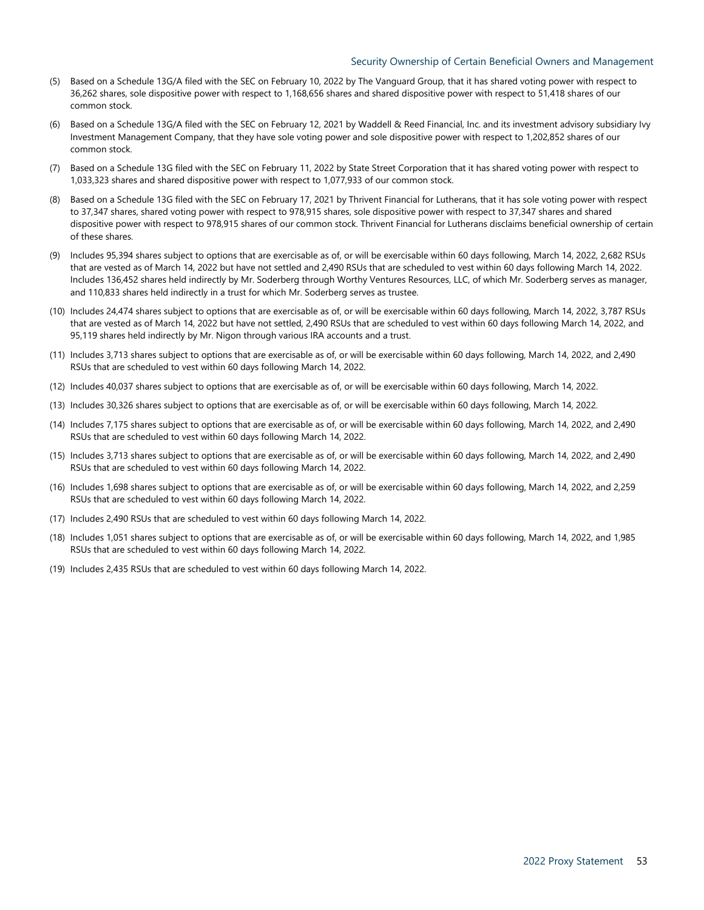#### Security Ownership of Certain Beneficial Owners and Management

- (5) Based on a Schedule 13G/A filed with the SEC on February 10, 2022 by The Vanguard Group, that it has shared voting power with respect to 36,262 shares, sole dispositive power with respect to 1,168,656 shares and shared dispositive power with respect to 51,418 shares of our common stock.
- (6) Based on a Schedule 13G/A filed with the SEC on February 12, 2021 by Waddell & Reed Financial, Inc. and its investment advisory subsidiary Ivy Investment Management Company, that they have sole voting power and sole dispositive power with respect to 1,202,852 shares of our common stock.
- (7) Based on a Schedule 13G filed with the SEC on February 11, 2022 by State Street Corporation that it has shared voting power with respect to 1,033,323 shares and shared dispositive power with respect to 1,077,933 of our common stock.
- (8) Based on a Schedule 13G filed with the SEC on February 17, 2021 by Thrivent Financial for Lutherans, that it has sole voting power with respect to 37,347 shares, shared voting power with respect to 978,915 shares, sole dispositive power with respect to 37,347 shares and shared dispositive power with respect to 978,915 shares of our common stock. Thrivent Financial for Lutherans disclaims beneficial ownership of certain of these shares.
- (9) Includes 95,394 shares subject to options that are exercisable as of, or will be exercisable within 60 days following, March 14, 2022, 2,682 RSUs that are vested as of March 14, 2022 but have not settled and 2,490 RSUs that are scheduled to vest within 60 days following March 14, 2022. Includes 136,452 shares held indirectly by Mr. Soderberg through Worthy Ventures Resources, LLC, of which Mr. Soderberg serves as manager, and 110,833 shares held indirectly in a trust for which Mr. Soderberg serves as trustee.
- (10) Includes 24,474 shares subject to options that are exercisable as of, or will be exercisable within 60 days following, March 14, 2022, 3,787 RSUs that are vested as of March 14, 2022 but have not settled, 2,490 RSUs that are scheduled to vest within 60 days following March 14, 2022, and 95,119 shares held indirectly by Mr. Nigon through various IRA accounts and a trust.
- (11) Includes 3,713 shares subject to options that are exercisable as of, or will be exercisable within 60 days following, March 14, 2022, and 2,490 RSUs that are scheduled to vest within 60 days following March 14, 2022.
- (12) Includes 40,037 shares subject to options that are exercisable as of, or will be exercisable within 60 days following, March 14, 2022.
- (13) Includes 30,326 shares subject to options that are exercisable as of, or will be exercisable within 60 days following, March 14, 2022.
- (14) Includes 7,175 shares subject to options that are exercisable as of, or will be exercisable within 60 days following, March 14, 2022, and 2,490 RSUs that are scheduled to vest within 60 days following March 14, 2022.
- (15) Includes 3,713 shares subject to options that are exercisable as of, or will be exercisable within 60 days following, March 14, 2022, and 2,490 RSUs that are scheduled to vest within 60 days following March 14, 2022.
- (16) Includes 1,698 shares subject to options that are exercisable as of, or will be exercisable within 60 days following, March 14, 2022, and 2,259 RSUs that are scheduled to vest within 60 days following March 14, 2022.
- (17) Includes 2,490 RSUs that are scheduled to vest within 60 days following March 14, 2022.
- (18) Includes 1,051 shares subject to options that are exercisable as of, or will be exercisable within 60 days following, March 14, 2022, and 1,985 RSUs that are scheduled to vest within 60 days following March 14, 2022.
- (19) Includes 2,435 RSUs that are scheduled to vest within 60 days following March 14, 2022.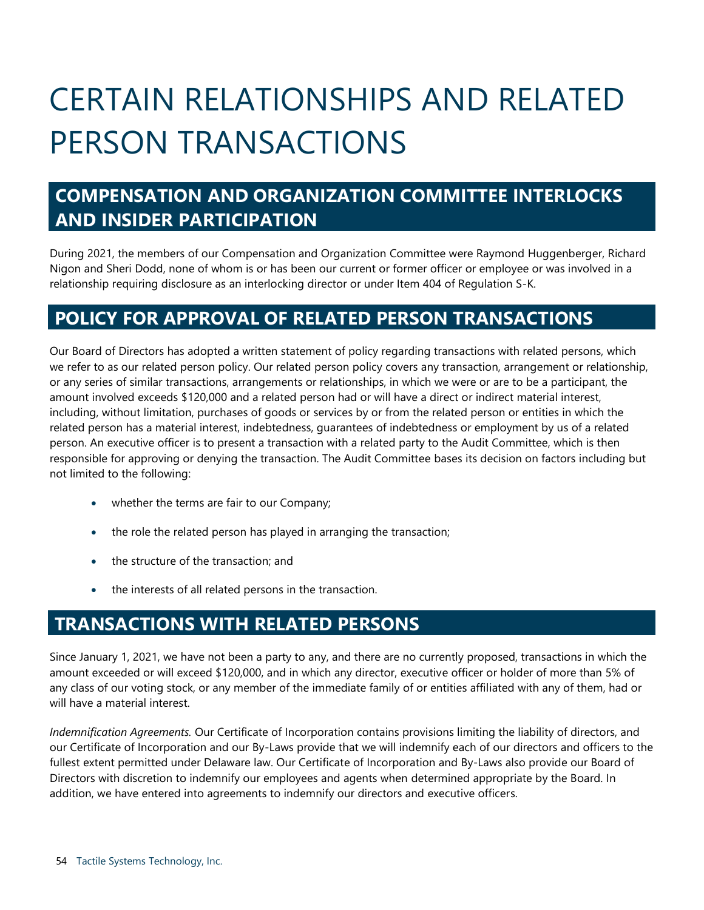# CERTAIN RELATIONSHIPS AND RELATED PERSON TRANSACTIONS

# <span id="page-53-1"></span><span id="page-53-0"></span>**COMPENSATION AND ORGANIZATION COMMITTEE INTERLOCKS AND INSIDER PARTICIPATION**

During 2021, the members of our Compensation and Organization Committee were Raymond Huggenberger, Richard Nigon and Sheri Dodd, none of whom is or has been our current or former officer or employee or was involved in a relationship requiring disclosure as an interlocking director or under Item 404 of Regulation S-K.

# **POLICY FOR APPROVAL OF RELATED PERSON TRANSACTIONS**

Our Board of Directors has adopted a written statement of policy regarding transactions with related persons, which we refer to as our related person policy. Our related person policy covers any transaction, arrangement or relationship, or any series of similar transactions, arrangements or relationships, in which we were or are to be a participant, the amount involved exceeds \$120,000 and a related person had or will have a direct or indirect material interest, including, without limitation, purchases of goods or services by or from the related person or entities in which the related person has a material interest, indebtedness, guarantees of indebtedness or employment by us of a related person. An executive officer is to present a transaction with a related party to the Audit Committee, which is then responsible for approving or denying the transaction. The Audit Committee bases its decision on factors including but not limited to the following:

- <span id="page-53-2"></span>• whether the terms are fair to our Company;
- the role the related person has played in arranging the transaction;
- the structure of the transaction; and
- <span id="page-53-3"></span>• the interests of all related persons in the transaction.

# **TRANSACTIONS WITH RELATED PERSONS**

Since January 1, 2021, we have not been a party to any, and there are no currently proposed, transactions in which the amount exceeded or will exceed \$120,000, and in which any director, executive officer or holder of more than 5% of any class of our voting stock, or any member of the immediate family of or entities affiliated with any of them, had or will have a material interest.

*Indemnification Agreements.* Our Certificate of Incorporation contains provisions limiting the liability of directors, and our Certificate of Incorporation and our By-Laws provide that we will indemnify each of our directors and officers to the fullest extent permitted under Delaware law. Our Certificate of Incorporation and By-Laws also provide our Board of Directors with discretion to indemnify our employees and agents when determined appropriate by the Board. In addition, we have entered into agreements to indemnify our directors and executive officers.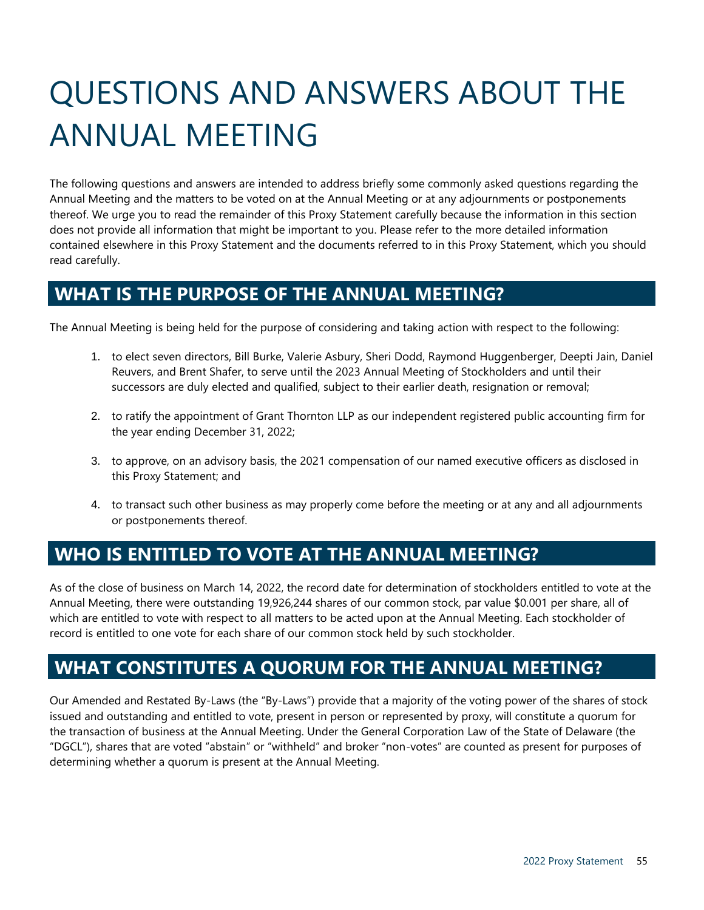# <span id="page-54-0"></span>QUESTIONS AND ANSWERS ABOUT THE ANNUAL MEETING

The following questions and answers are intended to address briefly some commonly asked questions regarding the Annual Meeting and the matters to be voted on at the Annual Meeting or at any adjournments or postponements thereof. We urge you to read the remainder of this Proxy Statement carefully because the information in this section does not provide all information that might be important to you. Please refer to the more detailed information contained elsewhere in this Proxy Statement and the documents referred to in this Proxy Statement, which you should read carefully.

# **WHAT IS THE PURPOSE OF THE ANNUAL MEETING?**

The Annual Meeting is being held for the purpose of considering and taking action with respect to the following:

- 1. to elect seven directors, Bill Burke, Valerie Asbury, Sheri Dodd, Raymond Huggenberger, Deepti Jain, Daniel Reuvers, and Brent Shafer, to serve until the 2023 Annual Meeting of Stockholders and until their successors are duly elected and qualified, subject to their earlier death, resignation or removal;
- 2. to ratify the appointment of Grant Thornton LLP as our independent registered public accounting firm for the year ending December 31, 2022;
- 3. to approve, on an advisory basis, the 2021 compensation of our named executive officers as disclosed in this Proxy Statement; and
- 4. to transact such other business as may properly come before the meeting or at any and all adjournments or postponements thereof.

# **WHO IS ENTITLED TO VOTE AT THE ANNUAL MEETING?**

As of the close of business on March 14, 2022, the record date for determination of stockholders entitled to vote at the Annual Meeting, there were outstanding 19,926,244 shares of our common stock, par value \$0.001 per share, all of which are entitled to vote with respect to all matters to be acted upon at the Annual Meeting. Each stockholder of record is entitled to one vote for each share of our common stock held by such stockholder.

# **WHAT CONSTITUTES A QUORUM FOR THE ANNUAL MEETING?**

Our Amended and Restated By-Laws (the "By-Laws") provide that a majority of the voting power of the shares of stock issued and outstanding and entitled to vote, present in person or represented by proxy, will constitute a quorum for the transaction of business at the Annual Meeting. Under the General Corporation Law of the State of Delaware (the "DGCL"), shares that are voted "abstain" or "withheld" and broker "non-votes" are counted as present for purposes of determining whether a quorum is present at the Annual Meeting.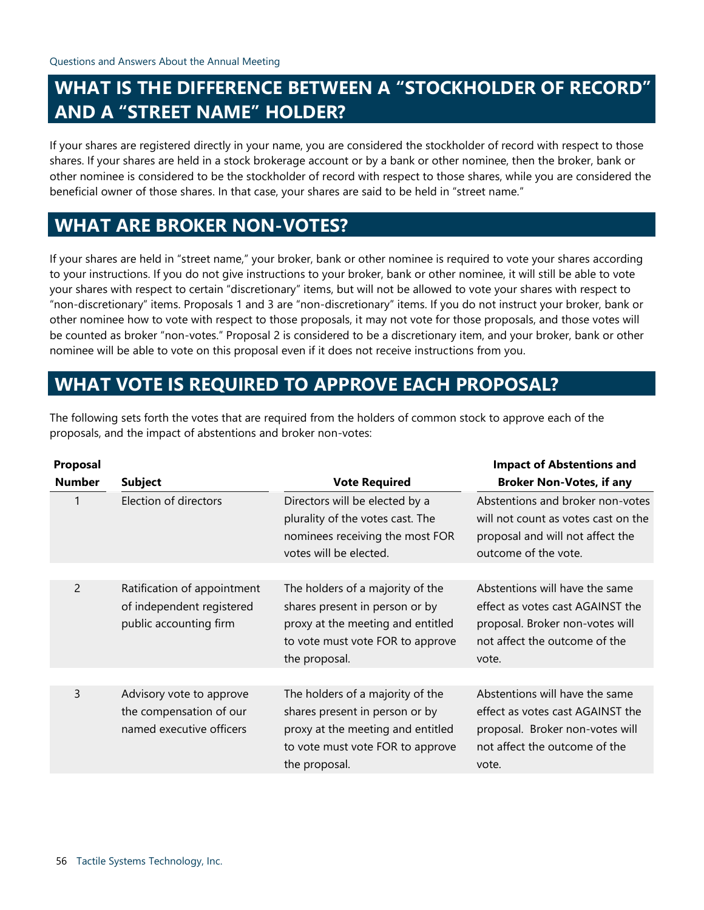# **WHAT IS THE DIFFERENCE BETWEEN A "STOCKHOLDER OF RECORD" AND A "STREET NAME" HOLDER?**

If your shares are registered directly in your name, you are considered the stockholder of record with respect to those shares. If your shares are held in a stock brokerage account or by a bank or other nominee, then the broker, bank or other nominee is considered to be the stockholder of record with respect to those shares, while you are considered the beneficial owner of those shares. In that case, your shares are said to be held in "street name."

# **WHAT ARE BROKER NON-VOTES?**

If your shares are held in "street name," your broker, bank or other nominee is required to vote your shares according to your instructions. If you do not give instructions to your broker, bank or other nominee, it will still be able to vote your shares with respect to certain "discretionary" items, but will not be allowed to vote your shares with respect to "non-discretionary" items. Proposals 1 and 3 are "non-discretionary" items. If you do not instruct your broker, bank or other nominee how to vote with respect to those proposals, it may not vote for those proposals, and those votes will be counted as broker "non-votes." Proposal 2 is considered to be a discretionary item, and your broker, bank or other nominee will be able to vote on this proposal even if it does not receive instructions from you.

# **WHAT VOTE IS REQUIRED TO APPROVE EACH PROPOSAL?**

The following sets forth the votes that are required from the holders of common stock to approve each of the proposals, and the impact of abstentions and broker non-votes:

| Proposal      |                                                                                    |                                                                                                                                                              | <b>Impact of Abstentions and</b>                                                                                                                |
|---------------|------------------------------------------------------------------------------------|--------------------------------------------------------------------------------------------------------------------------------------------------------------|-------------------------------------------------------------------------------------------------------------------------------------------------|
| <b>Number</b> | <b>Subject</b>                                                                     | <b>Vote Required</b>                                                                                                                                         | <b>Broker Non-Votes, if any</b>                                                                                                                 |
|               | Election of directors                                                              | Directors will be elected by a<br>plurality of the votes cast. The<br>nominees receiving the most FOR<br>votes will be elected.                              | Abstentions and broker non-votes<br>will not count as votes cast on the<br>proposal and will not affect the<br>outcome of the vote.             |
| 2             | Ratification of appointment<br>of independent registered<br>public accounting firm | The holders of a majority of the<br>shares present in person or by<br>proxy at the meeting and entitled<br>to vote must vote FOR to approve<br>the proposal. | Abstentions will have the same<br>effect as votes cast AGAINST the<br>proposal. Broker non-votes will<br>not affect the outcome of the<br>vote. |
| 3             | Advisory vote to approve<br>the compensation of our<br>named executive officers    | The holders of a majority of the<br>shares present in person or by<br>proxy at the meeting and entitled<br>to vote must vote FOR to approve<br>the proposal. | Abstentions will have the same<br>effect as votes cast AGAINST the<br>proposal. Broker non-votes will<br>not affect the outcome of the<br>vote. |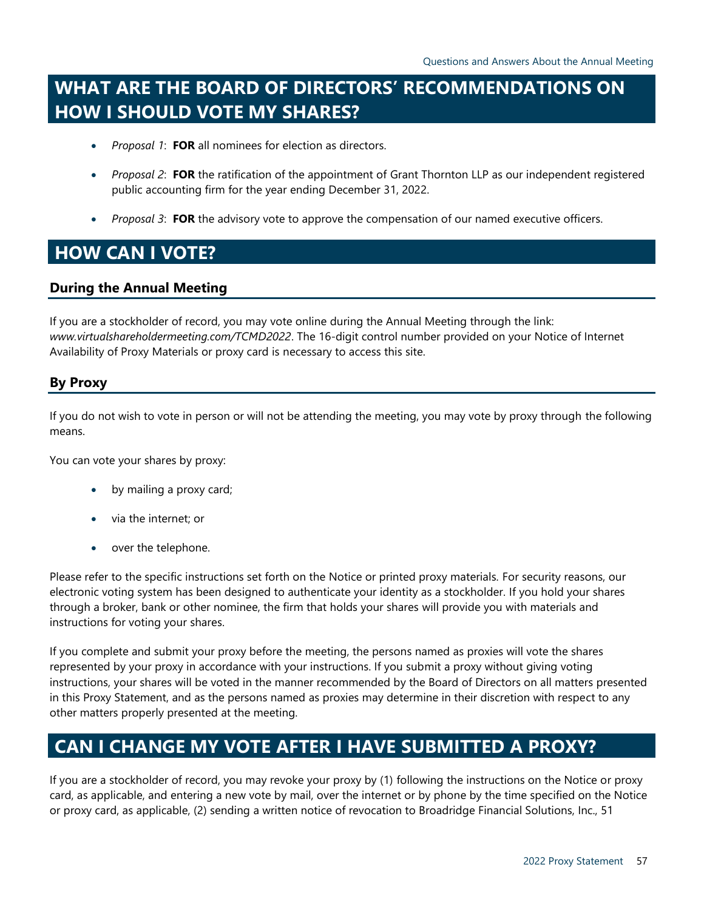# **WHAT ARE THE BOARD OF DIRECTORS' RECOMMENDATIONS ON HOW I SHOULD VOTE MY SHARES?**

- *Proposal 1*: **FOR** all nominees for election as directors.
- *Proposal 2*: **FOR** the ratification of the appointment of Grant Thornton LLP as our independent registered public accounting firm for the year ending December 31, 2022.
- *Proposal 3*: **FOR** the advisory vote to approve the compensation of our named executive officers.

# **HOW CAN I VOTE?**

## **During the Annual Meeting**

If you are a stockholder of record, you may vote online during the Annual Meeting through the link: *www.virtualshareholdermeeting.com/TCMD2022*. The 16-digit control number provided on your Notice of Internet Availability of Proxy Materials or proxy card is necessary to access this site.

## **By Proxy**

If you do not wish to vote in person or will not be attending the meeting, you may vote by proxy through the following means.

You can vote your shares by proxy:

- by mailing a proxy card;
- via the internet; or
- over the telephone.

Please refer to the specific instructions set forth on the Notice or printed proxy materials. For security reasons, our electronic voting system has been designed to authenticate your identity as a stockholder. If you hold your shares through a broker, bank or other nominee, the firm that holds your shares will provide you with materials and instructions for voting your shares.

If you complete and submit your proxy before the meeting, the persons named as proxies will vote the shares represented by your proxy in accordance with your instructions. If you submit a proxy without giving voting instructions, your shares will be voted in the manner recommended by the Board of Directors on all matters presented in this Proxy Statement, and as the persons named as proxies may determine in their discretion with respect to any other matters properly presented at the meeting.

# **CAN I CHANGE MY VOTE AFTER I HAVE SUBMITTED A PROXY?**

If you are a stockholder of record, you may revoke your proxy by (1) following the instructions on the Notice or proxy card, as applicable, and entering a new vote by mail, over the internet or by phone by the time specified on the Notice or proxy card, as applicable, (2) sending a written notice of revocation to Broadridge Financial Solutions, Inc., 51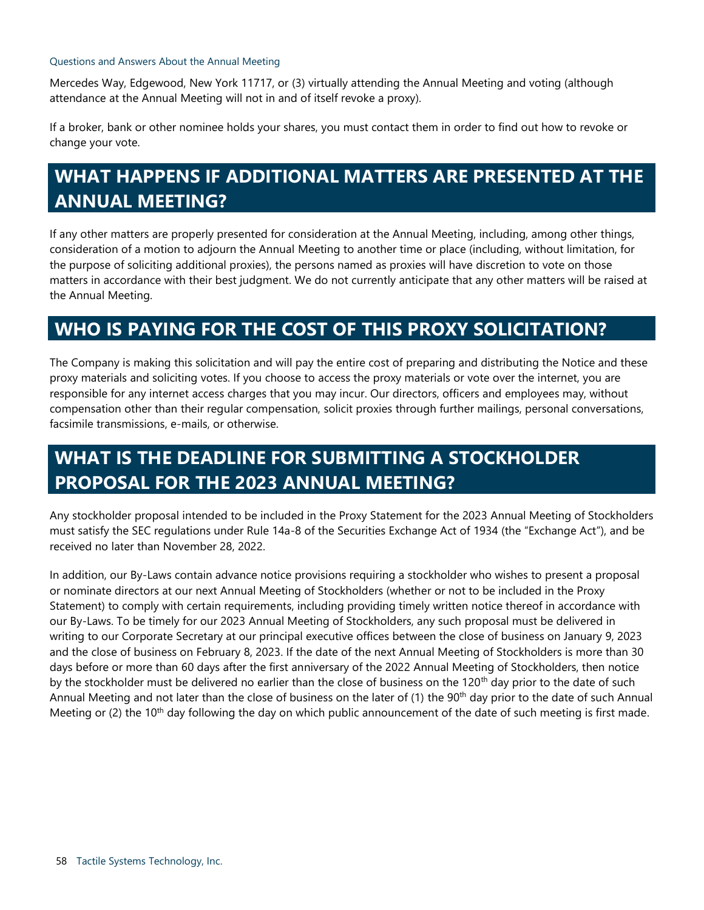### Questions and Answers About the Annual Meeting

Mercedes Way, Edgewood, New York 11717, or (3) virtually attending the Annual Meeting and voting (although attendance at the Annual Meeting will not in and of itself revoke a proxy).

If a broker, bank or other nominee holds your shares, you must contact them in order to find out how to revoke or change your vote.

# **WHAT HAPPENS IF ADDITIONAL MATTERS ARE PRESENTED AT THE ANNUAL MEETING?**

If any other matters are properly presented for consideration at the Annual Meeting, including, among other things, consideration of a motion to adjourn the Annual Meeting to another time or place (including, without limitation, for the purpose of soliciting additional proxies), the persons named as proxies will have discretion to vote on those matters in accordance with their best judgment. We do not currently anticipate that any other matters will be raised at the Annual Meeting.

# **WHO IS PAYING FOR THE COST OF THIS PROXY SOLICITATION?**

The Company is making this solicitation and will pay the entire cost of preparing and distributing the Notice and these proxy materials and soliciting votes. If you choose to access the proxy materials or vote over the internet, you are responsible for any internet access charges that you may incur. Our directors, officers and employees may, without compensation other than their regular compensation, solicit proxies through further mailings, personal conversations, facsimile transmissions, e-mails, or otherwise.

# **WHAT IS THE DEADLINE FOR SUBMITTING A STOCKHOLDER PROPOSAL FOR THE 2023 ANNUAL MEETING?**

Any stockholder proposal intended to be included in the Proxy Statement for the 2023 Annual Meeting of Stockholders must satisfy the SEC regulations under Rule 14a-8 of the Securities Exchange Act of 1934 (the "Exchange Act"), and be received no later than November 28, 2022.

In addition, our By-Laws contain advance notice provisions requiring a stockholder who wishes to present a proposal or nominate directors at our next Annual Meeting of Stockholders (whether or not to be included in the Proxy Statement) to comply with certain requirements, including providing timely written notice thereof in accordance with our By-Laws. To be timely for our 2023 Annual Meeting of Stockholders, any such proposal must be delivered in writing to our Corporate Secretary at our principal executive offices between the close of business on January 9, 2023 and the close of business on February 8, 2023. If the date of the next Annual Meeting of Stockholders is more than 30 days before or more than 60 days after the first anniversary of the 2022 Annual Meeting of Stockholders, then notice by the stockholder must be delivered no earlier than the close of business on the 120<sup>th</sup> day prior to the date of such Annual Meeting and not later than the close of business on the later of (1) the 90<sup>th</sup> day prior to the date of such Annual Meeting or (2) the 10<sup>th</sup> day following the day on which public announcement of the date of such meeting is first made.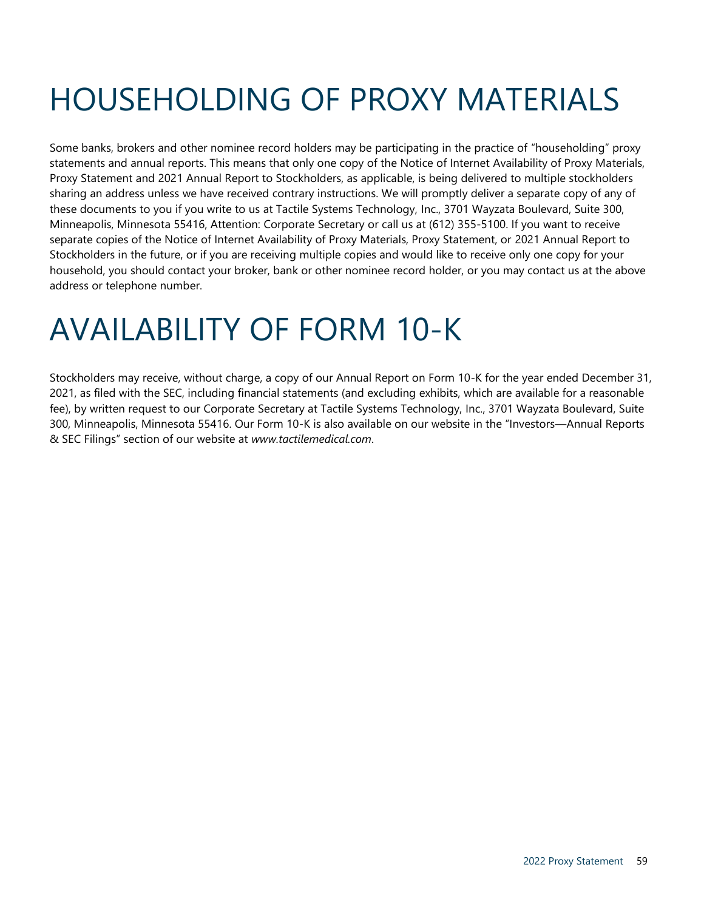# <span id="page-58-0"></span>HOUSEHOLDING OF PROXY MATERIALS

Some banks, brokers and other nominee record holders may be participating in the practice of "householding" proxy statements and annual reports. This means that only one copy of the Notice of Internet Availability of Proxy Materials, Proxy Statement and 2021 Annual Report to Stockholders, as applicable, is being delivered to multiple stockholders sharing an address unless we have received contrary instructions. We will promptly deliver a separate copy of any of these documents to you if you write to us at Tactile Systems Technology, Inc., 3701 Wayzata Boulevard, Suite 300, Minneapolis, Minnesota 55416, Attention: Corporate Secretary or call us at (612) 355-5100. If you want to receive separate copies of the Notice of Internet Availability of Proxy Materials, Proxy Statement, or 2021 Annual Report to Stockholders in the future, or if you are receiving multiple copies and would like to receive only one copy for your household, you should contact your broker, bank or other nominee record holder, or you may contact us at the above address or telephone number.

# <span id="page-58-1"></span>AVAILABILITY OF FORM 10-K

Stockholders may receive, without charge, a copy of our Annual Report on Form 10-K for the year ended December 31, 2021, as filed with the SEC, including financial statements (and excluding exhibits, which are available for a reasonable fee), by written request to our Corporate Secretary at Tactile Systems Technology, Inc., 3701 Wayzata Boulevard, Suite 300, Minneapolis, Minnesota 55416. Our Form 10-K is also available on our website in the "Investors—Annual Reports & SEC Filings" section of our website at *[www.tactilemedical.com](http://www.tactilemedical.com/)*.